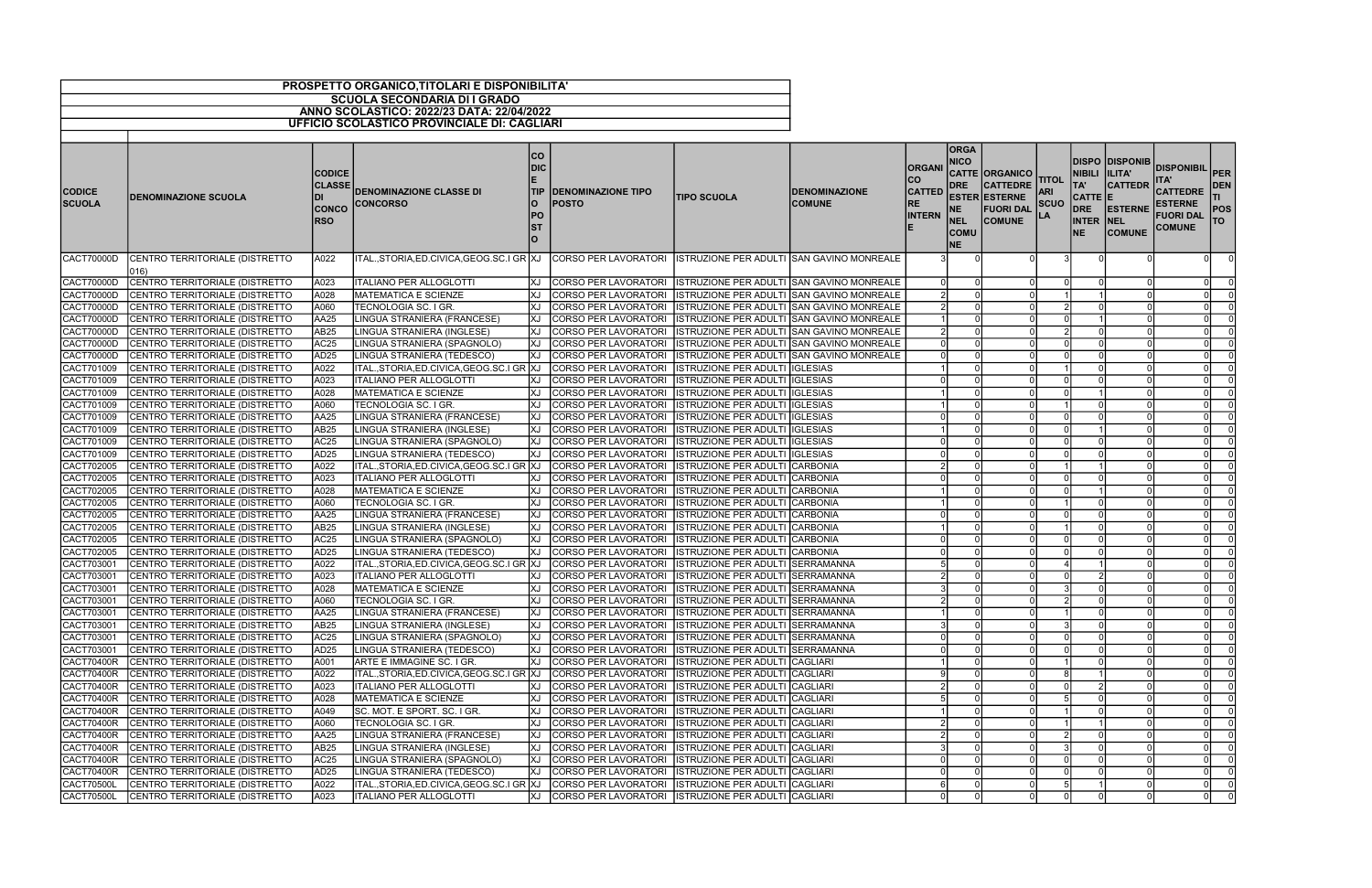| <b>SCUOLA SECONDARIA DI I GRADO</b><br>ANNO SCOLASTICO: 2022/23 DATA: 22/04/2022                                                                                                                                                                                                                                                                                                                                                                                                   |                                                                                                       |                                    |                                                                    |                                                           |                                                                                                     |                          |
|------------------------------------------------------------------------------------------------------------------------------------------------------------------------------------------------------------------------------------------------------------------------------------------------------------------------------------------------------------------------------------------------------------------------------------------------------------------------------------|-------------------------------------------------------------------------------------------------------|------------------------------------|--------------------------------------------------------------------|-----------------------------------------------------------|-----------------------------------------------------------------------------------------------------|--------------------------|
|                                                                                                                                                                                                                                                                                                                                                                                                                                                                                    |                                                                                                       |                                    |                                                                    |                                                           |                                                                                                     |                          |
|                                                                                                                                                                                                                                                                                                                                                                                                                                                                                    |                                                                                                       |                                    |                                                                    |                                                           |                                                                                                     |                          |
| <b>UFFICIO SCOLASTICO PROVINCIALE DI: CAGLIARI</b>                                                                                                                                                                                                                                                                                                                                                                                                                                 |                                                                                                       |                                    |                                                                    |                                                           |                                                                                                     |                          |
| <b>ORGA</b><br> CO<br><b>NICO</b><br>DIC<br><b>ORGANI</b><br><b>CODICE</b><br>CO<br><b>DRE</b><br><b>CLASSE</b><br><b>DENOMINAZIONE CLASSE DI</b><br><b>CATTED</b><br><b>CODICE</b><br><b>TIP</b><br><b>DENOMINAZIONE TIPO</b><br><b>DENOMINAZIONE</b><br><b>TIPO SCUOLA</b><br><b>DENOMINAZIONE SCUOLA</b><br><b>SCUOLA</b><br><b>COMUNE</b><br><b>CONCORSO</b><br>O<br>POSTO<br>RE<br><b>CONCO</b><br>NE.<br><b>PO</b><br><b>INTERN</b><br><b>RSO</b><br><b>NEL</b><br><b>ST</b> | <b>CATTE ORGANICO</b><br><b>CATTEDRE</b><br><b>ESTER ESTERNE</b><br><b>FUORI DAL</b><br><b>COMUNE</b> | TITOL<br><b>ARI</b><br><b>SCUO</b> | NIBILI  ILITA'<br>TA'<br>CATTE E<br><b>DRE</b><br><b>INTER NEL</b> | <b>DISPO DISPONIB</b><br><b>CATTEDR</b><br><b>ESTERNE</b> | DISPONIBIL PER<br><b>ITA</b><br>CATTEDRE DEN<br><b>ESTERNE</b><br><b>FUORI DAL</b><br><b>COMUNE</b> | <b>POS</b><br><b>ITO</b> |
| <b>COMU</b><br>$\overline{O}$<br><b>NE</b>                                                                                                                                                                                                                                                                                                                                                                                                                                         |                                                                                                       |                                    | <b>NE</b>                                                          | <b>COMUNE</b>                                             |                                                                                                     |                          |
| CACT70000D<br>CENTRO TERRITORIALE (DISTRETTO<br><b>CORSO PER LAVORATORI</b><br>ISTRUZIONE PER ADULTI SAN GAVINO MONREALE<br>A022<br>ITAL.,STORIA,ED.CIVICA,GEOG.SC.I GR  XJ<br>$ 016\rangle$                                                                                                                                                                                                                                                                                       |                                                                                                       |                                    |                                                                    |                                                           |                                                                                                     |                          |
| CACT70000D<br>CENTRO TERRITORIALE (DISTRETTO<br>A023<br><b>ITALIANO PER ALLOGLOTTI</b><br>XJ CORSO PER LAVORATORI<br>ISTRUZIONE PER ADULTI SAN GAVINO MONREALE                                                                                                                                                                                                                                                                                                                     |                                                                                                       |                                    |                                                                    |                                                           | $\Omega$                                                                                            |                          |
| <b>CACT70000D</b><br>CENTRO TERRITORIALE (DISTRETTO<br>A028<br>MATEMATICA E SCIENZE<br>КJ<br>CORSO PER LAVORATORI<br>ISTRUZIONE PER ADULTI SAN GAVINO MONREALE                                                                                                                                                                                                                                                                                                                     |                                                                                                       |                                    |                                                                    |                                                           |                                                                                                     |                          |
| CACT70000D<br>CENTRO TERRITORIALE (DISTRETTO<br>A060<br>TECNOLOGIA SC. I GR.<br>CORSO PER LAVORATORI<br>ISTRUZIONE PER ADULTI SAN GAVINO MONREALE                                                                                                                                                                                                                                                                                                                                  |                                                                                                       |                                    |                                                                    |                                                           | $\Omega$                                                                                            |                          |
| AA25<br>CACT70000D<br>LINGUA STRANIERA (FRANCESE)<br>CORSO PER LAVORATORI<br>CENTRO TERRITORIALE (DISTRETTO<br>КJ<br><b>ISTRUZIONE PER ADULTI SAN GAVINO MONREALE</b>                                                                                                                                                                                                                                                                                                              |                                                                                                       |                                    |                                                                    |                                                           | $\Omega$                                                                                            |                          |
| CACT70000D<br>AB <sub>25</sub><br>CENTRO TERRITORIALE (DISTRETTO<br>LINGUA STRANIERA (INGLESE)<br>IXJ<br>CORSO PER LAVORATORI<br>ISTRUZIONE PER ADULTI SAN GAVINO MONREALE                                                                                                                                                                                                                                                                                                         |                                                                                                       |                                    |                                                                    |                                                           | $\Omega$                                                                                            |                          |
| CACT70000D<br>AC <sub>25</sub><br>CENTRO TERRITORIALE (DISTRETTO<br>LINGUA STRANIERA (SPAGNOLO)<br><b>CORSO PER LAVORATORI</b><br>ISTRUZIONE PER ADULTI SAN GAVINO MONREALE<br>lXJ.                                                                                                                                                                                                                                                                                                |                                                                                                       |                                    |                                                                    |                                                           |                                                                                                     |                          |
| CACT70000D<br>AD <sub>25</sub><br>IXJ<br>CORSO PER LAVORATORI<br>CENTRO TERRITORIALE (DISTRETTO<br>LINGUA STRANIERA (TEDESCO)<br>ISTRUZIONE PER ADULTI SAN GAVINO MONREALE                                                                                                                                                                                                                                                                                                         |                                                                                                       |                                    |                                                                    |                                                           | $\Omega$                                                                                            |                          |
| CACT701009<br>CENTRO TERRITORIALE (DISTRETTO<br>A022<br>ITAL., STORIA, ED. CIVICA, GEOG. SC. I GR XJ<br>CORSO PER LAVORATORI<br><b>ISTRUZIONE PER ADULTI IGLESIAS</b>                                                                                                                                                                                                                                                                                                              |                                                                                                       |                                    |                                                                    |                                                           | $\Omega$                                                                                            |                          |
| A023<br>CACT701009<br>ITALIANO PER ALLOGLOTTI<br>CORSO PER LAVORATORI<br><b>ISTRUZIONE PER ADULTI IGLESIAS</b><br>CENTRO TERRITORIALE (DISTRETTO<br>ΙXЈ                                                                                                                                                                                                                                                                                                                            |                                                                                                       |                                    |                                                                    |                                                           | $\Omega$                                                                                            |                          |
| A028<br>CACT701009<br>CENTRO TERRITORIALE (DISTRETTO<br><b>MATEMATICA E SCIENZE</b><br>CORSO PER LAVORATORI<br><b>ISTRUZIONE PER ADULTI IGLESIAS</b>                                                                                                                                                                                                                                                                                                                               |                                                                                                       |                                    |                                                                    |                                                           | - 0 I                                                                                               |                          |
| CACT701009<br>A060<br>CENTRO TERRITORIALE (DISTRETTO<br>TECNOLOGIA SC. I GR.<br>CORSO PER LAVORATORI<br><b>ISTRUZIONE PER ADULTI IGLESIAS</b>                                                                                                                                                                                                                                                                                                                                      |                                                                                                       |                                    |                                                                    |                                                           | $\overline{0}$                                                                                      |                          |
| CACT701009<br>AA25<br><b>CORSO PER LAVORATORI</b><br>ISTRUZIONE PER ADULTI IGLESIAS<br>CENTRO TERRITORIALE (DISTRETTO<br>LINGUA STRANIERA (FRANCESE)<br>IXJ                                                                                                                                                                                                                                                                                                                        |                                                                                                       |                                    |                                                                    |                                                           | $\Omega$                                                                                            |                          |
| CACT701009<br>CENTRO TERRITORIALE (DISTRETTO<br>AB25<br>LINGUA STRANIERA (INGLESE)<br>КJ<br>CORSO PER LAVORATORI<br>ISTRUZIONE PER ADULTI IGLESIAS                                                                                                                                                                                                                                                                                                                                 |                                                                                                       |                                    |                                                                    |                                                           |                                                                                                     |                          |
| CACT701009<br>CENTRO TERRITORIALE (DISTRETTO<br>AC <sub>25</sub><br>CORSO PER LAVORATORI<br>ISTRUZIONE PER ADULTI IGLESIAS<br>LINGUA STRANIERA (SPAGNOLO)<br>ΙXЈ                                                                                                                                                                                                                                                                                                                   |                                                                                                       |                                    |                                                                    |                                                           | $\Omega$                                                                                            |                          |
| AD <sub>25</sub><br>CENTRO TERRITORIALE (DISTRETTO<br>CORSO PER LAVORATORI<br>CACT701009<br>LINGUA STRANIERA (TEDESCO)<br>ΙXЈ<br><b>ISTRUZIONE PER ADULTI IGLESIAS</b>                                                                                                                                                                                                                                                                                                             |                                                                                                       |                                    |                                                                    |                                                           | $\overline{0}$                                                                                      |                          |
| CACT702005<br>A022<br>CENTRO TERRITORIALE (DISTRETTO<br>ITAL., STORIA, ED. CIVICA, GEOG. SC. I GR XJ<br>CORSO PER LAVORATORI<br><b>ISTRUZIONE PER ADULTI CARBONIA</b>                                                                                                                                                                                                                                                                                                              |                                                                                                       |                                    |                                                                    |                                                           | $\overline{0}$                                                                                      |                          |
| CACT702005<br>CENTRO TERRITORIALE (DISTRETTO<br>A023<br><b>ITALIANO PER ALLOGLOTTI</b><br>CORSO PER LAVORATORI<br>ISTRUZIONE PER ADULTI CARBONIA<br>КJ                                                                                                                                                                                                                                                                                                                             |                                                                                                       |                                    |                                                                    |                                                           | $\Omega$                                                                                            |                          |
| CACT702005<br>CENTRO TERRITORIALE (DISTRETTO<br>A028<br><b>MATEMATICA E SCIENZE</b><br><b>CORSO PER LAVORATORI</b><br><b>ISTRUZIONE PER ADULTI CARBONIA</b>                                                                                                                                                                                                                                                                                                                        |                                                                                                       |                                    |                                                                    |                                                           | $\Omega$                                                                                            |                          |
| CACT702005<br>A060<br>CENTRO TERRITORIALE (DISTRETTO<br>TECNOLOGIA SC. I GR.<br>КJ<br><b>CORSO PER LAVORATORI</b><br><b>ISTRUZIONE PER ADULTI CARBONIA</b>                                                                                                                                                                                                                                                                                                                         |                                                                                                       |                                    |                                                                    |                                                           |                                                                                                     |                          |
| <b>AA25</b><br>CACT702005<br>CENTRO TERRITORIALE (DISTRETTO<br>CORSO PER LAVORATORI<br>ISTRUZIONE PER ADULTI CARBONIA<br>LINGUA STRANIERA (FRANCESE)<br>ΙXЈ                                                                                                                                                                                                                                                                                                                        |                                                                                                       |                                    |                                                                    |                                                           | $\Omega$                                                                                            |                          |
| AB25<br>CACT702005<br>CENTRO TERRITORIALE (DISTRETTO<br>LINGUA STRANIERA (INGLESE)<br>КJ<br>CORSO PER LAVORATORI<br><b>ISTRUZIONE PER ADULTI CARBONIA</b>                                                                                                                                                                                                                                                                                                                          |                                                                                                       |                                    |                                                                    |                                                           | $\overline{0}$                                                                                      |                          |
| CACT702005<br>AC <sub>25</sub><br>CENTRO TERRITORIALE (DISTRETTO<br>LINGUA STRANIERA (SPAGNOLO)<br>КJ<br>CORSO PER LAVORATORI<br>ISTRUZIONE PER ADULTI CARBONIA                                                                                                                                                                                                                                                                                                                    |                                                                                                       |                                    |                                                                    |                                                           | $\Omega$                                                                                            |                          |
| CACT702005<br>AD <sub>25</sub><br><b>CORSO PER LAVORATORI</b><br>CENTRO TERRITORIALE (DISTRETTO<br>LINGUA STRANIERA (TEDESCO)<br>IXJ<br>ISTRUZIONE PER ADULTI CARBONIA                                                                                                                                                                                                                                                                                                             |                                                                                                       |                                    |                                                                    |                                                           | $\overline{0}$                                                                                      | $\overline{0}$           |
| CACT703001<br>A022<br>ITAL., STORIA, ED. CIVICA, GEOG. SC. I GR XJ<br>CORSO PER LAVORATORI<br>ISTRUZIONE PER ADULTI SERRAMANNA<br>CENTRO TERRITORIALE (DISTRETTO                                                                                                                                                                                                                                                                                                                   |                                                                                                       |                                    |                                                                    |                                                           | $\Omega$                                                                                            |                          |
| CACT703001 CENTRO TERRITORIALE (DISTRETTO<br>A023<br><b>ITALIANO PER ALLOGLOTTI</b><br>IXJ<br>CORSO PER LAVORATORI  ISTRUZIONE PER ADULTI SERRAMANNA<br>$\overline{2}$                                                                                                                                                                                                                                                                                                             | $\Omega$<br>$\Omega$                                                                                  |                                    | $\mathcal{D}$                                                      |                                                           | - Ol                                                                                                |                          |
| CACT703001<br>CENTRO TERRITORIALE (DISTRETTO<br>A028<br>MATEMATICA E SCIENZE<br>CORSO PER LAVORATORI<br>ISTRUZIONE PER ADULTI SERRAMANNA<br>IXJ                                                                                                                                                                                                                                                                                                                                    | $\Omega$                                                                                              |                                    |                                                                    |                                                           | -01                                                                                                 | - 0                      |
| CACT703001<br>A060<br>CENTRO TERRITORIALE (DISTRETTO<br>TECNOLOGIA SC. I GR.<br>XJ<br>CORSO PER LAVORATORI<br>ISTRUZIONE PER ADULTI SERRAMANNA                                                                                                                                                                                                                                                                                                                                     |                                                                                                       |                                    |                                                                    |                                                           | 0I                                                                                                  |                          |
| CACT703001<br>CENTRO TERRITORIALE (DISTRETTO<br>CORSO PER LAVORATORI   ISTRUZIONE PER ADULTI SERRAMANNA<br>AA <sub>25</sub><br>LINGUA STRANIERA (FRANCESE)<br>IXJ                                                                                                                                                                                                                                                                                                                  |                                                                                                       |                                    |                                                                    |                                                           | 0I                                                                                                  | - 0                      |
| CACT703001<br>CENTRO TERRITORIALE (DISTRETTO<br>AB <sub>25</sub><br>LINGUA STRANIERA (INGLESE)<br>IXJ.<br>CORSO PER LAVORATORI<br>ISTRUZIONE PER ADULTI SERRAMANNA                                                                                                                                                                                                                                                                                                                 |                                                                                                       |                                    |                                                                    |                                                           | $\Omega$                                                                                            |                          |
| CACT703001<br>AC <sub>25</sub><br>CENTRO TERRITORIALE (DISTRETTO<br>LINGUA STRANIERA (SPAGNOLO)<br>IXJ<br><b>CORSO PER LAVORATORI</b><br><b>ISTRUZIONE PER ADULTI SERRAMANNA</b>                                                                                                                                                                                                                                                                                                   |                                                                                                       |                                    |                                                                    |                                                           | $\Omega$                                                                                            |                          |
| CACT703001<br>AD <sub>25</sub><br>CENTRO TERRITORIALE (DISTRETTO<br>LINGUA STRANIERA (TEDESCO)<br>CORSO PER LAVORATORI<br><b>ISTRUZIONE PER ADULTI SERRAMANNA</b><br>IXJ                                                                                                                                                                                                                                                                                                           |                                                                                                       |                                    |                                                                    |                                                           | $\Omega$                                                                                            |                          |
| A001<br>CACT70400R<br>CENTRO TERRITORIALE (DISTRETTO<br>ARTE E IMMAGINE SC. I GR.<br><b>CORSO PER LAVORATORI</b><br><b>ISTRUZIONE PER ADULTI CAGLIARI</b><br>IXJ.                                                                                                                                                                                                                                                                                                                  |                                                                                                       |                                    |                                                                    |                                                           | - 0 I                                                                                               |                          |
| CACT70400R<br>A022<br>CENTRO TERRITORIALE (DISTRETTO<br>ITAL.,STORIA,ED.CIVICA,GEOG.SC.I GR XJ<br><b>CORSO PER LAVORATORI</b><br>ISTRUZIONE PER ADULTI CAGLIARI                                                                                                                                                                                                                                                                                                                    |                                                                                                       |                                    |                                                                    |                                                           | $\Omega$                                                                                            |                          |
| CACT70400R<br>A023<br><b>ITALIANO PER ALLOGLOTTI</b><br>CORSO PER LAVORATORI<br>CENTRO TERRITORIALE (DISTRETTO<br>IXJ<br><b>ISTRUZIONE PER ADULTI CAGLIARI</b>                                                                                                                                                                                                                                                                                                                     |                                                                                                       |                                    |                                                                    |                                                           | $\overline{0}$                                                                                      |                          |
| CACT70400R<br>CENTRO TERRITORIALE (DISTRETTO<br>A028<br><b>MATEMATICA E SCIENZE</b><br><b>CORSO PER LAVORATORI</b><br>ISTRUZIONE PER ADULTI CAGLIARI                                                                                                                                                                                                                                                                                                                               |                                                                                                       |                                    |                                                                    |                                                           | $\Omega$                                                                                            |                          |
| CACT70400R<br>CENTRO TERRITORIALE (DISTRETTO<br>A049<br>SC. MOT. E SPORT. SC. I GR.<br>CORSO PER LAVORATORI<br>ΙXЈ<br><b>ISTRUZIONE PER ADULTI CAGLIARI</b>                                                                                                                                                                                                                                                                                                                        |                                                                                                       |                                    |                                                                    |                                                           | $\Omega$                                                                                            |                          |
| A060<br>CACT70400R<br>CENTRO TERRITORIALE (DISTRETTO<br>TECNOLOGIA SC. I GR.<br><b>CORSO PER LAVORATORI</b><br><b>ISTRUZIONE PER ADULTI CAGLIARI</b><br>IXJ                                                                                                                                                                                                                                                                                                                        |                                                                                                       |                                    |                                                                    |                                                           | $\overline{0}$                                                                                      |                          |
| AA <sub>25</sub><br>CACT70400R<br>XJ<br>CENTRO TERRITORIALE (DISTRETTO<br>LINGUA STRANIERA (FRANCESE)<br>CORSO PER LAVORATORI<br><b>ISTRUZIONE PER ADULTI CAGLIARI</b>                                                                                                                                                                                                                                                                                                             |                                                                                                       |                                    |                                                                    |                                                           | - 0 I                                                                                               |                          |
| CACT70400R<br>CENTRO TERRITORIALE (DISTRETTO<br>AB <sub>25</sub><br>LINGUA STRANIERA (INGLESE)<br>IXJ.<br>CORSO PER LAVORATORI<br>ISTRUZIONE PER ADULTI CAGLIARI                                                                                                                                                                                                                                                                                                                   |                                                                                                       |                                    |                                                                    |                                                           | - 0 I                                                                                               | $\Omega$                 |
| CACT70400R<br>CENTRO TERRITORIALE (DISTRETTO<br>AC <sub>25</sub><br>LINGUA STRANIERA (SPAGNOLO)<br>CORSO PER LAVORATORI<br><b>ISTRUZIONE PER ADULTI CAGLIARI</b><br>IXJ                                                                                                                                                                                                                                                                                                            |                                                                                                       |                                    |                                                                    |                                                           | $\overline{0}$                                                                                      |                          |
| CACT70400R<br>AD <sub>25</sub><br>CENTRO TERRITORIALE (DISTRETTO<br>LINGUA STRANIERA (TEDESCO)<br>IXJ<br><b>CORSO PER LAVORATORI</b><br><b>ISTRUZIONE PER ADULTI CAGLIARI</b>                                                                                                                                                                                                                                                                                                      |                                                                                                       |                                    |                                                                    |                                                           | 0                                                                                                   | $\overline{\mathbf{0}}$  |
| CACT70500L<br>CENTRO TERRITORIALE (DISTRETTO<br>A022<br>ITAL.,STORIA,ED.CIVICA,GEOG.SC.I GR XJ<br><b>CORSO PER LAVORATORI</b><br>ISTRUZIONE PER ADULTI CAGLIARI                                                                                                                                                                                                                                                                                                                    |                                                                                                       |                                    |                                                                    |                                                           | $\Omega$                                                                                            |                          |
| A023<br>CACT70500L<br>CENTRO TERRITORIALE (DISTRETTO<br><b>ITALIANO PER ALLOGLOTTI</b><br>IXJ<br>CORSO PER LAVORATORI<br><b>ISTRUZIONE PER ADULTI CAGLIARI</b>                                                                                                                                                                                                                                                                                                                     | 0                                                                                                     |                                    |                                                                    |                                                           | 0                                                                                                   |                          |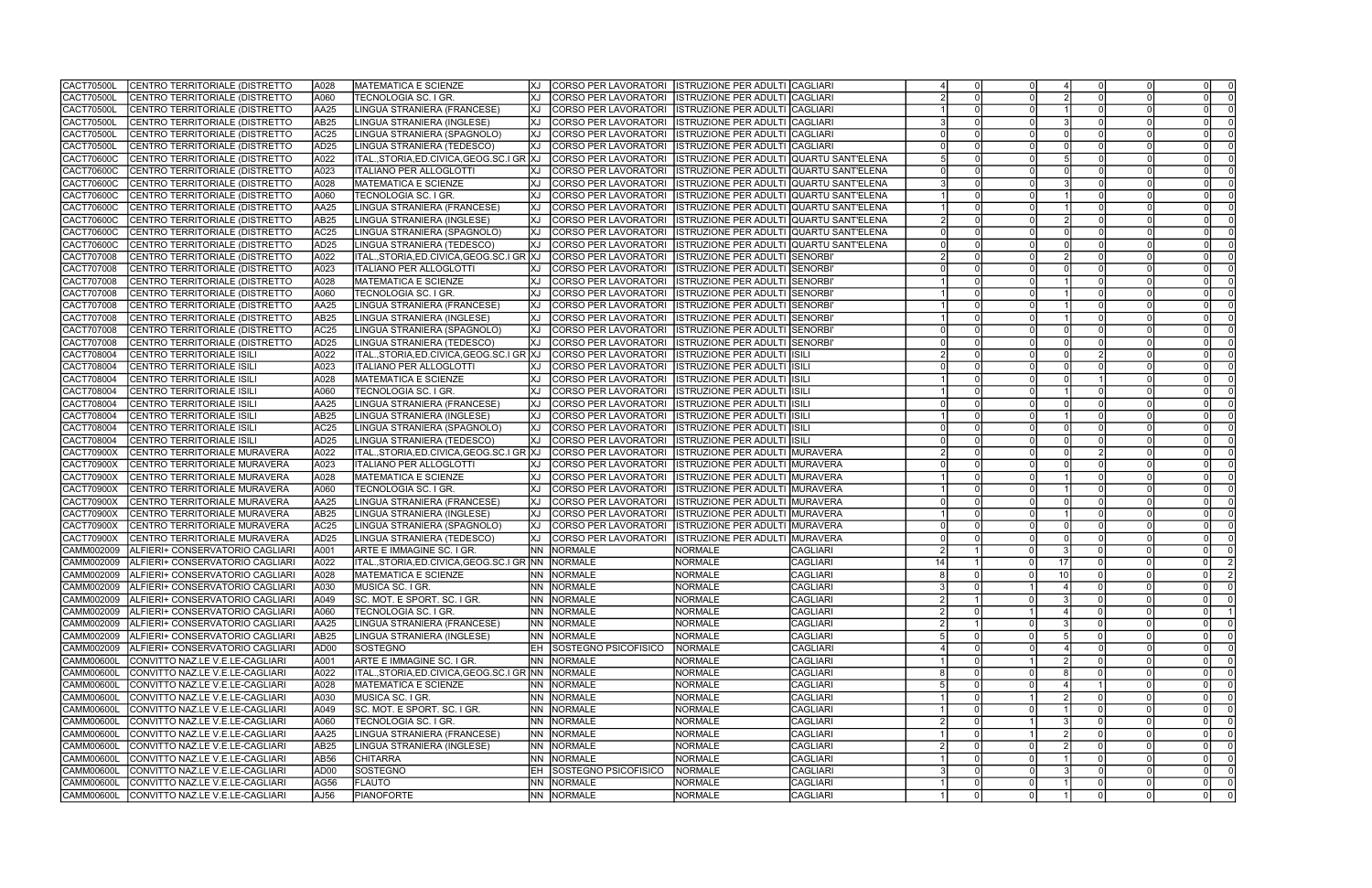| CACT70500L        | CENTRO TERRITORIALE (DISTRETTO              | A028             | <b>IMATEMATICA E SCIENZE</b>                   | XJ        | CORSO PER LAVORATORI ISTRUZIONE PER ADULTI CAGLIARI              |                              |                 |    |                 |                 |                |                |
|-------------------|---------------------------------------------|------------------|------------------------------------------------|-----------|------------------------------------------------------------------|------------------------------|-----------------|----|-----------------|-----------------|----------------|----------------|
| CACT70500L        | CENTRO TERRITORIALE (DISTRETTO              | A060             | TECNOLOGIA SC. I GR.                           | КJ        | CORSO PER LAVORATORI   ISTRUZIONE PER ADULTI CAGLIARI            |                              |                 |    |                 |                 |                |                |
| CACT70500L        | CENTRO TERRITORIALE (DISTRETTO              | AA25             | LINGUA STRANIERA (FRANCESE)                    | XJ        | CORSO PER LAVORATORI  ISTRUZIONE PER ADULTI CAGLIARI             |                              |                 |    |                 |                 | $\Omega$       |                |
| <b>CACT70500L</b> | CENTRO TERRITORIALE (DISTRETTO              | AB25             | LINGUA STRANIERA (INGLESE)                     | IXJ       | CORSO PER LAVORATORI   ISTRUZIONE PER ADULTI                     |                              | <b>CAGLIARI</b> |    |                 |                 |                |                |
| <b>CACT70500L</b> | CENTRO TERRITORIALE (DISTRETTO              | AC <sub>25</sub> | LINGUA STRANIERA (SPAGNOLO)                    | ΙXЈ       | CORSO PER LAVORATORI ISTRUZIONE PER ADULTI                       |                              | <b>CAGLIARI</b> |    |                 |                 |                |                |
| <b>CACT70500L</b> | CENTRO TERRITORIALE (DISTRETTO              | AD <sub>25</sub> | LINGUA STRANIERA (TEDESCO)                     | ΙXЈ       | CORSO PER LAVORATORI   ISTRUZIONE PER ADULTI CAGLIARI            |                              |                 |    |                 |                 |                |                |
| CACT70600C        | CENTRO TERRITORIALE (DISTRETTO              | A022             | ITAL.,STORIA,ED.CIVICA,GEOG.SC.I GR XJ         |           | CORSO PER LAVORATORI   ISTRUZIONE PER ADULTI QUARTU SANT'ELENA   |                              |                 |    |                 |                 |                |                |
| CACT70600C        | CENTRO TERRITORIALE (DISTRETTO              | A023             | <b>ITALIANO PER ALLOGLOTTI</b>                 | КJ        | CORSO PER LAVORATORI   ISTRUZIONE PER ADULTI QUARTU SANT'ELENA   |                              |                 |    |                 |                 |                |                |
| CACT70600C        | CENTRO TERRITORIALE (DISTRETTO              | A028             | <b>MATEMATICA E SCIENZE</b>                    | <b>XJ</b> | CORSO PER LAVORATORI   ISTRUZIONE PER ADULTI   QUARTU SANT'ELENA |                              |                 |    |                 |                 |                |                |
| <b>CACT70600C</b> | CENTRO TERRITORIALE (DISTRETTO              | A060             | TECNOLOGIA SC. I GR.                           | IXJ       | CORSO PER LAVORATORI   ISTRUZIONE PER ADULTI   QUARTU SANT'ELENA |                              |                 |    |                 |                 |                |                |
| <b>CACT70600C</b> | CENTRO TERRITORIALE (DISTRETTO              | AA25             | LINGUA STRANIERA (FRANCESE)                    | IXJ.      | CORSO PER LAVORATORI    ISTRUZIONE PER ADULTI  QUARTU SANT'ELENA |                              |                 |    |                 |                 |                |                |
|                   | CENTRO TERRITORIALE (DISTRETTO              | AB25             | LINGUA STRANIERA (INGLESE)                     | IXJ       |                                                                  |                              |                 |    |                 |                 |                |                |
| CACT70600C        |                                             |                  |                                                |           | CORSO PER LAVORATORI   ISTRUZIONE PER ADULTI QUARTU SANT'ELENA   |                              |                 |    |                 |                 |                |                |
| <b>CACT70600C</b> | CENTRO TERRITORIALE (DISTRETTO              | AC <sub>25</sub> | LINGUA STRANIERA (SPAGNOLO)                    | IXJ       | CORSO PER LAVORATORI  ISTRUZIONE PER ADULTI  QUARTU SANT'ELENA   |                              |                 |    |                 |                 |                |                |
| CACT70600C        | CENTRO TERRITORIALE (DISTRETTO              | AD <sub>25</sub> | LINGUA STRANIERA (TEDESCO)                     | IXJ       | CORSO PER LAVORATORI   ISTRUZIONE PER ADULTI QUARTU SANT'ELENA   |                              |                 |    |                 |                 |                |                |
| CACT707008        | CENTRO TERRITORIALE (DISTRETTO              | A022             | ITAL.,STORIA,ED.CIVICA,GEOG.SC.I GR XJ         |           | CORSO PER LAVORATORI   ISTRUZIONE PER ADULTI   SENORBI'          |                              |                 |    |                 |                 |                |                |
| CACT707008        | CENTRO TERRITORIALE (DISTRETTO              | A023             | <b>ITALIANO PER ALLOGLOTTI</b>                 | lXJ.      | CORSO PER LAVORATORI ISTRUZIONE PER ADULTI SENORBI'              |                              |                 |    |                 |                 |                |                |
| CACT707008        | CENTRO TERRITORIALE (DISTRETTO              | A028             | <b>MATEMATICA E SCIENZE</b>                    |           | CORSO PER LAVORATORI   ISTRUZIONE PER ADULTI SENORBI'            |                              |                 |    |                 |                 | $\Omega$       |                |
| CACT707008        | CENTRO TERRITORIALE (DISTRETTO              | A060             | TECNOLOGIA SC. I GR.                           | ΙXЈ       | CORSO PER LAVORATORI   ISTRUZIONE PER ADULTI   SENORBI'          |                              |                 |    |                 |                 |                |                |
| CACT707008        | CENTRO TERRITORIALE (DISTRETTO              | AA25             | LINGUA STRANIERA (FRANCESE)                    | ΙXЈ       | CORSO PER LAVORATORI   ISTRUZIONE PER ADULTI SENORBI'            |                              |                 |    |                 |                 | $\Omega$       |                |
| CACT707008        | CENTRO TERRITORIALE (DISTRETTO              | AB25             | LINGUA STRANIERA (INGLESE)                     | XJ        | CORSO PER LAVORATORI   ISTRUZIONE PER ADULTI SENORBI'            |                              |                 |    |                 |                 | $\Omega$       |                |
| CACT707008        | CENTRO TERRITORIALE (DISTRETTO              | AC <sub>25</sub> | LINGUA STRANIERA (SPAGNOLO)                    | IXJ       | CORSO PER LAVORATORI  ISTRUZIONE PER ADULTI SENORBI'             |                              |                 |    |                 |                 |                |                |
| CACT707008        | CENTRO TERRITORIALE (DISTRETTO              | AD <sub>25</sub> | LINGUA STRANIERA (TEDESCO)                     | IXJ       | CORSO PER LAVORATORI  ISTRUZIONE PER ADULTI SENORBI'             |                              |                 |    |                 |                 | $\Omega$       |                |
| CACT708004        | <b>CENTRO TERRITORIALE ISILI</b>            | A022             | ITAL.,STORIA,ED.CIVICA,GEOG.SC.I GR XJ         |           | CORSO PER LAVORATORI  ISTRUZIONE PER ADULTI  ISILI               |                              |                 |    |                 |                 |                |                |
| CACT708004        | CENTRO TERRITORIALE ISILI                   | A023             | <b>ITALIANO PER ALLOGLOTTI</b>                 | IXJ       | CORSO PER LAVORATORI  ISTRUZIONE PER ADULTI ISILI                |                              |                 |    |                 |                 |                |                |
| CACT708004        | CENTRO TERRITORIALE ISILI                   | A028             | <b>MATEMATICA E SCIENZE</b>                    | IXJ       | CORSO PER LAVORATORI  ISTRUZIONE PER ADULTI  ISILI               |                              |                 |    |                 |                 |                |                |
| CACT708004        | CENTRO TERRITORIALE ISILI                   | A060             | TECNOLOGIA SC. I GR.                           | IXJ       | CORSO PER LAVORATORI ISTRUZIONE PER ADULTI                       |                              | <b>ISILI</b>    |    |                 |                 |                |                |
| CACT708004        | CENTRO TERRITORIALE ISILI                   | AA25             | LINGUA STRANIERA (FRANCESE)                    | IXJ       | CORSO PER LAVORATORI  ISTRUZIONE PER ADULTI ISILI                |                              |                 |    |                 |                 |                |                |
| CACT708004        | CENTRO TERRITORIALE ISILI                   | AB <sub>25</sub> | LINGUA STRANIERA (INGLESE)                     | IXJ.      | CORSO PER LAVORATORI ISTRUZIONE PER ADULTI ISILI                 |                              |                 |    |                 |                 | $\Omega$       |                |
| CACT708004        | CENTRO TERRITORIALE ISILI                   | AC <sub>25</sub> | LINGUA STRANIERA (SPAGNOLO)                    | IXJ.      | CORSO PER LAVORATORI ISTRUZIONE PER ADULTI ISILI                 |                              |                 |    |                 |                 |                |                |
| CACT708004        | CENTRO TERRITORIALE ISILI                   | AD <sub>25</sub> | LINGUA STRANIERA (TEDESCO)                     | ΙXЈ       | CORSO PER LAVORATORI ISTRUZIONE PER ADULTI ISILI                 |                              |                 |    |                 |                 |                |                |
| CACT70900X        | CENTRO TERRITORIALE MURAVERA                | A022             | ITAL.,STORIA,ED.CIVICA,GEOG.SC.I GR XJ         |           | CORSO PER LAVORATORI   ISTRUZIONE PER ADULTI MURAVERA            |                              |                 |    |                 |                 |                |                |
| CACT70900X        | CENTRO TERRITORIALE MURAVERA                | A023             | <b>ITALIANO PER ALLOGLOTTI</b>                 | ΙXЈ       | CORSO PER LAVORATORI   ISTRUZIONE PER ADULTI MURAVERA            |                              |                 |    |                 |                 |                |                |
| <b>CACT70900X</b> | CENTRO TERRITORIALE MURAVERA                | A028             | <b>MATEMATICA E SCIENZE</b>                    | IXJ       | CORSO PER LAVORATORI   ISTRUZIONE PER ADULTI MURAVERA            |                              |                 |    |                 |                 | $\Omega$       |                |
| CACT70900X        | CENTRO TERRITORIALE MURAVERA                | A060             | <b>TECNOLOGIA SC. I GR.</b>                    | IXJ       | CORSO PER LAVORATORI   ISTRUZIONE PER ADULTI   MURAVERA          |                              |                 |    |                 |                 |                |                |
| <b>CACT70900X</b> | CENTRO TERRITORIALE MURAVERA                | AA25             | LINGUA STRANIERA (FRANCESE)                    | XJ        | CORSO PER LAVORATORI    ISTRUZIONE PER ADULTI  MURAVERA          |                              |                 |    |                 |                 | $\Omega$       |                |
| <b>CACT70900X</b> | CENTRO TERRITORIALE MURAVERA                | AB <sub>25</sub> | LINGUA STRANIERA (INGLESE)                     | IXJ       | CORSO PER LAVORATORI    ISTRUZIONE PER ADULTI  MURAVERA          |                              |                 |    |                 |                 |                |                |
| CACT70900X        | CENTRO TERRITORIALE MURAVERA                | AC <sub>25</sub> | LINGUA STRANIERA (SPAGNOLO)                    | КJ        | <b>CORSO PER LAVORATORI</b>                                      | <b>ISTRUZIONE PER ADULTI</b> | MURAVERA        |    |                 |                 |                |                |
| <b>CACT70900X</b> | <b>CENTRO TERRITORIALE MURAVERA</b>         | AD <sub>25</sub> | LINGUA STRANIERA (TEDESCO)                     | КJ        | CORSO PER LAVORATORI  ISTRUZIONE PER ADULTI                      |                              | MURAVERA        |    |                 |                 |                |                |
| CAMM002009        | ALFIERI+ CONSERVATORIO CAGLIARI             | A001             | ARTE E IMMAGINE SC. I GR.                      | INN I     | NORMALE                                                          | <b>NORMALE</b>               | <b>CAGLIARI</b> |    |                 |                 | 0              |                |
| CAMM002009        | ALFIERI+ CONSERVATORIO CAGLIARI             | A022             | ITAL.,STORIA,ED.CIVICA,GEOG.SC.I GR NN NORMALE |           |                                                                  | <b>NORMALE</b>               | <b>CAGLIARI</b> | 14 |                 | 17              |                |                |
| CAMM002009        | ALFIERI+ CONSERVATORIO CAGLIARI             | A028             | <b>MATEMATICA E SCIENZE</b>                    |           | <b>NN NORMALE</b>                                                | NORMALE                      | <b>CAGLIARI</b> |    |                 | 10 <sup>1</sup> |                |                |
|                   | CAMM002009  ALFIERI+ CONSERVATORIO CAGLIARI | JA030            | MUSICA SC. I GR.                               |           | NN NORMALE                                                       | NORMALE                      | <b>CAGLIARI</b> |    | 0               |                 | 0              | 0              |
| CAMM002009        | ALFIERI+ CONSERVATORIO CAGLIARI             | A049             | SC. MOT. E SPORT. SC. I GR.                    |           | NN NORMALE                                                       | <b>NORMALE</b>               | <b>CAGLIARI</b> |    | $\Omega$        |                 | $\Omega$       | $\overline{0}$ |
| CAMM002009        | ALFIERI+ CONSERVATORIO CAGLIARI             | A060             | TECNOLOGIA SC. I GR.                           |           | NN NORMALE                                                       | <b>NORMALE</b>               | <b>CAGLIARI</b> |    |                 |                 | 0              |                |
|                   | CAMM002009 ALFIERI+ CONSERVATORIO CAGLIARI  |                  | LINGUA STRANIERA (FRANCESE)                    |           |                                                                  |                              | <b>CAGLIARI</b> |    |                 |                 | $\Omega$       | - 0            |
|                   |                                             | AA25             |                                                |           | NN NORMALE                                                       | <b>NORMALE</b><br>NORMALE    | <b>CAGLIARI</b> |    |                 |                 | $\Omega$       | 0              |
| CAMM002009        | ALFIERI+ CONSERVATORIO CAGLIARI             | AB <sub>25</sub> | LINGUA STRANIERA (INGLESE)                     |           | NN NORMALE                                                       |                              |                 |    |                 |                 |                |                |
| CAMM002009        | ALFIERI+ CONSERVATORIO CAGLIARI             | AD00             | SOSTEGNO                                       |           | EH SOSTEGNO PSICOFISICO                                          | NORMALE                      | <b>CAGLIARI</b> |    |                 |                 | $\Omega$       |                |
| CAMM00600L        | CONVITTO NAZ.LE V.E.LE-CAGLIARI             | A001             | ARTE E IMMAGINE SC. I GR.                      |           | NN NORMALE                                                       | NORMALE                      | <b>CAGLIARI</b> |    |                 |                 | $\Omega$       | - 0            |
| CAMM00600L        | CONVITTO NAZ.LE V.E.LE-CAGLIARI             | A022             | ITAL.,STORIA,ED.CIVICA,GEOG.SC.I GR INN        |           | NORMALE                                                          | <b>NORMALE</b>               | <b>CAGLIARI</b> |    |                 |                 | $\Omega$       | $\mathbf 0$    |
| <b>CAMM00600L</b> | CONVITTO NAZ.LE V.E.LE-CAGLIARI             | A028             | <b>MATEMATICA E SCIENZE</b>                    |           | NN NORMALE                                                       | NORMALE                      | <b>CAGLIARI</b> |    |                 |                 | $\Omega$       | $\overline{0}$ |
| <b>CAMM00600L</b> | CONVITTO NAZ.LE V.E.LE-CAGLIARI             | A030             | MUSICA SC. I GR.                               |           | NN NORMALE                                                       | <b>NORMALE</b>               | <b>CAGLIARI</b> |    |                 |                 | $\Omega$       | - 0            |
| CAMM00600L        | CONVITTO NAZ.LE V.E.LE-CAGLIARI             | A049             | SC. MOT. E SPORT. SC. I GR.                    |           | NN NORMALE                                                       | NORMALE                      | <b>CAGLIARI</b> |    |                 |                 | $\Omega$       | - 0            |
| <b>CAMM00600L</b> | CONVITTO NAZ.LE V.E.LE-CAGLIARI             | A060             | TECNOLOGIA SC. I GR.                           |           | NN NORMALE                                                       | NORMALE                      | <b>CAGLIARI</b> |    |                 |                 | $\Omega$       | $\overline{0}$ |
| CAMM00600L        | CONVITTO NAZ.LE V.E.LE-CAGLIARI             | AA25             | LINGUA STRANIERA (FRANCESE)                    |           | NN NORMALE                                                       | <b>NORMALE</b>               | <b>CAGLIARI</b> |    |                 |                 |                | - 0            |
| CAMM00600L        | CONVITTO NAZ.LE V.E.LE-CAGLIARI             | AB25             | LINGUA STRANIERA (INGLESE)                     |           | <b>NN NORMALE</b>                                                | <b>NORMALE</b>               | <b>CAGLIARI</b> |    |                 |                 | $\Omega$       | - 0            |
| CAMM00600L        | CONVITTO NAZ.LE V.E.LE-CAGLIARI             | AB <sub>56</sub> | <b>CHITARRA</b>                                |           | NN NORMALE                                                       | NORMALE                      | <b>CAGLIARI</b> |    |                 |                 | $\Omega$       |                |
| CAMM00600L        | CONVITTO NAZ.LE V.E.LE-CAGLIARI             | AD <sub>00</sub> | SOSTEGNO                                       |           | EH SOSTEGNO PSICOFISICO                                          | NORMALE                      | <b>CAGLIARI</b> |    |                 |                 | $\Omega$       |                |
| CAMM00600L        | CONVITTO NAZ.LE V.E.LE-CAGLIARI             | AG56             | <b>FLAUTO</b>                                  |           | NN NORMALE                                                       | NORMALE                      | <b>CAGLIARI</b> |    | 0 l             |                 | $\overline{0}$ | $\mathbf 0$    |
| CAMM00600L        | CONVITTO NAZ.LE V.E.LE-CAGLIARI             | AJ56             | PIANOFORTE                                     |           | NN NORMALE                                                       | NORMALE                      | <b>CAGLIARI</b> |    | 0 l<br>$\Omega$ |                 | $\Omega$       |                |

| 0                       | 4                         | $\overline{0}$ | $\overline{0}$ | $\overline{0}$ | $\overline{0}$ |
|-------------------------|---------------------------|----------------|----------------|----------------|----------------|
| 0                       | $\overline{2}$            | $\overline{0}$ | 0              | 0              | $\overline{0}$ |
| $\overline{0}$          | $\overline{1}$            | $\overline{0}$ | $\overline{0}$ | $\overline{0}$ | $\overline{0}$ |
| $\overline{0}$          | $\overline{3}$            | $\overline{0}$ | $\overline{0}$ | $\overline{0}$ | $\overline{0}$ |
| 0                       | $\overline{0}$            | $\overline{0}$ | 0              | 0              | $\overline{0}$ |
|                         |                           |                |                |                |                |
| 0                       | 0                         | $\overline{0}$ | 0              | 0              | $\frac{0}{0}$  |
| 0                       | 5                         | $\overline{0}$ | $\overline{0}$ | 0              |                |
| $\overline{0}$          | $\overline{0}$            | $\overline{0}$ | $\overline{0}$ | $\overline{0}$ | $\overline{0}$ |
| $\overline{0}$          | $\overline{\overline{3}}$ | $\overline{0}$ | $\overline{0}$ | $\overline{0}$ | $\overline{0}$ |
| $\overline{0}$          | $\overline{1}$            | $\overline{0}$ | $\overline{0}$ | $\overline{0}$ | $\overline{0}$ |
| 0                       | $\overline{1}$            | $\overline{0}$ | 0              | $\overline{0}$ | $\overline{0}$ |
| $\overline{0}$          | $\overline{2}$            | $\overline{0}$ | $\overline{0}$ | $\overline{0}$ | $\overline{0}$ |
| $\overline{0}$          | $\overline{0}$            | $\overline{0}$ | $\overline{0}$ | $\overline{0}$ | $\overline{0}$ |
| 0                       | $\overline{0}$            | $\overline{0}$ | $\overline{0}$ | $\overline{0}$ | $\overline{0}$ |
| $\overline{0}$          | $\overline{2}$            | $\overline{0}$ | $\overline{0}$ | $\overline{0}$ | $\overline{0}$ |
| 0                       | $\overline{0}$            | $\overline{0}$ | $\overline{0}$ | 0              | $\overline{0}$ |
| $\overline{0}$          | $\overline{1}$            | $\overline{0}$ | $\overline{0}$ | $\overline{0}$ | $\overline{0}$ |
| $\overline{0}$          | $\overline{1}$            | $\overline{0}$ | $\overline{0}$ | $\overline{0}$ | $\overline{0}$ |
| $\overline{0}$          | $\overline{1}$            | $\overline{0}$ | $\overline{0}$ | $\overline{0}$ | $\overline{0}$ |
| $\overline{0}$          | $\overline{1}$            | $\overline{0}$ | $\overline{0}$ | $\overline{0}$ | $\overline{0}$ |
|                         |                           |                |                |                |                |
| $\overline{0}$          | $\overline{0}$            | $\overline{0}$ | $\overline{0}$ | $\overline{0}$ | $\overline{0}$ |
| 0                       | 0                         | $\mathbf{0}$   | 0              | 0              | $\overline{0}$ |
| 0                       | 0                         | $\overline{2}$ | 0              | 0              | $\overline{0}$ |
| $\overline{0}$          | $\overline{0}$            | $\overline{0}$ | $\overline{0}$ | $\overline{0}$ | $\overline{0}$ |
| $\overline{0}$          | $\overline{0}$            | $\overline{1}$ | $\overline{0}$ | $\overline{0}$ | $\overline{0}$ |
| $\overline{0}$          | $\overline{1}$            | $\overline{0}$ | $\overline{0}$ | $\overline{0}$ | $\overline{0}$ |
| 0                       | 0                         | $\overline{0}$ | $\overline{0}$ | 0              | $\overline{0}$ |
| $\overline{0}$          | $\overline{1}$            | $\overline{0}$ | $\overline{0}$ | $\overline{0}$ | $\overline{0}$ |
| $\overline{0}$          | $\overline{0}$            | $\overline{0}$ | $\overline{0}$ | $\overline{0}$ |                |
| $\overline{0}$          | $\overline{0}$            | $\overline{0}$ | $\overline{0}$ | 0              | $\frac{0}{0}$  |
| $\overline{0}$          | $\overline{0}$            | $\overline{2}$ | $\overline{0}$ | $\overline{0}$ | $\overline{0}$ |
| $\overline{0}$          | $\overline{0}$            | $\overline{0}$ | $\overline{0}$ | $\overline{0}$ | $\overline{0}$ |
| $\overline{0}$          | $\overline{1}$            | $\overline{0}$ | $\overline{0}$ | 0              | $\overline{0}$ |
|                         |                           |                |                |                |                |
| $\overline{0}$          | $\overline{1}$            | $\overline{0}$ | $\overline{0}$ | 0              | $\overline{0}$ |
| $\overline{0}$          | $\overline{0}$            | $\overline{0}$ | $\overline{0}$ | $\overline{0}$ | $\overline{0}$ |
| $\overline{0}$          | $\overline{1}$            | $\overline{0}$ | $\overline{0}$ | $\overline{0}$ | $\overline{0}$ |
| $\overline{0}$          | $\overline{0}$            | $\overline{0}$ | $\overline{0}$ | $\overline{0}$ | $\overline{0}$ |
| 0                       | $\overline{0}$            | $\overline{0}$ | $\overline{0}$ | $\overline{0}$ | $\overline{0}$ |
| 0                       | $\overline{3}$            | $\overline{0}$ | $\overline{0}$ | 0              | $\overline{0}$ |
| $\overline{0}$          | $\overline{17}$           | $\overline{0}$ |                | $\overline{0}$ |                |
| $\overline{0}$          | $\overline{10}$           | $\overline{0}$ | $\frac{0}{0}$  | $\overline{0}$ | $\frac{2}{2}$  |
| 1                       | 4                         | 0              | 0              | 0              | 0              |
| $\overline{0}$          | $\overline{3}$            | $\overline{0}$ | $\overline{0}$ | $\overline{0}$ | $\overline{0}$ |
| 1                       | $\overline{4}$            | $\overline{0}$ | 0              | 0              | $\overline{1}$ |
| 0                       | $\overline{3}$            | 0              | 0              | 0              | $\overline{0}$ |
| 0                       | $\overline{5}$            | 0              | 0              | 0              | $\overline{0}$ |
| 0                       | 4                         | 0              | 0              | 0              | $\overline{0}$ |
|                         |                           |                |                |                |                |
| $\overline{\mathbf{1}}$ | $\overline{2}$            | $\overline{0}$ | 0              | 0              | $\overline{0}$ |
| 0                       | $\overline{8}$            | 0              | 0              | 0              | $\overline{0}$ |
| 0                       | 4                         | 1              | 0              | 0              | $\overline{0}$ |
| $\overline{1}$          | $\overline{2}$            | $\overline{0}$ | $\overline{0}$ | $\overline{0}$ | $\overline{0}$ |
| 0                       | $\overline{1}$            | $\overline{0}$ | $\overline{0}$ | 0              | $\overline{0}$ |
| $\overline{1}$          | $\overline{3}$            | $\overline{0}$ | $\overline{0}$ | $\overline{0}$ | $\overline{0}$ |
| $\overline{1}$          | $\overline{2}$            | $\overline{0}$ | $\overline{0}$ | $\overline{0}$ | $\overline{0}$ |
| 0                       | $\overline{2}$            | 0              | 0              | 0              | $\overline{0}$ |
| 0                       | $\overline{1}$            | 0              | 0              | 0              | 0              |
| 0                       | $\overline{3}$            | 0              | $\overline{0}$ | 0              | $\overline{0}$ |
| 0                       | $\overline{1}$            | $\overline{0}$ | $\overline{0}$ | 0              | $\overline{0}$ |
| $\overline{0}$          | $\overline{\mathbf{1}}$   | $\overline{0}$ | $\overline{0}$ | $\overline{0}$ | $\overline{0}$ |
|                         |                           |                |                |                |                |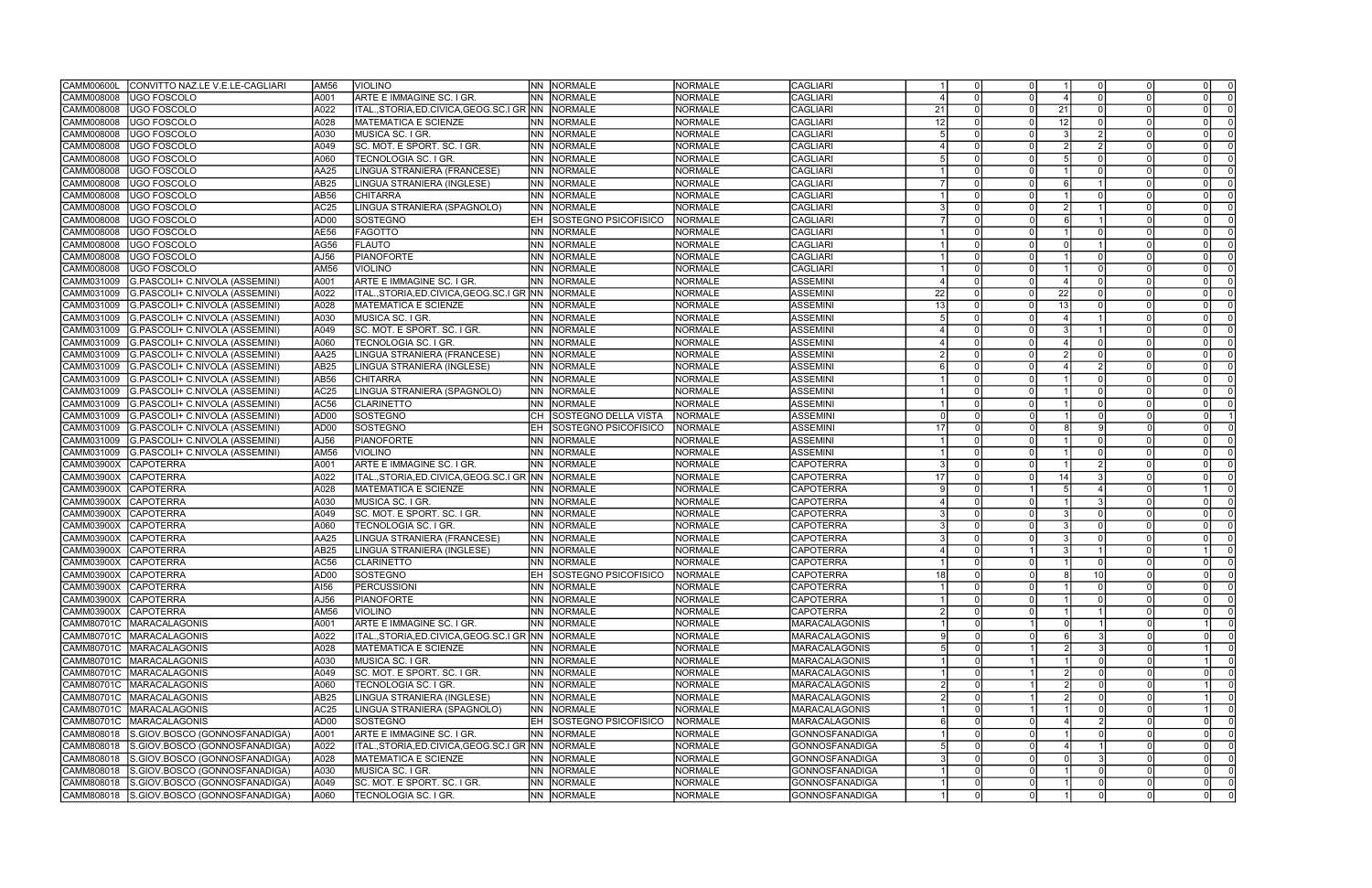| CAMM00600L<br>CONVITTO NAZ.LE V.E.LE-CAGLIARI | AM56             | <b>VIOLINO</b>                                       | INN I     | NORMALE                     | <b>NORMALE</b> | CAGLIARI              |                 |          |          |    |                 |                            |
|-----------------------------------------------|------------------|------------------------------------------------------|-----------|-----------------------------|----------------|-----------------------|-----------------|----------|----------|----|-----------------|----------------------------|
| <b>UGO FOSCOLO</b><br>CAMM008008              | A001             | ARTE E IMMAGINE SC. I GR.                            | NN.       | NORMALE                     | NORMALE        | <b>CAGLIARI</b>       |                 |          |          |    |                 |                            |
| UGO FOSCOLO<br>CAMM008008                     | A022             | ITAL.,STORIA,ED.CIVICA,GEOG.SC.I GR INN              |           | NORMALE                     | <b>NORMALE</b> | <b>CAGLIARI</b>       | -21             |          |          | 21 |                 |                            |
| UGO FOSCOLO<br>CAMM008008                     | A028             | <b>MATEMATICA E SCIENZE</b>                          | INN I     | NORMALE                     | <b>NORMALE</b> | CAGLIARI              | 12              |          |          | 12 |                 |                            |
| CAMM008008<br><b>UGO FOSCOLO</b>              | A030             | MUSICA SC. I GR.                                     | <b>NN</b> | <b>NORMALE</b>              | <b>NORMALE</b> | <b>CAGLIARI</b>       |                 |          |          |    |                 |                            |
| CAMM008008<br>UGO FOSCOLO                     | A049             | SC. MOT. E SPORT. SC. I GR.                          | INN.      | <b>NORMALE</b>              | <b>NORMALE</b> | CAGLIARI              |                 |          |          |    |                 |                            |
| UGO FOSCOLO<br>CAMM008008                     | A060             | TECNOLOGIA SC. I GR.                                 | INN       | NORMALE                     | <b>NORMALE</b> | <b>CAGLIARI</b>       |                 |          |          |    |                 | $\Omega$                   |
| CAMM008008<br>UGO FOSCOLO                     | AA25             | LINGUA STRANIERA (FRANCESE)                          | INN I     | NORMALE                     | <b>NORMALE</b> | <b>CAGLIARI</b>       |                 |          |          |    |                 |                            |
| CAMM008008<br><b>UGO FOSCOLO</b>              | AB25             |                                                      | INN I     | NORMALE                     | <b>NORMALE</b> | CAGLIARI              |                 |          |          |    |                 |                            |
|                                               |                  | LINGUA STRANIERA (INGLESE)                           |           |                             |                |                       |                 |          |          |    |                 |                            |
| <b>UGO FOSCOLO</b><br>CAMM008008              | AB56             | CHITARRA                                             | INN I     | NORMALE                     | <b>NORMALE</b> | <b>CAGLIARI</b>       |                 |          |          |    |                 |                            |
| CAMM008008<br>UGO FOSCOLO                     | AC25             | LINGUA STRANIERA (SPAGNOLO)                          | INN       | <b>NORMALE</b>              | <b>NORMALE</b> | CAGLIARI              |                 |          |          |    |                 |                            |
| CAMM008008<br>UGO FOSCOLO                     | AD00             | <b>SOSTEGNO</b>                                      |           | SOSTEGNO PSICOFISICO        | <b>NORMALE</b> | <b>CAGLIARI</b>       |                 |          |          |    |                 | $\Omega$                   |
| CAMM008008<br>UGO FOSCOLO                     | AE56             | <b>FAGOTTO</b>                                       | NN.       | NORMALE                     | <b>NORMALE</b> | CAGLIARI              |                 |          |          |    |                 | 0                          |
| CAMM008008<br><b>UGO FOSCOLO</b>              | AG56             | <b>FLAUTO</b>                                        | INN I     | NORMALE                     | <b>NORMALE</b> | CAGLIARI              |                 |          |          |    |                 | $\Omega$                   |
| CAMM008008<br>UGO FOSCOLO                     | AJ56             | <b>PIANOFORTE</b>                                    | INN I     | NORMALE                     | <b>NORMALE</b> | <b>CAGLIARI</b>       |                 |          |          |    |                 |                            |
| CAMM008008<br>UGO FOSCOLO                     | <b>AM56</b>      | <b>VIOLINO</b>                                       | <b>NN</b> | <b>NORMALE</b>              | <b>NORMALE</b> | <b>CAGLIARI</b>       |                 |          |          |    |                 |                            |
| CAMM031009<br>G.PASCOLI+ C.NIVOLA (ASSEMINI)  | A001             | ARTE E IMMAGINE SC. I GR.                            | NN.       | <b>NORMALE</b>              | <b>NORMALE</b> | <b>ASSEMINI</b>       |                 |          |          |    |                 |                            |
| CAMM031009<br>G.PASCOLI+ C.NIVOLA (ASSEMINI)  | A022             | ITAL.,STORIA,ED.CIVICA,GEOG.SC.I GR INN              |           | NORMALE                     | <b>NORMALE</b> | <b>ASSEMIN</b>        | 22              |          |          | 22 |                 |                            |
| CAMM031009<br>G.PASCOLI+ C.NIVOLA (ASSEMINI)  | A028             | <b>MATEMATICA E SCIENZE</b>                          | INN I     | NORMALE                     | <b>NORMALE</b> | <b>ASSEMIN</b>        | 13              |          |          | 13 |                 |                            |
| CAMM031009<br>G.PASCOLI+ C.NIVOLA (ASSEMINI)  | A030             | MUSICA SC. I GR.                                     | NN.       | NORMALE                     | <b>NORMALE</b> | <b>ASSEMIN</b>        |                 |          |          |    |                 |                            |
| CAMM031009<br>G.PASCOLI+ C.NIVOLA (ASSEMINI)  | A049             | SC. MOT. E SPORT. SC. I GR.                          | INN I     | NORMALE                     | <b>NORMALE</b> | <b>ASSEMIN</b>        |                 |          |          |    |                 |                            |
| CAMM031009<br>G.PASCOLI+ C.NIVOLA (ASSEMINI)  | A060             | TECNOLOGIA SC. I GR.                                 | INN       | NORMALE                     | <b>NORMALE</b> | ASSEMINI              |                 | $\Omega$ |          |    |                 |                            |
| G.PASCOLI+ C.NIVOLA (ASSEMINI)<br>CAMM031009  | AA25             | LINGUA STRANIERA (FRANCESE)                          | INN       | NORMALE                     | <b>NORMALE</b> | ASSEMINI              |                 |          |          |    |                 |                            |
| CAMM031009<br>G.PASCOLI+ C.NIVOLA (ASSEMINI)  | AB25             | LINGUA STRANIERA (INGLESE)                           | INN I     | NORMALE                     | <b>NORMALE</b> | <b>ASSEMIN</b>        |                 |          |          |    |                 |                            |
| CAMM031009<br>G.PASCOLI+ C.NIVOLA (ASSEMINI)  | AB56             | <b>CHITARRA</b>                                      | INN I     | NORMALE                     | <b>NORMALE</b> | <b>ASSEMIN</b>        |                 |          |          |    |                 | $\Omega$                   |
| CAMM031009<br>G.PASCOLI+ C.NIVOLA (ASSEMINI)  | AC <sub>25</sub> | LINGUA STRANIERA (SPAGNOLO)                          | INN I     | NORMALE                     | <b>NORMALE</b> | <b>ASSEMIN</b>        |                 | $\Omega$ |          |    |                 |                            |
| CAMM031009<br>G.PASCOLI+ C.NIVOLA (ASSEMINI)  | AC56             | <b>CLARINETTO</b>                                    | INN I     | <b>NORMALE</b>              | <b>NORMALE</b> | <b>ASSEMIN</b>        |                 |          |          |    |                 |                            |
|                                               |                  |                                                      |           |                             |                |                       |                 |          |          |    |                 |                            |
| CAMM031009<br>G.PASCOLI+ C.NIVOLA (ASSEMINI)  | AD <sub>00</sub> | <b>SOSTEGNO</b>                                      |           | SOSTEGNO DELLA VISTA        | <b>NORMALE</b> | <b>ASSEMINI</b>       |                 |          |          |    |                 |                            |
| G.PASCOLI+ C.NIVOLA (ASSEMINI)<br>CAMM031009  | AD <sub>00</sub> | <b>SOSTEGNO</b>                                      |           | SOSTEGNO PSICOFISICO        | <b>NORMALE</b> | ASSEMINI              | 17              |          |          |    |                 | $\Omega$                   |
| G.PASCOLI+ C.NIVOLA (ASSEMINI)<br>CAMM031009  | AJ56             | <b>PIANOFORTE</b>                                    | INN I     | <b>NORMALE</b>              | <b>NORMALE</b> | ASSEMINI              |                 |          |          |    |                 |                            |
| CAMM031009<br>G.PASCOLI+ C.NIVOLA (ASSEMINI)  | AM56             | <b>VIOLINO</b>                                       | INN.      | <b>NORMALE</b>              | <b>NORMALE</b> | ASSEMINI              |                 | $\Omega$ |          |    |                 |                            |
| <b>CAPOTERRA</b><br>CAMM03900X                | A001             | ARTE E IMMAGINE SC. I GR.                            | INN       | NORMALE                     | <b>NORMALE</b> | <b>CAPOTERRA</b>      |                 | $\Omega$ |          |    |                 |                            |
| <b>CAPOTERRA</b><br>CAMM03900X                | A022             | ITAL.,STORIA,ED.CIVICA,GEOG.SC.I GR NN               |           | NORMALE                     | <b>NORMALE</b> | <b>CAPOTERRA</b>      | 17              |          |          | 14 |                 |                            |
| CAMM03900X<br><b>CAPOTERRA</b>                | A028             | <b>MATEMATICA E SCIENZE</b>                          | INN I     | NORMALE                     | <b>NORMALE</b> | <b>CAPOTERRA</b>      |                 |          |          |    |                 |                            |
| <b>CAPOTERRA</b><br>CAMM03900X                | A030             | MUSICA SC. I GR.                                     | INN I     | NORMALE                     | <b>NORMALE</b> | <b>CAPOTERRA</b>      |                 |          |          |    |                 | $\Omega$                   |
| CAMM03900X<br>ICAPOTERRA                      | A049             | SC. MOT. E SPORT. SC. I GR.                          | INN I     | NORMALE                     | <b>NORMALE</b> | <b>CAPOTERRA</b>      |                 |          |          |    |                 |                            |
| CAMM03900X<br><b>CAPOTERRA</b>                | A060             | TECNOLOGIA SC. I GR.                                 | INN I     | <b>NORMALE</b>              | <b>NORMALE</b> | <b>CAPOTERRA</b>      |                 |          |          |    |                 | - 0                        |
| CAMM03900X<br><b>CAPOTERRA</b>                | AA25             | LINGUA STRANIERA (FRANCESE)                          | INN.      | NORMALE                     | <b>NORMALE</b> | <b>CAPOTERRA</b>      |                 |          |          |    |                 |                            |
| CAMM03900X<br><b>CAPOTERRA</b>                | AB25             | LINGUA STRANIERA (INGLESE)                           | INN I     | <b>NORMALE</b>              | <b>NORMALE</b> | <b>CAPOTERRA</b>      |                 |          |          |    |                 |                            |
| <b>CAPOTERRA</b><br>CAMM03900X                | AC56             | <b>CLARINETTO</b>                                    | INN I     | <b>NORMALE</b>              | <b>NORMALE</b> | <b>CAPOTERRA</b>      |                 |          |          |    |                 | $\Omega$                   |
| CAMM03900X CAPOTERRA                          | AD00             | SOSTEGNO                                             | EH.       | <b>SOSTEGNO PSICOFISICO</b> | <b>NORMALE</b> | <b>CAPOTERRA</b>      | 18 <sup>1</sup> |          |          |    | 10 <sup>1</sup> |                            |
| CAMM03900X CAPOTERRA                          | AI56             | <b>PERCUSSIONI</b>                                   |           | NN NORMALE                  | <b>NORMALE</b> | ICAPOTERRA            |                 | $\Omega$ |          |    |                 | 0 <br>$\Omega$             |
| CAMM03900X<br><b>CAPOTERRA</b>                | AJ56             | <b>PIANOFORTE</b>                                    |           | NN NORMALE                  | <b>NORMALE</b> | <b>CAPOTERRA</b>      |                 | $\Omega$ |          |    |                 | $\overline{0}$<br>$\Omega$ |
| CAMM03900X<br><b>CAPOTERRA</b>                | AM56             | <b>VIOLINO</b>                                       |           | NN NORMALE                  | <b>NORMALE</b> | <b>CAPOTERRA</b>      |                 |          |          |    |                 | - 0                        |
| CAMM80701C<br><b>MARACALAGONIS</b>            | A001             | ARTE E IMMAGINE SC. I GR.                            |           | NN NORMALE                  | <b>NORMALE</b> | <b>MARACALAGONIS</b>  |                 |          |          |    |                 |                            |
| CAMM80701C MARACALAGONIS                      | A022             | ITAL.,STORIA,ED.CIVICA,GEOG.SC.I GR INN              |           | NORMALE                     | <b>NORMALE</b> | MARACALAGONIS         |                 |          |          |    |                 |                            |
| CAMM80701C MARACALAGONIS                      | A028             | MATEMATICA E SCIENZE                                 |           | NN NORMALE                  | <b>NORMALE</b> | <b>MARACALAGONIS</b>  |                 |          |          |    |                 |                            |
|                                               |                  |                                                      |           | NN NORMALE                  | <b>NORMALE</b> | <b>MARACALAGONIS</b>  |                 |          |          |    |                 |                            |
| CAMM80701C<br><b>MARACALAGONIS</b>            | A030             | MUSICA SC. I GR.                                     |           |                             |                |                       |                 |          |          |    |                 |                            |
| CAMM80701C<br>MARACALAGONIS                   | A049             | SC. MOT. E SPORT. SC. I GR.                          |           | NN NORMALE                  | <b>NORMALE</b> | <b>MARACALAGONIS</b>  |                 |          |          |    |                 |                            |
| <b>CAMM80701C</b><br>MARACALAGONIS            | A060             | TECNOLOGIA SC. I GR.                                 | INN I     | NORMALE                     | <b>NORMALE</b> | <b>MARACALAGONIS</b>  |                 |          |          |    |                 |                            |
| CAMM80701C<br><b>MARACALAGONIS</b>            | AB25             | LINGUA STRANIERA (INGLESE)                           |           | NN NORMALE                  | <b>NORMALE</b> | MARACALAGONIS         |                 |          |          |    |                 |                            |
| CAMM80701C<br><b>MARACALAGONIS</b>            | AC25             | LINGUA STRANIERA (SPAGNOLO)                          |           | <b>NN NORMALE</b>           | <b>NORMALE</b> | <b>MARACALAGONIS</b>  |                 |          |          |    |                 |                            |
| CAMM80701C<br><b>MARACALAGONIS</b>            | AD00             | SOSTEGNO                                             | EH.       | SOSTEGNO PSICOFISICO        | NORMALE        | <b>MARACALAGONIS</b>  |                 |          |          |    |                 |                            |
| CAMM808018<br>S.GIOV.BOSCO (GONNOSFANADIGA)   | A001             | ARTE E IMMAGINE SC. I GR.                            |           | NN NORMALE                  | <b>NORMALE</b> | GONNOSFANADIGA        |                 |          |          |    |                 | $\Omega$                   |
| CAMM808018<br>S.GIOV.BOSCO (GONNOSFANADIGA)   | A022             | ITAL., STORIA, ED. CIVICA, GEOG. SC. I GR NN NORMALE |           |                             | <b>NORMALE</b> | GONNOSFANADIGA        |                 |          |          |    |                 |                            |
| CAMM808018<br>S.GIOV.BOSCO (GONNOSFANADIGA)   | A028             | <b>MATEMATICA E SCIENZE</b>                          | INN I     | NORMALE                     | <b>NORMALE</b> | <b>GONNOSFANADIGA</b> |                 |          |          |    |                 | $\Omega$                   |
| CAMM808018<br>S.GIOV.BOSCO (GONNOSFANADIGA)   | A030             | MUSICA SC. I GR.                                     |           | NN NORMALE                  | <b>NORMALE</b> | <b>GONNOSFANADIGA</b> |                 |          |          |    |                 | 0I                         |
| CAMM808018<br>S.GIOV.BOSCO (GONNOSFANADIGA)   | A049             | SC. MOT. E SPORT. SC. I GR.                          |           | NN NORMALE                  | <b>NORMALE</b> | GONNOSFANADIGA        |                 |          |          |    |                 | $\Omega$                   |
| CAMM808018<br>S.GIOV.BOSCO (GONNOSFANADIGA)   | A060             | TECNOLOGIA SC. I GR.                                 |           | NN NORMALE                  | <b>NORMALE</b> | GONNOSFANADIGA        |                 | $\Omega$ | $\Omega$ |    |                 | $\Omega$                   |
|                                               |                  |                                                      |           |                             |                |                       |                 |          |          |    |                 |                            |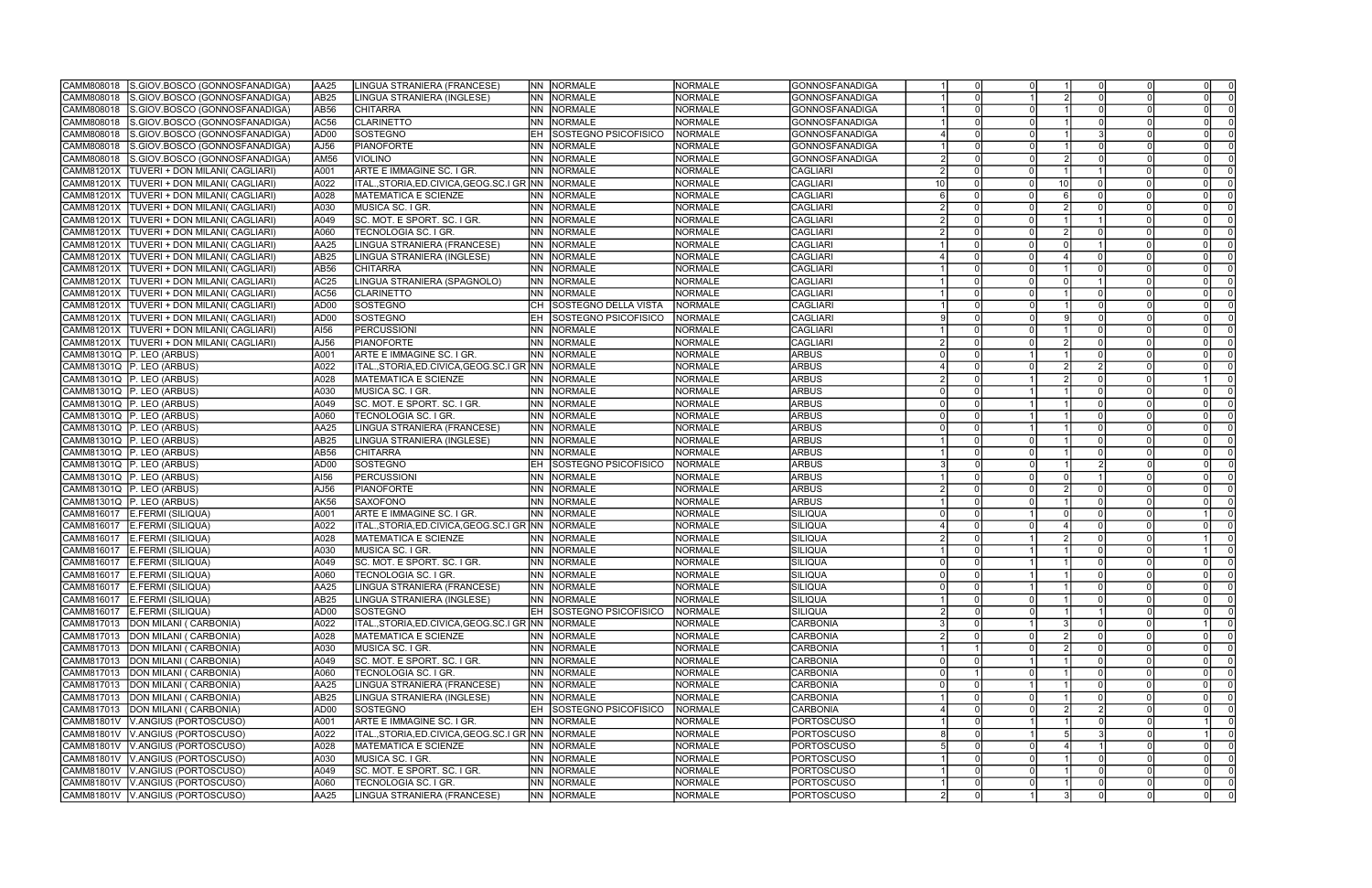| CAMM808018        | S.GIOV.BOSCO (GONNOSFANADIGA)               | AA25             | LINGUA STRANIERA (FRANCESE)                          |           | NN NORMALE                     | <b>NORMALE</b> | GONNOSFANADIGA        |          |    |  |                                     |
|-------------------|---------------------------------------------|------------------|------------------------------------------------------|-----------|--------------------------------|----------------|-----------------------|----------|----|--|-------------------------------------|
| CAMM808018        | S.GIOV.BOSCO (GONNOSFANADIGA)               | AB <sub>25</sub> | LINGUA STRANIERA (INGLESE)                           | INN .     | NORMALE                        | <b>NORMALE</b> | <b>GONNOSFANADIGA</b> |          |    |  |                                     |
| CAMM808018        | S.GIOV.BOSCO (GONNOSFANADIGA)               | AB56             | <b>CHITARRA</b>                                      | INN -     | NORMALE                        | <b>NORMALE</b> | GONNOSFANADIGA        |          |    |  |                                     |
| CAMM808018        | S.GIOV.BOSCO (GONNOSFANADIGA)               | AC56             | <b>CLARINETTO</b>                                    | INN I     | NORMALE                        | <b>NORMALE</b> | <b>GONNOSFANADIGA</b> |          |    |  |                                     |
| CAMM808018        | S.GIOV.BOSCO (GONNOSFANADIGA)               | AD00             | SOSTEGNO                                             | IEH.      | SOSTEGNO PSICOFISICO           | NORMALE        | GONNOSFANADIGA        |          |    |  |                                     |
| CAMM808018        | S.GIOV.BOSCO (GONNOSFANADIGA)               | AJ56             | <b>PIANOFORTE</b>                                    | INN.      | NORMALE                        | <b>NORMALE</b> | <b>GONNOSFANADIGA</b> |          |    |  |                                     |
| CAMM808018        | S.GIOV.BOSCO (GONNOSFANADIGA)               | <b>AM56</b>      | VIOLINO                                              | INN.      | <b>NORMALE</b>                 | <b>NORMALE</b> | <b>GONNOSFANADIGA</b> |          |    |  |                                     |
| <b>CAMM81201X</b> | TUVERI + DON MILANI( CAGLIARI)              | A001             | ARTE E IMMAGINE SC. I GR.                            | <b>NN</b> | NORMALE                        | <b>NORMALE</b> | <b>CAGLIARI</b>       |          |    |  |                                     |
| CAMM81201X        | <b>TUVERI + DON MILANI( CAGLIARI)</b>       | A022             | ITAL.,STORIA,ED.CIVICA,GEOG.SC.I GR INN INORMALE     |           |                                | <b>NORMALE</b> | <b>CAGLIARI</b>       |          | 10 |  |                                     |
| CAMM81201X        | <b>TUVERI + DON MILANI( CAGLIARI)</b>       | A028             | <b>MATEMATICA E SCIENZE</b>                          | INN .     | <b>NORMALE</b>                 | NORMALE        | <b>CAGLIARI</b>       |          |    |  |                                     |
| CAMM81201X        | <b>TUVERI + DON MILANI( CAGLIARI)</b>       | A030             | MUSICA SC. I GR.                                     | INN .     | NORMALE                        | <b>NORMALE</b> | <b>CAGLIARI</b>       |          |    |  | $\Omega$                            |
|                   |                                             |                  |                                                      |           |                                | <b>NORMALE</b> | <b>CAGLIARI</b>       |          |    |  |                                     |
| CAMM81201X        | <b>TUVERI + DON MILANI( CAGLIARI)</b>       | A049             | SC. MOT. E SPORT. SC. I GR.                          |           | NN NORMALE                     |                |                       |          |    |  |                                     |
|                   | CAMM81201X   TUVERI + DON MILANI( CAGLIARI) | A060             | TECNOLOGIA SC. I GR.                                 | INN .     | <b>NORMALE</b>                 | <b>NORMALE</b> | CAGLIARI              |          |    |  |                                     |
| CAMM81201X        | <b>TUVERI + DON MILANI( CAGLIARI)</b>       | AA25             | LINGUA STRANIERA (FRANCESE)                          |           | NN NORMALE                     | <b>NORMALE</b> | <b>ICAGLIARI</b>      |          |    |  |                                     |
| CAMM81201X        | TUVERI + DON MILANI( CAGLIARI)              | AB <sub>25</sub> | LINGUA STRANIERA (INGLESE)                           | <b>NN</b> | NORMALE                        | <b>NORMALE</b> | <b>CAGLIARI</b>       |          |    |  |                                     |
| CAMM81201X        | <b>TUVERI + DON MILANI( CAGLIARI)</b>       | AB <sub>56</sub> | <b>CHITARRA</b>                                      | <b>NN</b> | <b>NORMALE</b>                 | <b>NORMALE</b> | <b>CAGLIARI</b>       |          |    |  |                                     |
| CAMM81201X        | <b>TUVERI + DON MILANI( CAGLIARI)</b>       | AC <sub>25</sub> | LINGUA STRANIERA (SPAGNOLO)                          | <b>NN</b> | NORMALE                        | <b>NORMALE</b> | <b>CAGLIARI</b>       |          |    |  |                                     |
| CAMM81201X        | <b>TUVERI + DON MILANI( CAGLIARI)</b>       | AC56             | <b>CLARINETTO</b>                                    | <b>NN</b> | NORMALE                        | <b>NORMALE</b> | <b>CAGLIARI</b>       |          |    |  |                                     |
| CAMM81201X        | <b>TUVERI + DON MILANI( CAGLIARI)</b>       | AD00             | <b>SOSTEGNO</b>                                      |           | <b>SOSTEGNO DELLA VISTA</b>    | NORMALE        | <b>CAGLIARI</b>       |          |    |  |                                     |
| CAMM81201X        | <b>TUVERI + DON MILANI( CAGLIARI)</b>       | AD00             | SOSTEGNO                                             | IEH.      | SOSTEGNO PSICOFISICO           | NORMALE        | <b>CAGLIARI</b>       |          |    |  |                                     |
|                   | CAMM81201X TUVERI + DON MILANI( CAGLIARI)   | AI56             | <b>PERCUSSIONI</b>                                   | INN .     | NORMALE                        | <b>NORMALE</b> | <b>CAGLIARI</b>       |          |    |  |                                     |
|                   | CAMM81201X   TUVERI + DON MILANI( CAGLIARI) | AJ56             | <b>PIANOFORTE</b>                                    | <b>NN</b> | NORMALE                        | <b>NORMALE</b> | <b>CAGLIARI</b>       |          |    |  | $\Omega$                            |
|                   | CAMM81301Q   P. LEO (ARBUS)                 | A001             | ARTE E IMMAGINE SC. I GR.                            | INN .     | NORMALE                        | <b>NORMALE</b> | <b>ARBUS</b>          |          |    |  |                                     |
|                   | CAMM81301Q   P. LEO (ARBUS)                 | A022             | ITAL.,STORIA,ED.CIVICA,GEOG.SC.I GR INN              |           | NORMALE                        | <b>NORMALE</b> | <b>ARBUS</b>          |          |    |  |                                     |
|                   | CAMM81301Q P. LEO (ARBUS)                   | A028             | <b>MATEMATICA E SCIENZE</b>                          |           | NN NORMALE                     | <b>NORMALE</b> | <b>ARBUS</b>          |          |    |  |                                     |
|                   | CAMM81301Q   P. LEO (ARBUS)                 | A030             | MUSICA SC. I GR.                                     | INN .     | NORMALE                        | <b>NORMALE</b> | <b>ARBUS</b>          |          |    |  |                                     |
|                   | CAMM81301Q P. LEO (ARBUS)                   | A049             | SC. MOT. E SPORT. SC. I GR.                          | INN .     | NORMALE                        | <b>NORMALE</b> | <b>ARBUS</b>          |          |    |  |                                     |
|                   | CAMM81301Q   P. LEO (ARBUS)                 | A060             | TECNOLOGIA SC. I GR.                                 | INN .     | NORMALE                        | <b>NORMALE</b> | <b>ARBUS</b>          |          |    |  |                                     |
|                   | CAMM81301Q   P. LEO (ARBUS)                 | AA25             | LINGUA STRANIERA (FRANCESE)                          | <b>NN</b> | <b>NORMALE</b>                 | <b>NORMALE</b> | <b>ARBUS</b>          |          |    |  | $\Omega$                            |
|                   | CAMM81301Q P. LEO (ARBUS)                   | AB25             | LINGUA STRANIERA (INGLESE)                           | <b>NN</b> | NORMALE                        | <b>NORMALE</b> | <b>ARBUS</b>          |          |    |  |                                     |
|                   | CAMM81301Q P. LEO (ARBUS)                   | AB56             | <b>CHITARRA</b>                                      | NN.       | NORMALE                        | <b>NORMALE</b> | <b>ARBUS</b>          |          |    |  |                                     |
|                   | CAMM81301Q   P. LEO (ARBUS)                 | AD <sub>00</sub> | SOSTEGNO                                             | IEH       | SOSTEGNO PSICOFISICO           | <b>NORMALE</b> | <b>ARBUS</b>          |          |    |  |                                     |
|                   | CAMM81301Q   P. LEO (ARBUS)                 | AI56             | PERCUSSIONI                                          | <b>NN</b> | NORMALE                        | <b>NORMALE</b> | <b>ARBUS</b>          |          |    |  | $\Omega$                            |
|                   | CAMM81301Q   P. LEO (ARBUS)                 | AJ56             | PIANOFORTE                                           | <b>NN</b> | NORMALE                        | <b>NORMALE</b> | <b>ARBUS</b>          |          |    |  |                                     |
|                   | CAMM81301Q P. LEO (ARBUS)                   | AK56             | <b>SAXOFONO</b>                                      | INN .     | NORMALE                        | <b>NORMALE</b> | <b>ARBUS</b>          |          |    |  |                                     |
|                   | CAMM816017 E.FERMI (SILIQUA)                | A001             | ARTE E IMMAGINE SC. I GR.                            | <b>NN</b> | NORMALE                        | <b>NORMALE</b> | SILIQUA               |          |    |  |                                     |
| CAMM816017        | E.FERMI (SILIQUA)                           | A022             | ITAL.,STORIA,ED.CIVICA,GEOG.SC.I GR NN               |           | NORMALE                        | <b>NORMALE</b> | SILIQUA               |          |    |  |                                     |
| CAMM816017        | E.FERMI (SILIQUA)                           | A028             | <b>MATEMATICA E SCIENZE</b>                          | INN.      | <b>NORMALE</b>                 | <b>NORMALE</b> | SILIQUA               |          |    |  |                                     |
| CAMM816017        | E.FERMI (SILIQUA)                           | A030             | MUSICA SC. I GR.                                     | INN -     | NORMALE                        | NORMALE        | SILIQUA               |          |    |  |                                     |
|                   | CAMM816017   E.FERMI (SILIQUA)              | A049             | SC. MOT. E SPORT. SC. I GR.                          | <b>NN</b> | <b>NORMALE</b>                 | <b>NORMALE</b> | SILIQUA               |          |    |  |                                     |
|                   | CAMM816017 E.FERMI (SILIQUA)                | A060             | <b>TECNOLOGIA SC. I GR.</b>                          |           | <b>NN NORMALE</b>              | <b>NORMALE</b> | SILIQUA               |          |    |  |                                     |
|                   | CAMM816017 E.FERMI (SILIQUA)                | JAA25            | LINGUA STRANIERA (FRANCESE)                          |           | INN INORMALE                   | NORMALE        | SILIQUA               | 0        |    |  | - 0 I<br>$\Omega$                   |
|                   | CAMM816017 E.FERMI (SILIQUA)                | AB <sub>25</sub> | LINGUA STRANIERA (INGLESE)                           |           | NN NORMALE                     | <b>NORMALE</b> | SILIQUA               | $\Omega$ |    |  | $\overline{\mathbf{0}}$<br>$\Omega$ |
|                   | CAMM816017 E.FERMI (SILIQUA)                | AD <sub>00</sub> | SOSTEGNO                                             |           | <b>EH SOSTEGNO PSICOFISICO</b> | NORMALE        | SILIQUA               |          |    |  | $\Omega$                            |
|                   | CAMM817013 DON MILANI (CARBONIA)            | A022             | ITAL., STORIA, ED. CIVICA, GEOG. SC. I GR NN NORMALE |           |                                | <b>NORMALE</b> | CARBONIA              |          |    |  |                                     |
|                   | CAMM817013 DON MILANI (CARBONIA)            | A028             | MATEMATICA E SCIENZE                                 |           | NN NORMALE                     | <b>NORMALE</b> | <b>CARBONIA</b>       |          |    |  | $\Omega$<br>$\Omega$                |
|                   | CAMM817013 DON MILANI (CARBONIA)            | A030             | MUSICA SC. I GR.                                     |           | NN NORMALE                     | NORMALE        | CARBONIA              |          |    |  | $\Omega$<br>$\Omega$                |
|                   | CAMM817013 DON MILANI (CARBONIA)            | A049             | SC. MOT. E SPORT. SC. I GR.                          |           | NN NORMALE                     | <b>NORMALE</b> | CARBONIA              |          |    |  |                                     |
|                   | CAMM817013 DON MILANI ( CARBONIA)           | A060             | TECNOLOGIA SC. I GR.                                 | INN .     | <b>NORMALE</b>                 | <b>NORMALE</b> | <b>CARBONIA</b>       |          |    |  | $\Omega$                            |
|                   | CAMM817013 DON MILANI ( CARBONIA)           | AA <sub>25</sub> | LINGUA STRANIERA (FRANCESE)                          |           | NN NORMALE                     | <b>NORMALE</b> | CARBONIA              |          |    |  | $\Omega$<br>- 0                     |
|                   |                                             |                  |                                                      |           |                                |                |                       |          |    |  |                                     |
|                   | CAMM817013 DON MILANI (CARBONIA)            | AB <sub>25</sub> | LINGUA STRANIERA (INGLESE)<br><b>SOSTEGNO</b>        |           | NN NORMALE                     | <b>NORMALE</b> | CARBONIA              |          |    |  | $\Omega$                            |
|                   | CAMM817013 DON MILANI (CARBONIA)            | AD00             |                                                      |           | <b>EH SOSTEGNO PSICOFISICO</b> | NORMALE        | <b>CARBONIA</b>       |          |    |  | $\Omega$                            |
|                   | CAMM81801V V.ANGIUS (PORTOSCUSO)            | A001             | ARTE E IMMAGINE SC. I GR.                            |           | NN NORMALE                     | <b>NORMALE</b> | <b>PORTOSCUSO</b>     |          |    |  |                                     |
|                   | CAMM81801V   V.ANGIUS (PORTOSCUSO)          | A022             | ITAL., STORIA, ED. CIVICA, GEOG. SC. I GR NN NORMALE |           |                                | <b>NORMALE</b> | <b>PORTOSCUSO</b>     |          |    |  |                                     |
|                   | CAMM81801V   V.ANGIUS (PORTOSCUSO)          | A028             | MATEMATICA E SCIENZE                                 | <b>NN</b> | <b>NORMALE</b>                 | <b>NORMALE</b> | <b>PORTOSCUSO</b>     |          |    |  | $\Omega$                            |
|                   | CAMM81801V   V.ANGIUS (PORTOSCUSO)          | A030             | MUSICA SC. I GR.                                     |           | NN NORMALE                     | <b>NORMALE</b> | <b>PORTOSCUSO</b>     |          |    |  | $\Omega$                            |
|                   | CAMM81801V V.ANGIUS (PORTOSCUSO)            | A049             | SC. MOT. E SPORT. SC. I GR.                          |           | NN NORMALE                     | <b>NORMALE</b> | <b>PORTOSCUSO</b>     |          |    |  | $\Omega$                            |
|                   | CAMM81801V   V.ANGIUS (PORTOSCUSO)          | A060             | TECNOLOGIA SC. I GR.                                 |           | NN NORMALE                     | NORMALE        | <b>PORTOSCUSO</b>     |          |    |  | $\Omega$                            |
|                   | CAMM81801V   V.ANGIUS (PORTOSCUSO)          | AA <sub>25</sub> | LINGUA STRANIERA (FRANCESE)                          |           | NN NORMALE                     | <b>NORMALE</b> | PORTOSCUSO            |          |    |  |                                     |

| 0                       | 1                         | $\overline{0}$            | $\overline{0}$            | 0                         | $\overline{0}$                       |
|-------------------------|---------------------------|---------------------------|---------------------------|---------------------------|--------------------------------------|
| $\overline{1}$          | $\overline{2}$            | $\overline{0}$            | $\overline{0}$            | 0                         | $\overline{0}$                       |
|                         |                           |                           |                           |                           |                                      |
| $\overline{0}$          | $\overline{1}$            | $\overline{0}$            | $\overline{0}$            | $\overline{0}$            | $\overline{0}$                       |
| $\overline{0}$          | $\overline{1}$            | $\overline{0}$            | $\overline{0}$            | $\overline{0}$            | $\overline{0}$                       |
| $\overline{0}$          | $\overline{1}$            | $\overline{\overline{3}}$ | $\overline{0}$            | $\overline{0}$            | $\overline{0}$                       |
| 0                       | 1                         | $\overline{0}$            | 0                         | 0                         | $\overline{0}$                       |
| $\overline{0}$          | $\overline{2}$            | $\overline{0}$            | $\overline{0}$            | $\overline{0}$            | $\overline{0}$                       |
| $\overline{0}$          | $\overline{1}$            | $\overline{1}$            | $\overline{0}$            | 0                         | $\overline{0}$                       |
| $\overline{0}$          | $\overline{10}$           | $\overline{0}$            | $\overline{0}$            | $\overline{0}$            | $\overline{0}$                       |
| $\overline{0}$          | $\overline{6}$            | $\overline{0}$            | $\overline{0}$            | $\overline{0}$            | $\overline{0}$                       |
| 0                       | $\overline{2}$            | $\overline{0}$            | $\overline{0}$            | 0                         | $\overline{0}$                       |
|                         |                           |                           |                           |                           |                                      |
| 0                       | $\overline{1}$            | $\overline{1}$            | $\overline{0}$            | 0                         | $\overline{0}$                       |
| 0                       | $\overline{2}$            | $\overline{0}$            | $\overline{0}$            | 0                         | $\overline{0}$                       |
| $\overline{0}$          | $\overline{0}$            | $\overline{1}$            | $\overline{0}$            | 0                         | $\overline{0}$                       |
| $\overline{0}$          | 4                         | $\overline{0}$            | $\overline{0}$            | $\overline{0}$            | $\overline{0}$                       |
| $\overline{0}$          | $\overline{1}$            | $\overline{0}$            | $\overline{0}$            | $\overline{0}$            | $\overline{0}$                       |
| $\overline{0}$          | $\overline{0}$            | $\overline{1}$            | $\overline{0}$            | 0                         | $\overline{0}$                       |
| $\overline{0}$          | $\overline{1}$            | $\overline{0}$            | $\overline{0}$            | $\overline{0}$            | $\overline{0}$                       |
| 0                       | $\overline{1}$            | $\overline{0}$            | $\overline{0}$            | 0                         | $\overline{0}$                       |
| $\overline{0}$          | $\overline{9}$            | $\overline{0}$            | $\overline{0}$            | $\overline{\mathfrak{o}}$ | $\overline{0}$                       |
| $\overline{0}$          | $\overline{1}$            | $\overline{0}$            | $\overline{0}$            | $\overline{0}$            | $\overline{0}$                       |
|                         |                           |                           |                           |                           |                                      |
| 0                       | $\overline{2}$            | 0                         | 0                         | 0                         | $\overline{0}$                       |
| $\overline{\mathbf{1}}$ | 1                         | $\mathbf{0}$              | $\mathbf{0}$              | 0                         | $\overline{0}$                       |
| $\overline{0}$          | $\overline{2}$            | $\overline{2}$            | $\overline{0}$            | $\overline{0}$            | $\overline{0}$                       |
| 1                       | $\overline{2}$            | $\overline{0}$            | $\overline{\overline{o}}$ | $\overline{1}$            | $\overline{0}$                       |
| $\overline{1}$          | $\overline{1}$            | $\overline{0}$            | $\overline{0}$            | $\overline{0}$            | $\overline{0}$                       |
| $\overline{\mathbf{1}}$ | $\overline{1}$            | $\overline{0}$            | $\overline{0}$            | $\overline{0}$            | $\overline{0}$                       |
| $\overline{1}$          | 1                         | $\overline{0}$            | $\overline{0}$            | $\overline{0}$            | $\overline{0}$                       |
| $\overline{1}$          | $\overline{1}$            | $\overline{0}$            | $\overline{0}$            | 0                         | $\overline{0}$                       |
| $\overline{0}$          | $\overline{1}$            | $\overline{0}$            | $\overline{0}$            | $\overline{0}$            | $\overline{0}$                       |
|                         | 1                         | $\overline{0}$            | $\overline{0}$            |                           | $\overline{0}$                       |
| 0                       |                           |                           |                           | 0                         |                                      |
| $\overline{0}$          | $\overline{1}$            | $\overline{2}$            | $\overline{0}$            | $\overline{0}$            | $\overline{0}$                       |
| 0                       | $\overline{0}$            | $\overline{1}$            | 0                         | 0                         | $\overline{0}$                       |
| $\overline{0}$          | $\overline{2}$            | $\overline{0}$            | $\overline{0}$            | $\overline{0}$            | $\overline{0}$                       |
| $\overline{0}$          | $\overline{1}$            | $\overline{0}$            | $\overline{0}$            | $\overline{0}$            | $\overline{0}$                       |
| $\overline{\mathbf{1}}$ | $\overline{0}$            | $\overline{0}$            | $\overline{0}$            | $\overline{\mathbf{1}}$   | $\overline{0}$                       |
| $\overline{0}$          | $\overline{4}$            | $\overline{0}$            | $\overline{0}$            | $\overline{0}$            | $\overline{0}$                       |
| $\overline{1}$          | $\overline{2}$            | $\overline{0}$            | $\overline{0}$            | $\overline{1}$            | $\overline{0}$                       |
| $\overline{\mathbf{1}}$ | $\overline{\mathbf{1}}$   | $\overline{0}$            | $\overline{0}$            | 1                         | $\overline{0}$                       |
| $\overline{\mathbf{1}}$ | 1                         | $\mathbf{0}$              | $\mathbf{0}$              | 0                         | $\overline{0}$                       |
| $\overline{1}$          | $\overline{\mathbf{1}}$   | $\overline{0}$            | $\overline{0}$            | O                         | $\overline{\overline{\overline{0}}}$ |
| 1                       | 1                         | 0                         | 0                         | 0                         | 0                                    |
| $\overline{0}$          | $\overline{1}$            | $\overline{0}$            | $\overline{0}$            | $\overline{0}$            | $\overline{0}$                       |
|                         |                           |                           |                           |                           |                                      |
| 0                       | $\overline{1}$            | $\overline{1}$            | 0                         | 0                         | 0                                    |
| $\overline{1}$          | $\overline{\overline{3}}$ | $\overline{0}$            | $\overline{0}$            | $\overline{1}$            | $\overline{0}$                       |
| $\overline{0}$          | $\overline{2}$            | 0                         | $\overline{0}$            | $\overline{0}$            | $\overline{0}$                       |
| 0                       | $\overline{2}$            | $\overline{0}$            | $\overline{0}$            | 0                         | $\overline{0}$                       |
| 1                       | $\overline{\mathbf{1}}$   | 0                         | 0                         | 0                         | $\overline{0}$                       |
| 0                       | 1                         | 0                         | O                         | 0                         | $\overline{0}$                       |
| 1                       | 1                         | 0                         | 0                         | 0                         | $\overline{0}$                       |
| 0                       | $\overline{1}$            | 0                         | 0                         | 0                         | $\overline{0}$                       |
| 0                       | $\overline{2}$            | $\overline{2}$            | $\overline{0}$            | $\overline{0}$            | $\overline{0}$                       |
| $\overline{\mathbf{1}}$ | $\overline{1}$            | $\overline{0}$            | $\overline{0}$            | $\overline{\mathbf{1}}$   | $\overline{0}$                       |
| $\overline{\mathbf{1}}$ | 5                         | $\overline{\overline{3}}$ | $\overline{0}$            | $\overline{1}$            | $\overline{0}$                       |
|                         |                           |                           |                           |                           |                                      |
| 0                       | 4                         | $\overline{1}$            | $\overline{0}$            | $\overline{0}$            | $\overline{0}$                       |
| 0                       | 1                         | 0                         | 0                         | 0                         | 0                                    |
| $\overline{0}$          | $\overline{1}$            | $\overline{0}$            | $\overline{0}$            | $\overline{0}$            | $\overline{0}$                       |
| 0                       | 1                         | $\overline{0}$            | 0                         | 0                         | $\overline{0}$                       |
| $\overline{1}$          | $\overline{3}$            | $\overline{0}$            | $\overline{0}$            | $\overline{0}$            | $\overline{0}$                       |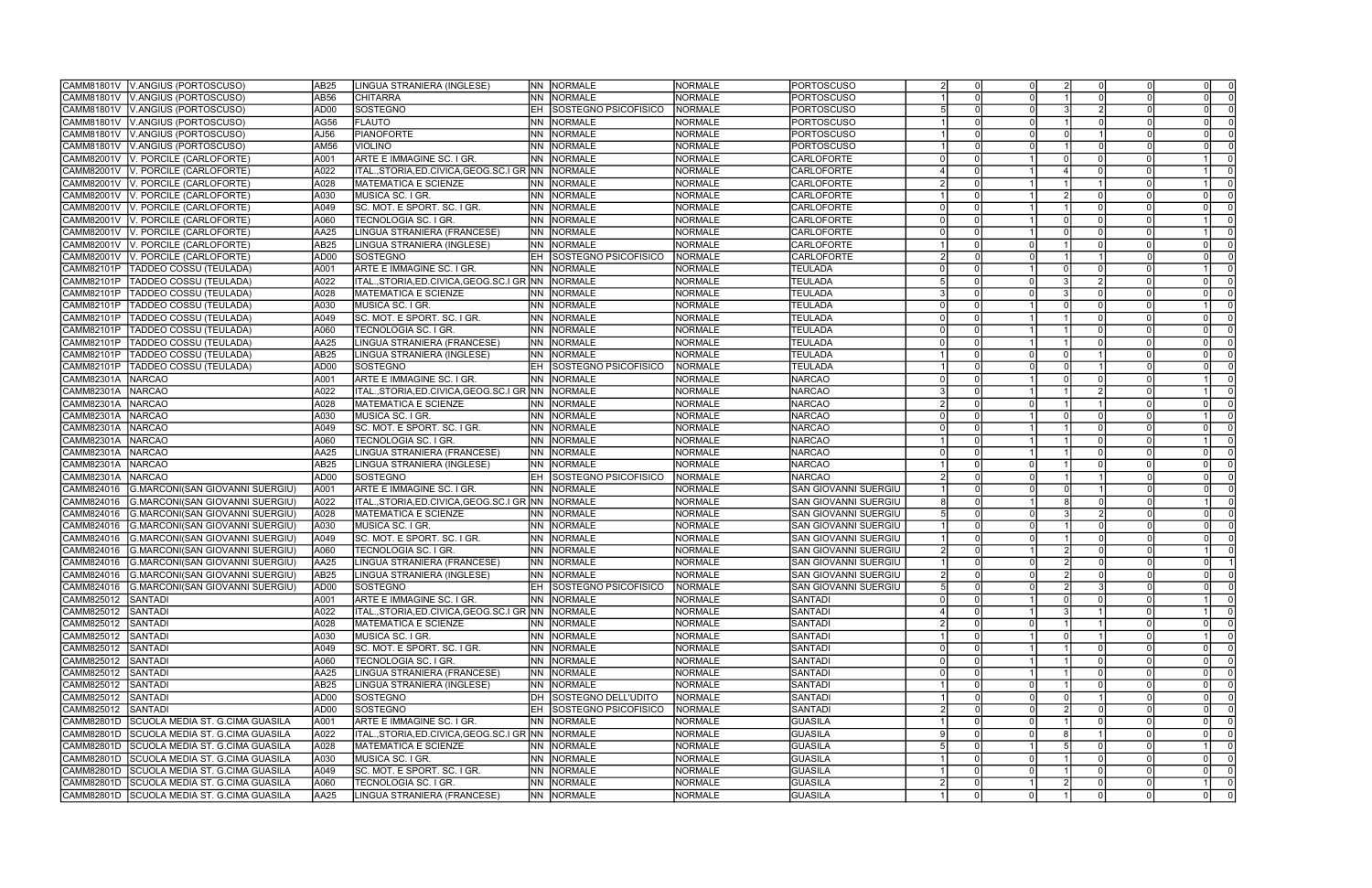| CAMM81801V   V.ANGIUS (PORTOSCUSO)                                  | AB <sub>25</sub>         | LINGUA STRANIERA (INGLESE)                           | NN NORMALE                         | <b>NORMALE</b> | <b>PORTOSCUSO</b>     |                |  |          |                 |
|---------------------------------------------------------------------|--------------------------|------------------------------------------------------|------------------------------------|----------------|-----------------------|----------------|--|----------|-----------------|
| V.ANGIUS (PORTOSCUSO)<br>CAMM81801V                                 | AB56                     | <b>CHITARRA</b>                                      | NN NORMALE                         | NORMALE        | <b>PORTOSCUSO</b>     |                |  |          |                 |
| V.ANGIUS (PORTOSCUSO)<br>CAMM81801V                                 | AD <sub>00</sub>         | <b>SOSTEGNO</b>                                      | <b>EH SOSTEGNO PSICOFISICO</b>     | <b>NORMALE</b> | <b>PORTOSCUSO</b>     |                |  |          |                 |
| CAMM81801V<br>V.ANGIUS (PORTOSCUSO)                                 | AG56                     | FLAUTO                                               | NN NORMALE                         | NORMALE        | <b>PORTOSCUSO</b>     |                |  |          |                 |
| V.ANGIUS (PORTOSCUSO)<br>CAMM81801V                                 | AJ56                     | PIANOFORTE                                           | NN NORMALE                         | <b>NORMALE</b> | <b>PORTOSCUSO</b>     |                |  |          |                 |
| CAMM81801V<br>V.ANGIUS (PORTOSCUSO)                                 | AM56                     | <b>VIOLINO</b>                                       | NORMALE<br>NN.                     | <b>NORMALE</b> | <b>PORTOSCUSO</b>     |                |  |          |                 |
| V. PORCILE (CARLOFORTE)<br>CAMM82001V                               | A001                     | ARTE E IMMAGINE SC. I GR.                            | NORMALE<br>NN -                    | <b>NORMALE</b> | <b>CARLOFORTE</b>     |                |  |          |                 |
| V. PORCILE (CARLOFORTE)<br>CAMM82001V                               | A022                     | ITAL.,STORIA,ED.CIVICA,GEOG.SC.I GR NN NORMALE       |                                    | <b>NORMALE</b> | <b>CARLOFORTE</b>     |                |  |          |                 |
| CAMM82001V<br>V. PORCILE (CARLOFORTE)                               | A028                     | <b>MATEMATICA E SCIENZE</b>                          | NN NORMALE                         | <b>NORMALE</b> | <b>CARLOFORTE</b>     |                |  |          |                 |
| CAMM82001V<br>V. PORCILE (CARLOFORTE)                               | A030                     | MUSICA SC. I GR.                                     | NN NORMALE                         | <b>NORMALE</b> | <b>CARLOFORTE</b>     |                |  |          |                 |
| CAMM82001V<br>V. PORCILE (CARLOFORTE)                               | A049                     | SC. MOT. E SPORT. SC. I GR.                          | NN.<br><b>NORMALE</b>              | <b>NORMALE</b> | <b>CARLOFORTE</b>     |                |  |          |                 |
| V. PORCILE (CARLOFORTE)<br>CAMM82001V                               | A060                     | TECNOLOGIA SC. I GR.                                 | NN NORMALE                         | <b>NORMALE</b> | <b>CARLOFORTE</b>     |                |  |          |                 |
| V. PORCILE (CARLOFORTE)<br>CAMM82001V                               | AA <sub>25</sub>         | LINGUA STRANIERA (FRANCESE)                          | NN NORMALE                         | <b>NORMALE</b> | <b>CARLOFORTE</b>     |                |  |          |                 |
| V. PORCILE (CARLOFORTE)<br>CAMM82001V                               | AB <sub>25</sub>         | LINGUA STRANIERA (INGLESE)                           | NN NORMALE                         | <b>NORMALE</b> | <b>CARLOFORTE</b>     |                |  | $\Omega$ |                 |
| CAMM82001V<br>V. PORCILE (CARLOFORTE)                               | AD <sub>00</sub>         | SOSTEGNO                                             | <b>EH SOSTEGNO PSICOFISICO</b>     | <b>NORMALE</b> | <b>CARLOFORTE</b>     |                |  |          |                 |
| CAMM82101P<br>TADDEO COSSU (TEULADA)                                | A001                     | ARTE E IMMAGINE SC. I GR.                            | NN NORMALE                         | <b>NORMALE</b> | <b>TEULADA</b>        |                |  |          |                 |
| CAMM82101P<br>TADDEO COSSU (TEULADA)                                | A022                     | ITAL.,STORIA,ED.CIVICA,GEOG.SC.I GR INN              | <b>NORMALE</b>                     | <b>NORMALE</b> | <b>TEULADA</b>        |                |  |          |                 |
| CAMM82101P<br>TADDEO COSSU (TEULADA)                                | A028                     | <b>MATEMATICA E SCIENZE</b>                          | NN.<br>NORMALE                     | <b>NORMALE</b> | <b>TEULADA</b>        |                |  |          |                 |
| <b>TADDEO COSSU (TEULADA)</b><br>CAMM82101P                         | A030                     | MUSICA SC. I GR.                                     | NN NORMALE                         | <b>NORMALE</b> | <b>TEULADA</b>        |                |  |          |                 |
| CAMM82101P<br><b>TADDEO COSSU (TEULADA)</b>                         | A049                     | SC. MOT. E SPORT. SC. I GR.                          | NN NORMALE                         | <b>NORMALE</b> | <b>TEULADA</b>        |                |  |          |                 |
| CAMM82101P<br>TADDEO COSSU (TEULADA)                                | A060                     | TECNOLOGIA SC. I GR.                                 | NORMALE<br>NN.                     | <b>NORMALE</b> | <b>TEULADA</b>        |                |  |          |                 |
| CAMM82101P<br>TADDEO COSSU (TEULADA)                                | AA <sub>25</sub>         | LINGUA STRANIERA (FRANCESE)                          | NN NORMALE                         | <b>NORMALE</b> | <b>TEULADA</b>        |                |  |          |                 |
| <b>TADDEO COSSU (TEULADA)</b>                                       |                          |                                                      | NN NORMALE                         | <b>NORMALE</b> | <b>TEULADA</b>        |                |  |          |                 |
| CAMM82101P                                                          | AB <sub>25</sub><br>AD00 | LINGUA STRANIERA (INGLESE)<br>SOSTEGNO               | EH.                                | <b>NORMALE</b> | <b>TEULADA</b>        |                |  |          |                 |
| TADDEO COSSU (TEULADA)<br>CAMM82101P<br>CAMM82301A<br><b>NARCAO</b> |                          | ARTE E IMMAGINE SC. I GR.                            | SOSTEGNO PSICOFISICO<br>NN NORMALE | <b>NORMALE</b> | <b>NARCAO</b>         |                |  |          |                 |
| CAMM82301A                                                          | A001                     |                                                      |                                    |                |                       |                |  |          |                 |
| NARCAO                                                              | A022                     | ITAL.,STORIA,ED.CIVICA,GEOG.SC.I GR NN NORMALE       |                                    | <b>NORMALE</b> | <b>NARCAO</b>         |                |  |          |                 |
| CAMM82301A<br><b>NARCAO</b>                                         | A028                     | <b>MATEMATICA E SCIENZE</b>                          | NN NORMALE                         | <b>NORMALE</b> | <b>NARCAO</b>         |                |  |          |                 |
| CAMM82301A<br><b>NARCAO</b>                                         | A030                     | MUSICA SC. I GR.                                     | NORMALE<br>NN .                    | <b>NORMALE</b> | NARCAO                |                |  |          |                 |
| <b>NARCAO</b><br>CAMM82301A                                         | A049                     | SC. MOT. E SPORT. SC. I GR.                          | NN NORMALE                         | <b>NORMALE</b> | <b>NARCAO</b>         |                |  |          |                 |
| CAMM82301A<br><b>NARCAO</b>                                         | A060                     | TECNOLOGIA SC. I GR.                                 | NN NORMALE                         | <b>NORMALE</b> | <b>NARCAO</b>         |                |  |          |                 |
| <b>NARCAO</b><br>CAMM82301A                                         | AA <sub>25</sub>         | LINGUA STRANIERA (FRANCESE)                          | NN NORMALE                         | <b>NORMALE</b> | NARCAO                |                |  |          |                 |
| <b>NARCAO</b><br>CAMM82301A                                         | AB <sub>25</sub>         | LINGUA STRANIERA (INGLESE)                           | NN NORMALE                         | <b>NORMALE</b> | <b>NARCAO</b>         |                |  |          |                 |
| CAMM82301A<br><b>NARCAO</b>                                         | AD <sub>00</sub>         | SOSTEGNO                                             | SOSTEGNO PSICOFISICO<br>EH         | NORMALE        | <b>NARCAO</b>         |                |  |          |                 |
| CAMM824016<br>G.MARCONI(SAN GIOVANNI SUERGIU)                       | A001                     | ARTE E IMMAGINE SC. I GR.                            | <b>NORMALE</b><br>NN.              | <b>NORMALE</b> | SAN GIOVANNI SUERGIU  |                |  |          |                 |
| CAMM824016<br>G.MARCONI(SAN GIOVANNI SUERGIU)                       | A022                     | ITAL., STORIA, ED. CIVICA, GEOG. SC. I GR NN NORMALE |                                    | <b>NORMALE</b> | SAN GIOVANNI SUERGIU  |                |  |          |                 |
| CAMM824016<br>G.MARCONI(SAN GIOVANNI SUERGIU)                       | A028                     | <b>MATEMATICA E SCIENZE</b>                          | NN NORMALE                         | <b>NORMALE</b> | SAN GIOVANNI SUERGIU  |                |  |          |                 |
| CAMM824016<br>G.MARCONI(SAN GIOVANNI SUERGIU)                       | A030                     | <b>IMUSICA SC. I GR.</b>                             | NN NORMALE                         | <b>NORMALE</b> | İSAN GIOVANNI SUERGIU |                |  |          |                 |
| CAMM824016<br>G.MARCONI(SAN GIOVANNI SUERGIU                        | A049                     | SC. MOT. E SPORT. SC. I GR.                          | <b>NORMALE</b><br>NN.              | <b>NORMALE</b> | SAN GIOVANNI SUERGIU  |                |  |          |                 |
| CAMM824016<br>IG.MARCONI(SAN GIOVANNI SUERGIU)                      | A060                     | TECNOLOGIA SC. I GR.                                 | NN NORMALE                         | <b>NORMALE</b> | SAN GIOVANNI SUERGIU  |                |  |          |                 |
| CAMM824016<br>G.MARCONI(SAN GIOVANNI SUERGIU)                       | AA <sub>25</sub>         | LINGUA STRANIERA (FRANCESE)                          | NN I<br><b>NORMALE</b>             | <b>NORMALE</b> | SAN GIOVANNI SUERGIU  |                |  |          |                 |
| CAMM824016 G.MARCONI(SAN GIOVANNI SUERGIU)                          | AB25                     | LINGUA STRANIERA (INGLESE)                           | <b>NN NORMALE</b>                  | NORMALE        | SAN GIOVANNI SUERGIU  |                |  |          |                 |
| CAMM824016 G.MARCONI(SAN GIOVANNI SUERGIU)                          | AD00                     | <b>SOSTEGNO</b>                                      | EH SOSTEGNO PSICOFISICO            | <b>NORMALE</b> | SAN GIOVANNI SUERGIU  |                |  | $\Omega$ |                 |
| CAMM825012<br>SANTADI                                               | A001                     | ARTE E IMMAGINE SC. I GR.                            | NN NORMALE                         | <b>NORMALE</b> | <b>SANTADI</b>        |                |  |          | $\overline{0}$  |
| CAMM825012<br>SANTADI                                               | A022                     | ITAL., STORIA, ED. CIVICA, GEOG. SC. I GR NN NORMALE |                                    | NORMALE        | SANTADI               |                |  |          | $\overline{0}$  |
| CAMM825012<br>SANTADI                                               | A028                     | MATEMATICA E SCIENZE                                 | NN NORMALE                         | <b>NORMALE</b> | SANTADI               |                |  | $\Omega$ | $\Omega$        |
| CAMM825012<br><b>SANTADI</b>                                        | A030                     | MUSICA SC. I GR.                                     | NN NORMALE                         | <b>NORMALE</b> | SANTADI               |                |  |          |                 |
| ICAMM825012 ISANTADI                                                | A049                     | SC. MOT. E SPORT. SC. I GR.                          | NN NORMALE                         | NORMALE        | SANTADI               |                |  | $\Omega$ | - 0             |
| CAMM825012<br>SANTADI                                               | A060                     | TECNOLOGIA SC. I GR.                                 | NN NORMALE                         | <b>NORMALE</b> | SANTADI               |                |  | 0        | - 0             |
| CAMM825012<br>SANTADI                                               | AA <sub>25</sub>         | LINGUA STRANIERA (FRANCESE)                          | NN NORMALE                         | <b>NORMALE</b> | SANTADI               |                |  | $\Omega$ | - 0             |
| CAMM825012<br>SANTADI                                               | AB <sub>25</sub>         | LINGUA STRANIERA (INGLESE)                           | <b>NN NORMALE</b>                  | NORMALE        | SANTADI               |                |  | $\Omega$ | $\overline{0}$  |
| CAMM825012 SANTADI                                                  | AD00                     | SOSTEGNO                                             | DH SOSTEGNO DELL'UDITO             | NORMALE        | SANTADI               |                |  | $\Omega$ |                 |
| CAMM825012<br>SANTADI                                               | AD00                     | SOSTEGNO                                             | EH SOSTEGNO PSICOFISICO            | NORMALE        | SANTADI               |                |  | $\Omega$ |                 |
| CAMM82801D SCUOLA MEDIA ST. G.CIMA GUASILA                          | A001                     | ARTE E IMMAGINE SC. I GR.                            | INN INORMALE                       | NORMALE        | GUASILA               |                |  | $\Omega$ | $\Omega$        |
| CAMM82801D SCUOLA MEDIA ST. G.CIMA GUASILA                          | A022                     | ITAL., STORIA, ED. CIVICA, GEOG. SC. I GR NN NORMALE |                                    | NORMALE        | <b>GUASILA</b>        | $\Omega$       |  | $\Omega$ | $\Omega$        |
| CAMM82801D SCUOLA MEDIA ST. G.CIMA GUASILA                          | A028                     | MATEMATICA E SCIENZE                                 | NN NORMALE                         | NORMALE        | <b>GUASILA</b>        |                |  |          | $\Omega$        |
| CAMM82801D SCUOLA MEDIA ST. G.CIMA GUASILA                          | A030                     | MUSICA SC. I GR.                                     | NN NORMALE                         | <b>NORMALE</b> | <b>GUASILA</b>        |                |  | $\Omega$ | $\overline{0}$  |
| CAMM82801D SCUOLA MEDIA ST. G.CIMA GUASILA                          | A049                     | SC. MOT. E SPORT. SC. I GR.                          | NN NORMALE                         | NORMALE        | <b>GUASILA</b>        |                |  | 0 I      | $\Omega$        |
| CAMM82801D SCUOLA MEDIA ST. G.CIMA GUASILA                          | A060                     | TECNOLOGIA SC. I GR.                                 | NN NORMALE                         | NORMALE        | <b>GUASILA</b>        | $\overline{0}$ |  | $\Omega$ | - 0<br>$\Omega$ |
| CAMM82801D SCUOLA MEDIA ST. G.CIMA GUASILA                          | AA25                     | LINGUA STRANIERA (FRANCESE)                          | NN NORMALE                         | NORMALE        | <b>GUASILA</b>        | $\Omega$       |  | $\Omega$ |                 |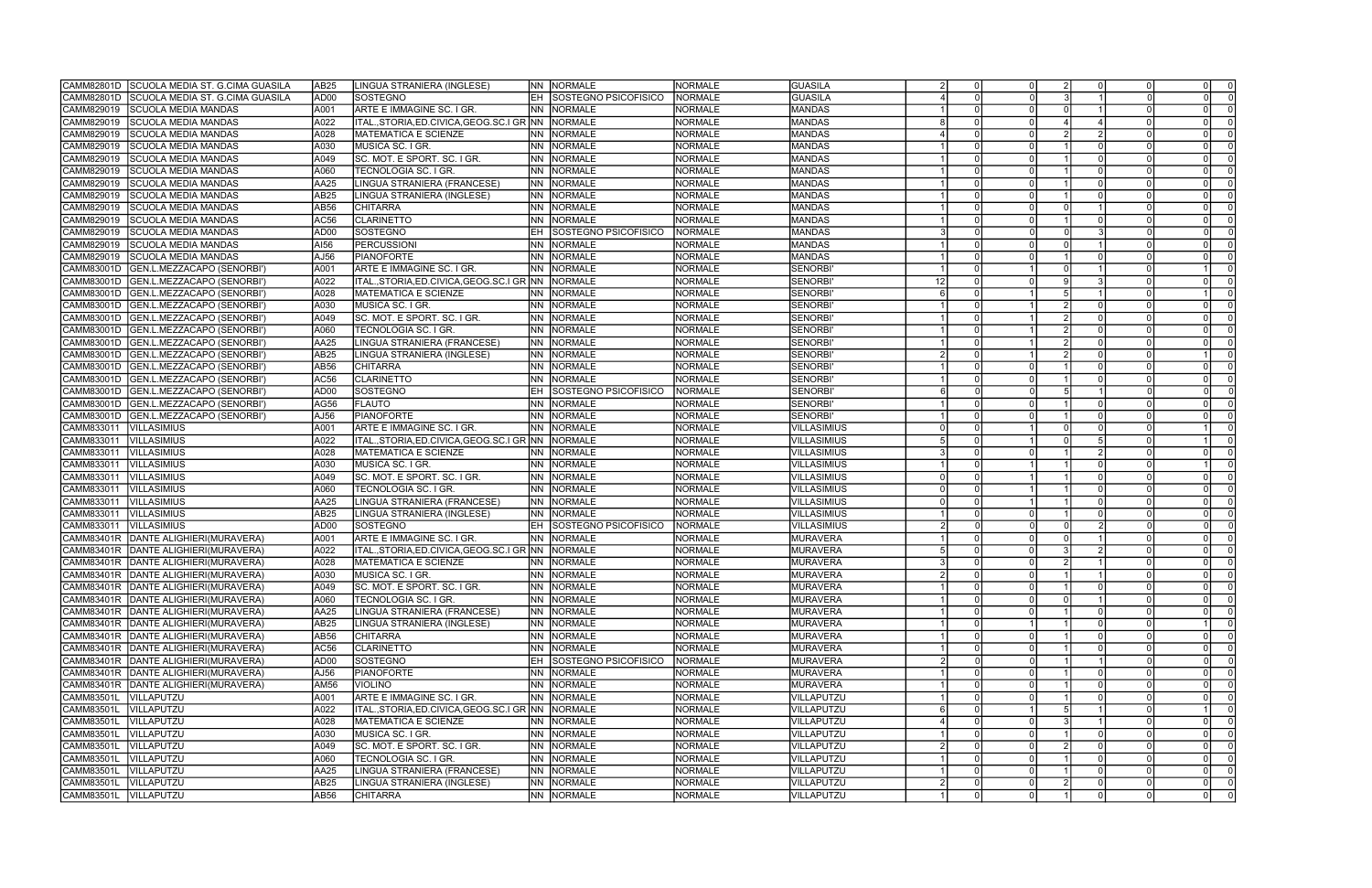|                          | CAMM82801D SCUOLA MEDIA ST. G.CIMA GUASILA | AB <sub>25</sub> | LINGUA STRANIERA (INGLESE)                           | INN -      | NORMALE                        | NORMALE                          | GUASILA                          |    | 0 I            |          |          |  | -01            |                |
|--------------------------|--------------------------------------------|------------------|------------------------------------------------------|------------|--------------------------------|----------------------------------|----------------------------------|----|----------------|----------|----------|--|----------------|----------------|
| CAMM82801D               | SCUOLA MEDIA ST. G.CIMA GUASILA            | AD <sub>00</sub> | SOSTEGNO                                             | EH         | SOSTEGNO PSICOFISICO           | NORMALE                          | <b>GUASILA</b>                   |    | $\Omega$       |          |          |  |                | $\Omega$       |
| CAMM829019               | <b>SCUOLA MEDIA MANDAS</b>                 | A001             | ARTE E IMMAGINE SC. I GR.                            | <b>NN</b>  | NORMALE                        | <b>NORMALE</b>                   | <b>MANDAS</b>                    |    | $\Omega$       |          |          |  | $\Omega$       |                |
| CAMM829019               | <b>SCUOLA MEDIA MANDAS</b>                 | A022             | ITALSTORIA.ED.CIVICA.GEOG.SC.I GR INN                |            | NORMALE                        | <b>NORMALE</b>                   | <b>MANDAS</b>                    |    | $\Omega$       |          |          |  |                |                |
| CAMM829019               | <b>SCUOLA MEDIA MANDAS</b>                 | A028             | <b>MATEMATICA E SCIENZE</b>                          | INN I      | NORMALE                        | <b>NORMALE</b>                   | MANDAS                           |    | $\Omega$       |          |          |  |                |                |
| CAMM829019               | <b>SCUOLA MEDIA MANDAS</b>                 | A030             | MUSICA SC. I GR.                                     | <b>NN</b>  | <b>NORMALE</b>                 | <b>NORMALE</b>                   | <b>MANDAS</b>                    |    | $\Omega$       |          |          |  | $\Omega$       |                |
| CAMM829019               | <b>SCUOLA MEDIA MANDAS</b>                 | A049             | SC. MOT. E SPORT. SC. I GR.                          | INN I      | <b>NORMALE</b>                 | <b>NORMALE</b>                   | <b>MANDAS</b>                    |    |                |          |          |  | $\Omega$       |                |
| CAMM829019               | <b>SCUOLA MEDIA MANDAS</b>                 | A060             | TECNOLOGIA SC. I GR.                                 | <b>NN</b>  | NORMALE                        | <b>NORMALE</b>                   | <b>MANDAS</b>                    |    | $\Omega$       |          |          |  | $\Omega$       |                |
| CAMM829019               | <b>SCUOLA MEDIA MANDAS</b>                 | AA25             | LINGUA STRANIERA (FRANCESE)                          | <b>NN</b>  | NORMALE                        | <b>NORMALE</b>                   | <b>MANDAS</b>                    |    | $\Omega$       |          |          |  | $\Omega$       |                |
| CAMM829019               | SCUOLA MEDIA MANDAS                        | AB25             | LINGUA STRANIERA (INGLESE)                           | INN I      | NORMALE                        | <b>NORMALE</b>                   | <b>MANDAS</b>                    |    | $\Omega$       |          |          |  |                |                |
| CAMM829019               | <b>SCUOLA MEDIA MANDAS</b>                 | AB56             | <b>CHITARRA</b>                                      | INN.       | NORMALE                        | <b>NORMALE</b>                   | <b>MANDAS</b>                    |    | $\Omega$       |          |          |  | $\Omega$       |                |
| CAMM829019               | <b>SCUOLA MEDIA MANDAS</b>                 | AC <sub>56</sub> | <b>CLARINETTO</b>                                    | <b>NN</b>  | NORMALE                        | <b>NORMALE</b>                   | MANDAS                           |    |                |          |          |  | $\Omega$       |                |
| CAMM829019               | <b>SCUOLA MEDIA MANDAS</b>                 | AD <sub>00</sub> | SOSTEGNO                                             | IEH.       | SOSTEGNO PSICOFISICO           | NORMALE                          | MANDAS                           |    | $\Omega$       |          |          |  | $\Omega$       |                |
| CAMM829019               | <b>SCUOLA MEDIA MANDAS</b>                 | AI56             | <b>PERCUSSIONI</b>                                   | <b>NN</b>  | <b>NORMALE</b>                 | <b>NORMALE</b>                   | MANDAS                           |    | $\Omega$       |          |          |  | $\Omega$       |                |
| CAMM829019               | <b>SCUOLA MEDIA MANDAS</b>                 | AJ56             | PIANOFORTE                                           | INN I      | <b>NORMALE</b>                 | <b>NORMALE</b>                   | <b>MANDAS</b>                    |    | $\Omega$       |          |          |  |                |                |
| CAMM83001D               | GEN.L.MEZZACAPO (SENORBI')                 | A001             | ARTE E IMMAGINE SC. I GR.                            | INN I      | <b>NORMALE</b>                 | <b>NORMALE</b>                   | <b>SENORBI</b>                   |    | $\Omega$       |          |          |  |                |                |
| CAMM83001D               | GEN.L.MEZZACAPO (SENORBI')                 | A022             | ITAL., STORIA, ED. CIVICA, GEOG. SC. I GR NN         |            | <b>NORMALE</b>                 | <b>NORMALE</b>                   | <b>SENORBI</b>                   | 12 | $\Omega$       |          |          |  | $\Omega$       |                |
| CAMM83001D               | GEN.L.MEZZACAPO (SENORBI')                 | A028             | <b>MATEMATICA E SCIENZE</b>                          | INN I      | <b>NORMALE</b>                 | <b>NORMALE</b>                   | <b>SENORBI</b>                   |    | $\Omega$       |          |          |  |                |                |
| CAMM83001D               | GEN.L.MEZZACAPO (SENORBI')                 | A030             | MUSICA SC. I GR.                                     | INN.       | <b>NORMALE</b>                 | <b>NORMALE</b>                   | <b>SENORBI</b>                   |    | $\Omega$       |          |          |  | $\Omega$       |                |
| CAMM83001D               | GEN.L.MEZZACAPO (SENORBI')                 | A049             | SC. MOT. E SPORT. SC. I GR.                          | <b>NN</b>  | NORMALE                        | <b>NORMALE</b>                   | <b>SENORBI</b>                   |    | $\Omega$       |          |          |  | $\Omega$       |                |
|                          |                                            |                  |                                                      |            |                                |                                  |                                  |    |                |          |          |  |                |                |
| CAMM83001D<br>CAMM83001D | GEN.L.MEZZACAPO (SENORBI')                 | A060             | TECNOLOGIA SC. I GR.                                 | INN.       | <b>NORMALE</b>                 | <b>NORMALE</b><br><b>NORMALE</b> | <b>SENORBI</b><br><b>SENORBI</b> |    | $\Omega$       |          |          |  | $\Omega$       |                |
|                          | GEN.L.MEZZACAPO (SENORBI')                 | AA25             | LINGUA STRANIERA (FRANCESE)                          | INN.       | NORMALE                        |                                  |                                  |    | $\Omega$       |          |          |  |                |                |
| CAMM83001D               | GEN.L.MEZZACAPO (SENORBI')                 | AB25             | LINGUA STRANIERA (INGLESE)                           | <b>NN</b>  | NORMALE                        | <b>NORMALE</b>                   | <b>SENORBI</b>                   |    |                |          |          |  |                |                |
| CAMM83001D               | GEN.L.MEZZACAPO (SENORBI')                 | AB56             | <b>CHITARRA</b>                                      | <b>NN</b>  | NORMALE                        | <b>NORMALE</b>                   | <b>SENORBI</b>                   |    |                |          |          |  | $\Omega$       |                |
| CAMM83001D               | GEN.L.MEZZACAPO (SENORBI')                 | AC56             | <b>CLARINETTO</b>                                    | INN.       | NORMALE                        | <b>NORMALE</b>                   | <b>SENORBI</b>                   |    | $\Omega$       |          |          |  | $\Omega$       |                |
| CAMM83001D               | GEN.L.MEZZACAPO (SENORBI')                 | AD <sub>00</sub> | SOSTEGNO                                             |            | <b>SOSTEGNO PSICOFISICO</b>    | <b>NORMALE</b>                   | <b>SENORBI</b>                   |    | $\Omega$       |          |          |  |                |                |
| CAMM83001D               | GEN.L.MEZZACAPO (SENORBI')                 | AG56             | <b>FLAUTO</b>                                        | INN.       | <b>NORMALE</b>                 | <b>NORMALE</b>                   | <b>SENORBI</b>                   |    | $\Omega$       |          |          |  |                |                |
| CAMM83001D               | GEN.L.MEZZACAPO (SENORBI')                 | AJ56             | <b>PIANOFORTE</b>                                    | <b>NN</b>  | <b>NORMALE</b>                 | <b>NORMALE</b>                   | <b>SENORBI</b>                   |    | $\Omega$       |          |          |  | $\Omega$       |                |
| CAMM833011               | <b>VILLASIMIUS</b>                         | A001             | ARTE E IMMAGINE SC. I GR.                            | <b>NN</b>  | <b>NORMALE</b>                 | NORMALE                          | VILLASIMIUS                      |    |                |          |          |  |                |                |
| CAMM833011               | VILLASIMIUS                                | A022             | ITAL., STORIA, ED. CIVICA, GEOG. SC. I GR NN         |            | NORMALE                        | <b>NORMALE</b>                   | VILLASIMIUS                      |    |                |          |          |  |                |                |
| CAMM833011               | <b>VILLASIMIUS</b>                         | A028             | <b>MATEMATICA E SCIENZE</b>                          |            | <b>NN NORMALE</b>              | <b>NORMALE</b>                   | VILLASIMIUS                      |    | $\Omega$       |          |          |  | $\Omega$       |                |
| CAMM833011               | <b>VILLASIMIUS</b>                         | A030             | MUSICA SC. I GR.                                     | <b>NN</b>  | NORMALE                        | <b>NORMALE</b>                   | VILLASIMIUS                      |    |                |          |          |  |                |                |
| CAMM833011               | VILLASIMIUS                                | A049             | SC. MOT. E SPORT. SC. I GR.                          | <b>INN</b> | NORMALE                        | <b>NORMALE</b>                   | VILLASIMIUS                      |    | $\Omega$       |          |          |  |                | 0 I            |
| CAMM833011               | <b>VILLASIMIUS</b>                         | A060             | TECNOLOGIA SC. I GR.                                 | <b>NN</b>  | NORMALE                        | <b>NORMALE</b>                   | VILLASIMIUS                      |    | $\Omega$       |          |          |  |                | - O I          |
| CAMM833011               | <b>VILLASIMIUS</b>                         | AA25             | LINGUA STRANIERA (FRANCESE)                          | <b>NN</b>  | NORMALE                        | <b>NORMALE</b>                   | VILLASIMIUS                      |    |                |          |          |  | $\Omega$       |                |
| CAMM833011               | <b>VILLASIMIUS</b>                         | AB25             | LINGUA STRANIERA (INGLESE)                           | <b>INN</b> | NORMALE                        | <b>NORMALE</b>                   | <b>VILLASIMIUS</b>               |    | $\Omega$       |          |          |  |                |                |
| CAMM833011               | <b>VILLASIMIUS</b>                         | AD <sub>00</sub> | SOSTEGNO                                             | leh.       | SOSTEGNO PSICOFISICO           | <b>NORMALE</b>                   | VILLASIMIUS                      |    | $\Omega$       |          |          |  |                |                |
| CAMM83401R               | DANTE ALIGHIERI(MURAVERA)                  | A001             | ARTE E IMMAGINE SC. I GR.                            | <b>NN</b>  | NORMALE                        | <b>NORMALE</b>                   | MURAVERA                         |    | $\Omega$       |          |          |  |                |                |
| CAMM83401R               | DANTE ALIGHIERI(MURAVERA)                  | A022             | ITAL., STORIA, ED. CIVICA, GEOG. SC. I GR INN        |            | <b>NORMALE</b>                 | <b>NORMALE</b>                   | MURAVERA                         |    | $\Omega$       |          |          |  | -01            |                |
| CAMM83401R               | DANTE ALIGHIERI(MURAVERA)                  | A028             | <b>MATEMATICA E SCIENZE</b>                          | NN         | NORMALE                        | NORMALE                          | <b>MURAVERA</b>                  |    |                |          |          |  |                | - O I          |
|                          | CAMM83401R DANTE ALIGHIERI(MURAVERA)       | A030             | MUSICA SC. I GR.                                     |            | NN NORMALE                     | <b>NORMALE</b>                   | <b>MURAVERA</b>                  |    | $\Omega$       |          |          |  |                | $\overline{0}$ |
|                          | CAMM83401R   DANTE ALIGHIERI (MURAVERA)    | A049             | SC. MOT. E SPORT. SC. I GR.                          |            | <b>NN NORMALE</b>              | NORMALE                          | MURAVERA                         |    |                | 0I       | $\Omega$ |  |                | 0 <sup>1</sup> |
| CAMM83401R               | DANTE ALIGHIERI (MURAVERA)                 | A060             | TECNOLOGIA SC. I GR.                                 |            | NN NORMALE                     | <b>NORMALE</b>                   | MURAVERA                         |    |                | 0I       |          |  |                | 0I             |
| CAMM83401R               | DANTE ALIGHIERI (MURAVERA)                 | AA25             | LINGUA STRANIERA (FRANCESE)                          |            | NN NORMALE                     | <b>NORMALE</b>                   | <b>MURAVERA</b>                  |    | $\overline{0}$ |          |          |  |                | 0 I            |
| CAMM83401R               | DANTE ALIGHIERI (MURAVERA)                 | AB <sub>25</sub> | LINGUA STRANIERA (INGLESE)                           |            | NN NORMALE                     | <b>NORMALE</b>                   | <b>MURAVERA</b>                  |    | 0 I            |          |          |  | $\overline{1}$ |                |
| CAMM83401R               | DANTE ALIGHIERI (MURAVERA)                 | AB <sub>56</sub> | <b>CHITARRA</b>                                      |            | NN NORMALE                     | <b>NORMALE</b>                   | <b>MURAVERA</b>                  |    | $\Omega$       |          |          |  |                | 0 I            |
| CAMM83401R               | DANTE ALIGHIERI (MURAVERA)                 | AC56             | <b>CLARINETTO</b>                                    |            | NN NORMALE                     | <b>NORMALE</b>                   | <b>MURAVERA</b>                  |    | $\Omega$       |          |          |  |                | -0 I           |
| CAMM83401R               | DANTE ALIGHIERI(MURAVERA)                  | AD <sub>00</sub> | SOSTEGNO                                             |            | <b>EH SOSTEGNO PSICOFISICO</b> | NORMALE                          | MURAVERA                         |    | 0l             |          |          |  |                | 0l             |
| CAMM83401R               | DANTE ALIGHIERI(MURAVERA)                  | AJ56             | PIANOFORTE                                           |            | NN NORMALE                     | <b>NORMALE</b>                   | <b>MURAVERA</b>                  |    | $\overline{0}$ |          |          |  |                | $\overline{0}$ |
| CAMM83401R               | DANTE ALIGHIERI (MURAVERA)                 | <b>AM56</b>      | <b>VIOLINO</b>                                       |            | NN NORMALE                     | <b>NORMALE</b>                   | <b>MURAVERA</b>                  |    | 0 I            |          |          |  |                | 0 I            |
| CAMM83501L               | <b>IVILLAPUTZU</b>                         | A001             | ARTE E IMMAGINE SC. I GR.                            |            | NN NORMALE                     | <b>NORMALE</b>                   | VILLAPUTZU                       |    | 0 I            |          |          |  |                | -0 I           |
| CAMM83501L               | VILLAPUTZU                                 | A022             | ITAL., STORIA, ED. CIVICA, GEOG. SC. I GR NN NORMALE |            |                                | <b>NORMALE</b>                   | VILLAPUTZU                       |    | $\Omega$       |          |          |  | $\overline{1}$ |                |
| CAMM83501L               | VILLAPUTZU                                 | A028             | MATEMATICA E SCIENZE                                 |            | NN NORMALE                     | <b>NORMALE</b>                   | VILLAPUTZU                       |    | $\Omega$       |          |          |  | $\Omega$       |                |
| CAMM83501L               | VILLAPUTZU                                 | A030             | MUSICA SC. I GR.                                     |            | NN NORMALE                     | <b>NORMALE</b>                   | VILLAPUTZU                       |    | $\Omega$       |          |          |  |                | 0 I            |
| CAMM83501L               | VILLAPUTZU                                 | A049             | SC. MOT. E SPORT. SC. I GR.                          |            | NN NORMALE                     | <b>NORMALE</b>                   | VILLAPUTZU                       |    | $\overline{0}$ |          |          |  |                | $\overline{0}$ |
| CAMM83501L               | VILLAPUTZU                                 | A060             | TECNOLOGIA SC. I GR.                                 |            | NN NORMALE                     | <b>NORMALE</b>                   | VILLAPUTZU                       |    | $\Omega$       |          |          |  |                | -0 I           |
| CAMM83501L               | VILLAPUTZU                                 | AA25             | LINGUA STRANIERA (FRANCESE)                          |            | NN NORMALE                     | <b>NORMALE</b>                   | VILLAPUTZU                       |    | 0 I            |          |          |  |                | -0 I           |
| CAMM83501L               | VILLAPUTZU                                 | AB25             | LINGUA STRANIERA (INGLESE)                           |            | NN NORMALE                     | NORMALE                          | VILLAPUTZU                       |    | $\overline{0}$ |          |          |  |                | 0              |
| CAMM83501L               | VILLAPUTZU                                 | <b>AB56</b>      | <b>CHITARRA</b>                                      |            | NN NORMALE                     | NORMALE                          | VILLAPUTZU                       |    | $\overline{0}$ | $\Omega$ |          |  |                | -0 I           |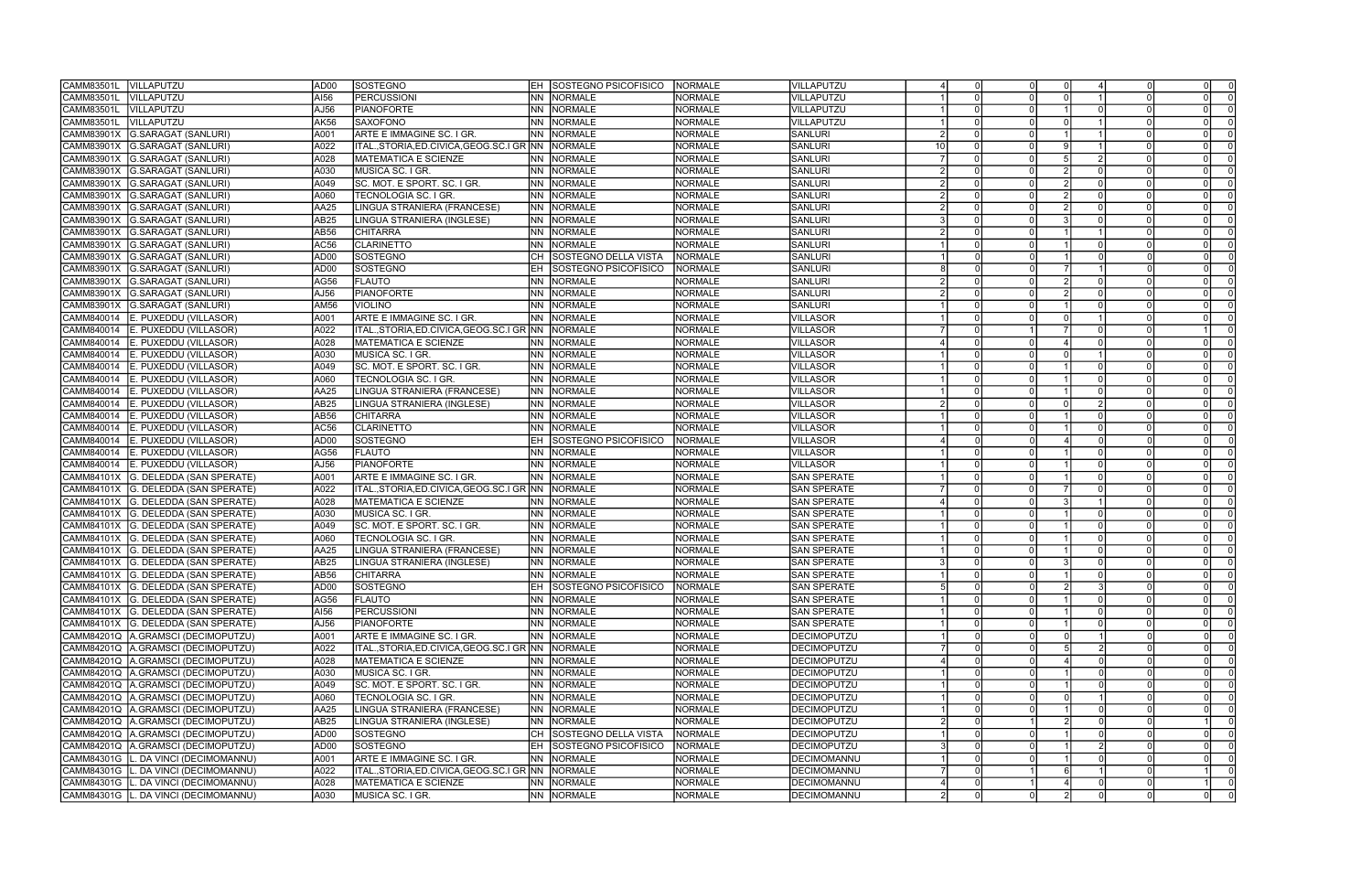| CAMM83501L | <b>VILLAPUTZU</b>                   | AD00             | SOSTEGNO                                             |            | <b>EH SOSTEGNO PSICOFISICO</b> | <b>NORMALE</b> | VILLAPUTZU         |     |                      |  | $\Omega$ |                |
|------------|-------------------------------------|------------------|------------------------------------------------------|------------|--------------------------------|----------------|--------------------|-----|----------------------|--|----------|----------------|
| CAMM83501L | VILLAPUTZU                          | AI56             | <b>PERCUSSIONI</b>                                   | <b>NN</b>  | NORMALE                        | <b>NORMALE</b> | <b>VILLAPUTZU</b>  |     |                      |  |          |                |
| CAMM83501L | VILLAPUTZU                          | AJ56             | PIANOFORTE                                           | <b>NN</b>  | NORMALE                        | <b>NORMALE</b> | VILLAPUTZU         |     |                      |  |          |                |
| CAMM83501L | VILLAPUTZU                          | <b>AK56</b>      | <b>SAXOFONO</b>                                      | <b>INN</b> | NORMALE                        | <b>NORMALE</b> | VILLAPUTZU         |     |                      |  |          |                |
| CAMM83901X | G.SARAGAT (SANLURI)                 | A001             | ARTE E IMMAGINE SC. I GR.                            | INN I      | <b>NORMALE</b>                 | <b>NORMALE</b> | <b>SANLURI</b>     |     |                      |  |          |                |
| CAMM83901X | G.SARAGAT (SANLURI)                 | A022             | ITAL.,STORIA,ED.CIVICA,GEOG.SC.I GR NN               |            | NORMALE                        | <b>NORMALE</b> | <b>SANLURI</b>     | -10 |                      |  |          |                |
|            |                                     |                  | <b>MATEMATICA E SCIENZE</b>                          |            |                                |                |                    |     |                      |  |          |                |
| CAMM83901X | G.SARAGAT (SANLURI)                 | A028             |                                                      | <b>NN</b>  | NORMALE                        | <b>NORMALE</b> | <b>SANLURI</b>     |     |                      |  |          |                |
| CAMM83901X | G.SARAGAT (SANLURI)                 | A030             | MUSICA SC. I GR.                                     | <b>NN</b>  | NORMALE                        | <b>NORMALE</b> | <b>SANLURI</b>     |     |                      |  | $\Omega$ |                |
| CAMM83901X | G.SARAGAT (SANLURI)                 | A049             | SC. MOT. E SPORT. SC. I GR.                          |            | <b>NN NORMALE</b>              | <b>NORMALE</b> | <b>SANLURI</b>     |     |                      |  |          |                |
| CAMM83901X | G.SARAGAT (SANLURI)                 | A060             | TECNOLOGIA SC. I GR.                                 | INN I      | NORMALE                        | <b>NORMALE</b> | <b>SANLURI</b>     |     |                      |  |          |                |
| CAMM83901X | G.SARAGAT (SANLURI)                 | AA25             | LINGUA STRANIERA (FRANCESE)                          | INN I      | NORMALE                        | <b>NORMALE</b> | <b>SANLURI</b>     |     |                      |  |          |                |
| CAMM83901X | G.SARAGAT (SANLURI)                 | AB <sub>25</sub> | LINGUA STRANIERA (INGLESE)                           | INN I      | NORMALE                        | <b>NORMALE</b> | <b>SANLURI</b>     |     |                      |  | $\Omega$ |                |
| CAMM83901X | G.SARAGAT (SANLURI)                 | AB56             | <b>CHITARRA</b>                                      |            | NN NORMALE                     | <b>NORMALE</b> | <b>SANLURI</b>     |     |                      |  | $\Omega$ |                |
| CAMM83901X | G.SARAGAT (SANLURI)                 | AC56             | <b>CLARINETTO</b>                                    | INN I      | NORMALE                        | <b>NORMALE</b> | <b>SANLURI</b>     |     |                      |  | $\Omega$ |                |
| CAMM83901X | <b>G.SARAGAT (SANLURI)</b>          | AD <sub>00</sub> | SOSTEGNO                                             |            | <b>SOSTEGNO DELLA VISTA</b>    | <b>NORMALE</b> | <b>SANLURI</b>     |     |                      |  |          |                |
| CAMM83901X | <b>G.SARAGAT (SANLURI)</b>          | AD00             | SOSTEGNO                                             | IEH.       | SOSTEGNO PSICOFISICO           | <b>NORMALE</b> | <b>SANLURI</b>     |     |                      |  |          |                |
| CAMM83901X | <b>G.SARAGAT (SANLURI)</b>          | AG56             | <b>FLAUTO</b>                                        | <b>NN</b>  | NORMALE                        | <b>NORMALE</b> | <b>SANLURI</b>     |     |                      |  |          |                |
| CAMM83901X | G.SARAGAT (SANLURI)                 | AJ56             | <b>PIANOFORTE</b>                                    | INN I      | NORMALE                        | <b>NORMALE</b> | SANLURI            |     |                      |  | $\Omega$ |                |
| CAMM83901X | <b>G.SARAGAT (SANLURI)</b>          | <b>AM56</b>      | VIOLINO                                              | INN I      | <b>NORMALE</b>                 | <b>NORMALE</b> | <b>SANLURI</b>     |     |                      |  |          |                |
| CAMM840014 | E. PUXEDDU (VILLASOR)               | A001             | ARTE E IMMAGINE SC. I GR.                            | <b>NN</b>  | NORMALE                        | <b>NORMALE</b> | <b>VILLASOR</b>    |     |                      |  |          |                |
| CAMM840014 | E. PUXEDDU (VILLASOR)               | A022             | ITALSTORIA.ED.CIVICA.GEOG.SC.I GR INN                |            | NORMALE                        | <b>NORMALE</b> | <b>VILLASOR</b>    |     |                      |  |          |                |
| CAMM840014 | E. PUXEDDU (VILLASOR)               | A028             | <b>MATEMATICA E SCIENZE</b>                          | INN I      | <b>NORMALE</b>                 | <b>NORMALE</b> | <b>VILLASOR</b>    |     |                      |  |          |                |
| CAMM840014 | E. PUXEDDU (VILLASOR)               | A030             | MUSICA SC. I GR.                                     | <b>NN</b>  | NORMALE                        | <b>NORMALE</b> | <b>VILLASOR</b>    |     |                      |  | $\Omega$ |                |
| CAMM840014 | E. PUXEDDU (VILLASOR)               | A049             | SC. MOT. E SPORT. SC. I GR.                          |            | NN NORMALE                     | <b>NORMALE</b> | <b>VILLASOR</b>    |     |                      |  |          |                |
| CAMM840014 |                                     | A060             | <b>TECNOLOGIA SC. I GR.</b>                          |            | NORMALE                        | <b>NORMALE</b> | <b>VILLASOR</b>    |     |                      |  |          |                |
|            | E. PUXEDDU (VILLASOR)               |                  |                                                      | INN I      |                                |                |                    |     |                      |  |          |                |
| CAMM840014 | E. PUXEDDU (VILLASOR)               | AA25             | LINGUA STRANIERA (FRANCESE)                          |            | NN NORMALE                     | <b>NORMALE</b> | <b>VILLASOR</b>    |     |                      |  |          |                |
| CAMM840014 | E. PUXEDDU (VILLASOR)               | AB25             | LINGUA STRANIERA (INGLESE)                           | <b>NN</b>  | <b>NORMALE</b>                 | <b>NORMALE</b> | <b>VILLASOR</b>    |     |                      |  |          |                |
| CAMM840014 | E. PUXEDDU (VILLASOR)               | AB56             | <b>CHITARRA</b>                                      | <b>NN</b>  | <b>NORMALE</b>                 | <b>NORMALE</b> | <b>VILLASOR</b>    |     |                      |  |          |                |
| CAMM840014 | E. PUXEDDU (VILLASOR)               | AC56             | CLARINETTO                                           | INN I      | <b>NORMALE</b>                 | <b>NORMALE</b> | <b>VILLASOR</b>    |     |                      |  |          |                |
| CAMM840014 | E. PUXEDDU (VILLASOR)               | AD00             | SOSTEGNO                                             | EH         | SOSTEGNO PSICOFISICO           | <b>NORMALE</b> | VILLASOR           |     |                      |  |          |                |
| CAMM840014 | E. PUXEDDU (VILLASOR)               | AG56             | <b>FLAUTO</b>                                        | <b>NN</b>  | NORMALE                        | <b>NORMALE</b> | <b>VILLASOR</b>    |     |                      |  |          |                |
| CAMM840014 | E. PUXEDDU (VILLASOR)               | AJ56             | <b>PIANOFORTE</b>                                    | INN I      | NORMALE                        | <b>NORMALE</b> | <b>VILLASOR</b>    |     |                      |  |          |                |
| CAMM84101X | G. DELEDDA (SAN SPERATE)            | A001             | ARTE E IMMAGINE SC. I GR.                            | INN I      | <b>NORMALE</b>                 | <b>NORMALE</b> | <b>SAN SPERATE</b> |     |                      |  |          |                |
| CAMM84101X | G. DELEDDA (SAN SPERATE)            | A022             | ITAL.,STORIA,ED.CIVICA,GEOG.SC.I GR NN               |            | NORMALE                        | <b>NORMALE</b> | <b>SAN SPERATE</b> |     |                      |  | $\Omega$ |                |
| CAMM84101X | G. DELEDDA (SAN SPERATE)            | A028             | <b>MATEMATICA E SCIENZE</b>                          | <b>NN</b>  | NORMALE                        | <b>NORMALE</b> | <b>SAN SPERATE</b> |     |                      |  |          |                |
| CAMM84101X | G. DELEDDA (SAN SPERATE)            | A030             | MUSICA SC. I GR.                                     | INN I      | NORMALE                        | <b>NORMALE</b> | <b>SAN SPERATE</b> |     |                      |  |          |                |
| CAMM84101X | G. DELEDDA (SAN SPERATE)            | A049             | SC. MOT. E SPORT. SC. I GR.                          | <b>NN</b>  | NORMALE                        | <b>NORMALE</b> | <b>SAN SPERATE</b> |     |                      |  |          |                |
| CAMM84101X | G. DELEDDA (SAN SPERATE)            | A060             | <b>TECNOLOGIA SC. I GR.</b>                          | <b>NN</b>  | NORMALE                        | <b>NORMALE</b> | <b>SAN SPERATE</b> |     |                      |  |          |                |
| CAMM84101X | G. DELEDDA (SAN SPERATE)            | AA25             | INGUA STRANIERA (FRANCESE)                           | <b>NN</b>  | <b>NORMALE</b>                 | <b>NORMALE</b> | <b>SAN SPERATE</b> |     |                      |  |          |                |
| CAMM84101X | G. DELEDDA (SAN SPERATE)            | AB25             | LINGUA STRANIERA (INGLESE)                           | INN .      | NORMALE                        | NORMALE        | <b>SAN SPERATE</b> |     |                      |  | $\Omega$ |                |
|            | CAMM84101X G. DELEDDA (SAN SPERATE) | AB56             | <b>CHITARRA</b>                                      |            | <b>NN NORMALE</b>              | <b>NORMALE</b> | <b>SAN SPERATE</b> |     |                      |  | $\Omega$ |                |
|            | CAMM84101X G. DELEDDA (SAN SPERATE) | AD00             | SOSTEGNO                                             | IEH.       | SOSTEGNO PSICOFISICO           | <b>NORMALE</b> | <b>SAN SPERATE</b> |     | $\Omega$             |  | 0 I      | $\overline{0}$ |
|            | CAMM84101X G. DELEDDA (SAN SPERATE) | AG56             | <b>FLAUTO</b>                                        |            | NN NORMALE                     | NORMALE        | <b>SAN SPERATE</b> |     | $\Omega$             |  | $\Omega$ | $\overline{0}$ |
|            | CAMM84101X G. DELEDDA (SAN SPERATE) | AI56             | PERCUSSIONI                                          |            | NN NORMALE                     | NORMALE        | <b>SAN SPERATE</b> |     |                      |  | $\Omega$ | $\overline{0}$ |
|            |                                     |                  |                                                      |            |                                |                |                    |     |                      |  | $\Omega$ | $\Omega$       |
|            | CAMM84101X G. DELEDDA (SAN SPERATE) | AJ56             | PIANOFORTE                                           |            | NN NORMALE                     | <b>NORMALE</b> | <b>SAN SPERATE</b> |     |                      |  |          |                |
| CAMM84201Q | A.GRAMSCI (DECIMOPUTZU)             | A001             | ARTE E IMMAGINE SC. I GR.                            |            | NN NORMALE                     | <b>NORMALE</b> | DECIMOPUTZU        |     |                      |  | $\Omega$ |                |
| CAMM84201Q | A.GRAMSCI (DECIMOPUTZU)             | A022             | ITAL., STORIA, ED. CIVICA, GEOG. SC. I GR NN NORMALE |            |                                | NORMALE        | <b>DECIMOPUTZU</b> |     |                      |  | $\Omega$ |                |
| CAMM84201Q | A.GRAMSCI (DECIMOPUTZU)             | A028             | MATEMATICA E SCIENZE                                 |            | NN NORMALE                     | NORMALE        | DECIMOPUTZU        |     |                      |  | $\Omega$ |                |
| CAMM84201Q | A.GRAMSCI (DECIMOPUTZU)             | A030             | MUSICA SC. I GR.                                     |            | NN NORMALE                     | <b>NORMALE</b> | DECIMOPUTZU        |     |                      |  |          |                |
| CAMM84201Q | A.GRAMSCI (DECIMOPUTZU)             | A049             | SC. MOT. E SPORT. SC. I GR.                          |            | NN NORMALE                     | <b>NORMALE</b> | <b>DECIMOPUTZU</b> |     |                      |  | $\Omega$ |                |
| CAMM84201Q | A.GRAMSCI (DECIMOPUTZU)             | A060             | TECNOLOGIA SC. I GR.                                 |            | NN NORMALE                     | NORMALE        | DECIMOPUTZU        |     |                      |  | 0I       |                |
| CAMM84201Q | A.GRAMSCI (DECIMOPUTZU)             | AA25             | LINGUA STRANIERA (FRANCESE)                          |            | NN NORMALE                     | NORMALE        | DECIMOPUTZU        |     |                      |  |          |                |
| CAMM84201Q | A.GRAMSCI (DECIMOPUTZU)             | AB25             | LINGUA STRANIERA (INGLESE)                           |            | NN NORMALE                     | <b>NORMALE</b> | DECIMOPUTZU        |     |                      |  |          |                |
| CAMM84201Q | A.GRAMSCI (DECIMOPUTZU)             | AD00             | SOSTEGNO                                             |            | CH SOSTEGNO DELLA VISTA        | NORMALE        | DECIMOPUTZU        |     |                      |  |          |                |
| CAMM84201Q | A.GRAMSCI (DECIMOPUTZU)             | AD <sub>00</sub> | SOSTEGNO                                             |            | <b>EH SOSTEGNO PSICOFISICO</b> | NORMALE        | <b>DECIMOPUTZU</b> |     |                      |  |          |                |
| CAMM84301G | DA VINCI (DECIMOMANNU)              | A001             | ARTE E IMMAGINE SC. I GR.                            |            | NN NORMALE                     | <b>NORMALE</b> | DECIMOMANNU        |     |                      |  | $\Omega$ |                |
| CAMM84301G | DA VINCI (DECIMOMANNU)              | A022             | ITAL., STORIA, ED. CIVICA, GEOG. SC. I GR NN NORMALE |            |                                | <b>NORMALE</b> | DECIMOMANNU        |     |                      |  |          |                |
| CAMM84301G | DA VINCI (DECIMOMANNU)              | A028             | MATEMATICA E SCIENZE                                 |            | NN NORMALE                     | NORMALE        | DECIMOMANNU        |     |                      |  |          |                |
| CAMM84301G | DA VINCI (DECIMOMANNU)              | A030             | MUSICA SC. I GR.                                     |            | NN NORMALE                     | NORMALE        | DECIMOMANNU        |     | $\Omega$<br>$\Omega$ |  | $\Omega$ |                |
|            |                                     |                  |                                                      |            |                                |                |                    |     |                      |  |          |                |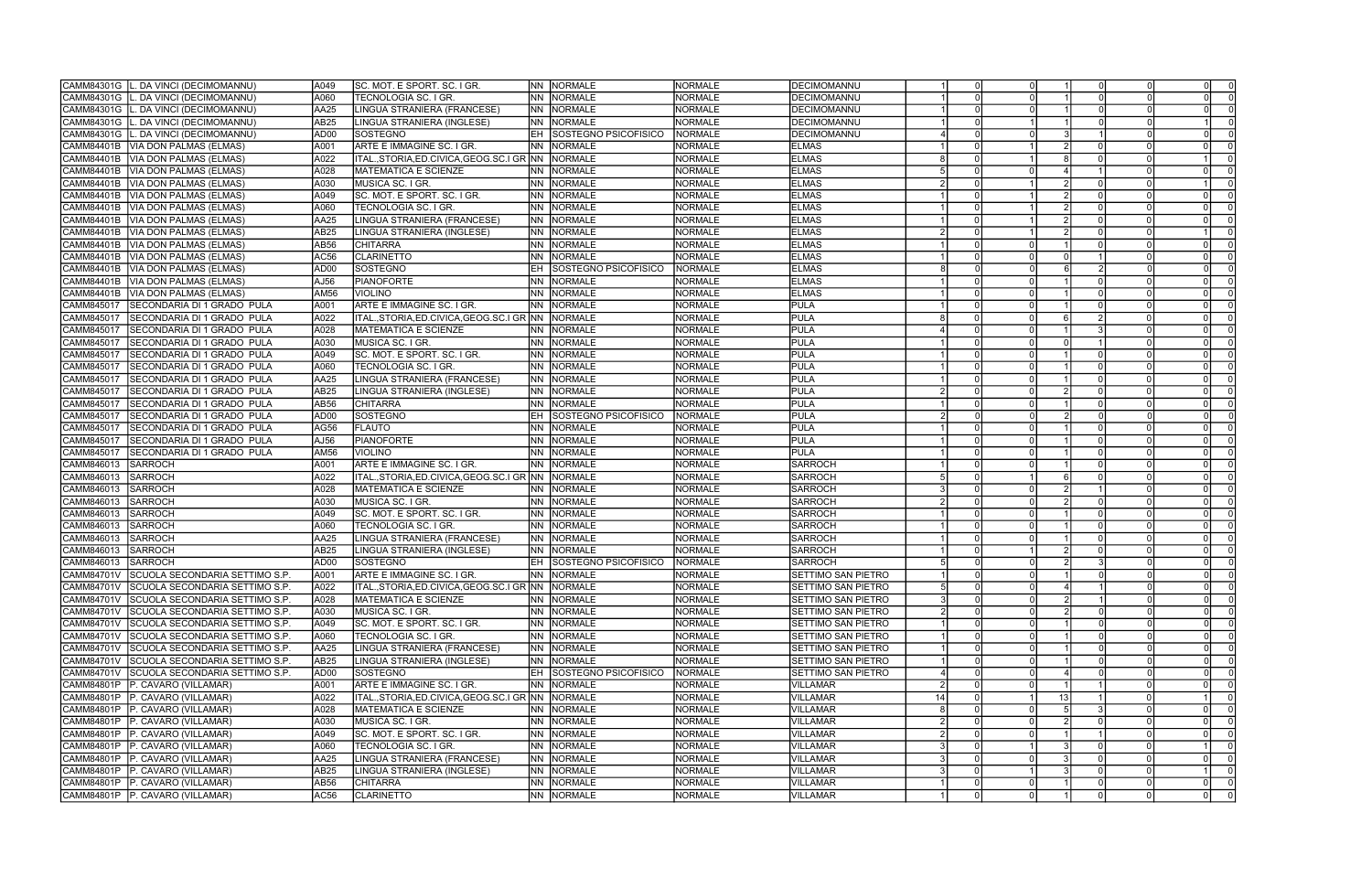| CAMM84301G<br>L. DA VINCI (DECIMOMANNU)             | A049             | ISC. MOT. E SPORT. SC. I GR.                   |       | <b>NN NORMALE</b>    | <b>NORMALE</b> | DECIMOMANNU               |    |          |          |    |          |                                           |
|-----------------------------------------------------|------------------|------------------------------------------------|-------|----------------------|----------------|---------------------------|----|----------|----------|----|----------|-------------------------------------------|
| . DA VINCI (DECIMOMANNU)<br>CAMM84301G              | A060             | TECNOLOGIA SC. I GR.                           | INN I | NORMALE              | <b>NORMALE</b> | DECIMOMANNU               |    |          |          |    |          |                                           |
| CAMM84301G<br>DA VINCI (DECIMOMANNU)                | AA25             | LINGUA STRANIERA (FRANCESE)                    | INN I | NORMALE              | <b>NORMALE</b> | <b>DECIMOMANNU</b>        |    |          |          |    |          |                                           |
| CAMM84301G<br>. DA VINCI (DECIMOMANNU)              | AB25             | LINGUA STRANIERA (INGLESE)                     | INN I | NORMALE              | <b>NORMALE</b> | DECIMOMANNU               |    |          |          |    |          |                                           |
| CAMM84301G<br>DA VINCI (DECIMOMANNU)                | AD <sub>00</sub> | SOSTEGNO                                       | EH    | SOSTEGNO PSICOFISICO | <b>NORMALE</b> | <b>DECIMOMANNU</b>        |    |          |          |    |          |                                           |
| CAMM84401B<br>VIA DON PALMAS (ELMAS)                | A001             | ARTE E IMMAGINE SC. I GR.                      | INN.  | <b>NORMALE</b>       | <b>NORMALE</b> | <b>ELMAS</b>              |    |          |          |    |          |                                           |
| CAMM84401B<br>VIA DON PALMAS (ELMAS)                | A022             | ITAL.,STORIA,ED.CIVICA,GEOG.SC.I GR NN         |       | NORMALE              | <b>NORMALE</b> | <b>ELMAS</b>              |    |          |          |    |          |                                           |
| CAMM84401B<br>VIA DON PALMAS (ELMAS)                | A028             | <b>MATEMATICA E SCIENZE</b>                    | INN I | NORMALE              | <b>NORMALE</b> | <b>ELMAS</b>              |    |          |          |    |          |                                           |
| CAMM84401B<br>VIA DON PALMAS (ELMAS)                | A030             | MUSICA SC. I GR.                               | INN   | NORMALE              | <b>NORMALE</b> | <b>ELMAS</b>              |    |          |          |    |          |                                           |
| CAMM84401B                                          | A049             |                                                | NN.   | NORMALE              | <b>NORMALE</b> | <b>ELMAS</b>              |    |          |          |    |          |                                           |
| VIA DON PALMAS (ELMAS)                              |                  | SC. MOT. E SPORT. SC. I GR.                    |       |                      |                |                           |    |          |          |    |          |                                           |
| CAMM84401B<br>VIA DON PALMAS (ELMAS)                | A060             | TECNOLOGIA SC. I GR.                           | INN   | <b>NORMALE</b>       | <b>NORMALE</b> | <b>ELMAS</b>              |    |          |          |    |          |                                           |
| CAMM84401B<br>VIA DON PALMAS (ELMAS)                | AA25             | LINGUA STRANIERA (FRANCESE)                    | INN I | NORMALE              | <b>NORMALE</b> | <b>ELMAS</b>              |    |          |          |    |          |                                           |
| CAMM84401B<br><b>VIA DON PALMAS (ELMAS)</b>         | AB25             | LINGUA STRANIERA (INGLESE)                     | INN I | NORMALE              | <b>NORMALE</b> | <b>ELMAS</b>              |    |          |          |    |          |                                           |
| CAMM84401B<br>VIA DON PALMAS (ELMAS)                | AB56             | <b>CHITARRA</b>                                | INN I | <b>NORMALE</b>       | <b>NORMALE</b> | <b>ELMAS</b>              |    |          |          |    |          |                                           |
| CAMM84401B<br>VIA DON PALMAS (ELMAS)                | AC56             | <b>CLARINETTO</b>                              | INN   | <b>NORMALE</b>       | <b>NORMALE</b> | <b>ELMAS</b>              |    |          |          |    |          |                                           |
| CAMM84401B<br><b>VIA DON PALMAS (ELMAS)</b>         | AD <sub>00</sub> | <b>SOSTEGNO</b>                                |       | SOSTEGNO PSICOFISICO | <b>NORMALE</b> | <b>ELMAS</b>              |    |          |          |    |          |                                           |
| CAMM84401B<br>VIA DON PALMAS (ELMAS)                | AJ56             | <b>PIANOFORTE</b>                              | INN.  | <b>NORMALE</b>       | <b>NORMALE</b> | <b>ELMAS</b>              |    |          |          |    |          |                                           |
| CAMM84401B<br>VIA DON PALMAS (ELMAS)                | AM56             | <b>VIOLINO</b>                                 | NN.   | <b>NORMALE</b>       | <b>NORMALE</b> | <b>ELMAS</b>              |    |          |          |    |          | $\Omega$                                  |
| CAMM845017<br>SECONDARIA DI 1 GRADO PULA            | A001             | ARTE E IMMAGINE SC. I GR.                      | INN.  | NORMALE              | <b>NORMALE</b> | <b>PULA</b>               |    |          |          |    |          |                                           |
| CAMM845017<br>SECONDARIA DI 1 GRADO PULA            | A022             | ITAL.,STORIA,ED.CIVICA,GEOG.SC.I GR  NN        |       | <b>NORMALE</b>       | <b>NORMALE</b> | PULA                      |    |          |          |    |          |                                           |
| CAMM845017<br>SECONDARIA DI 1 GRADO PULA            | A028             | <b>MATEMATICA E SCIENZE</b>                    | NN.   | NORMALE              | <b>NORMALE</b> | <b>PULA</b>               |    |          |          |    |          |                                           |
| CAMM845017<br>SECONDARIA DI 1 GRADO PULA            | A030             | MUSICA SC. I GR.                               | NN    | <b>NORMALE</b>       | <b>NORMALE</b> | PULA                      |    |          |          |    |          |                                           |
| SECONDARIA DI 1 GRADO PULA<br>CAMM845017            | A049             | SC. MOT. E SPORT. SC. I GR.                    | INN   | NORMALE              | <b>NORMALE</b> | PULA                      |    |          |          |    |          | $\Omega$                                  |
| SECONDARIA DI 1 GRADO PULA<br>CAMM845017            | A060             | TECNOLOGIA SC. I GR.                           | INN I | NORMALE              | <b>NORMALE</b> | PULA                      |    |          |          |    |          | $\Omega$                                  |
| CAMM845017<br>SECONDARIA DI 1 GRADO PULA            | AA25             | LINGUA STRANIERA (FRANCESE)                    | INN I | NORMALE              | <b>NORMALE</b> | IPULA                     |    |          |          |    |          |                                           |
| CAMM845017<br>SECONDARIA DI 1 GRADO PULA            | <b>AB25</b>      | LINGUA STRANIERA (INGLESE)                     | INN I | NORMALE              | <b>NORMALE</b> | <b>PULA</b>               |    |          |          |    |          |                                           |
| CAMM845017<br>SECONDARIA DI 1 GRADO PULA            | AB56             | <b>CHITARRA</b>                                | INN.  | <b>NORMALE</b>       | <b>NORMALE</b> | PULA                      |    |          |          |    |          |                                           |
| CAMM845017<br>SECONDARIA DI 1 GRADO PULA            | AD <sub>00</sub> | <b>SOSTEGNO</b>                                |       | SOSTEGNO PSICOFISICO | <b>NORMALE</b> | PULA                      |    |          |          |    |          |                                           |
| CAMM845017<br>SECONDARIA DI 1 GRADO PULA            | AG56             | FLAUTO                                         | INN   | <b>NORMALE</b>       | NORMALE        | PULA                      |    |          |          |    |          |                                           |
| CAMM845017<br>SECONDARIA DI 1 GRADO PULA            | AJ56             | <b>PIANOFORTE</b>                              | INN.  | NORMALE              | <b>NORMALE</b> | PULA                      |    |          |          |    |          |                                           |
| CAMM845017<br>SECONDARIA DI 1 GRADO PULA            | AM56             | <b>VIOLINO</b>                                 | INN I | NORMALE              | <b>NORMALE</b> | PULA                      |    |          |          |    |          |                                           |
|                                                     |                  |                                                | NN.   |                      |                |                           |    |          |          |    |          |                                           |
| CAMM846013<br><b>SARROCH</b>                        | A001             | ARTE E IMMAGINE SC. I GR.                      |       | <b>NORMALE</b>       | <b>NORMALE</b> | SARROCH                   |    |          |          |    |          |                                           |
| CAMM846013<br>SARROCH                               | A022             | ITAL., STORIA, ED. CIVICA, GEOG. SC. I GR INN  |       | <b>NORMALE</b>       | <b>NORMALE</b> | <b>SARROCH</b>            |    |          |          |    |          |                                           |
| <b>SARROCH</b><br>CAMM846013                        | A028             | MATEMATICA E SCIENZE                           | INN I | NORMALE              | <b>NORMALE</b> | SARROCH                   |    |          |          |    |          | $\Omega$                                  |
| CAMM846013<br>SARROCH                               | A030             | MUSICA SC. I GR.                               | NN.   | NORMALE              | <b>NORMALE</b> | SARROCH                   |    |          |          |    |          | $\Omega$                                  |
| CAMM846013<br>SARROCH                               | A049             | SC. MOT. E SPORT. SC. I GR.                    | NN.   | NORMALE              | <b>NORMALE</b> | <b>SARROCH</b>            |    |          |          |    |          |                                           |
| CAMM846013<br><b>SARROCH</b>                        | A060             | <b>TECNOLOGIA SC. I GR.</b>                    | INN I | NORMALE              | <b>NORMALE</b> | SARROCH                   |    |          |          |    |          |                                           |
| CAMM846013<br>SARROCH                               | AA25             | LINGUA STRANIERA (FRANCESE)                    | INN I | NORMALE              | <b>NORMALE</b> | SARROCH                   |    |          |          |    |          |                                           |
| CAMM846013<br><b>SARROCH</b>                        | AB25             | LINGUA STRANIERA (INGLESE)                     | INN I | <b>NORMALE</b>       | <b>NORMALE</b> | SARROCH                   |    |          |          |    |          |                                           |
| CAMM846013<br><b>SARROCH</b>                        | AD00             | SOSTEGNO                                       |       | SOSTEGNO PSICOFISICO | NORMALE        | SARROCH                   |    |          |          |    |          | $\Omega$                                  |
| CAMM84701V SCUOLA SECONDARIA SETTIMO S.P.           | A001             | ARTE E IMMAGINE SC. I GR.                      |       | NN NORMALE           | <b>NORMALE</b> | <b>SETTIMO SAN PIETRO</b> |    |          |          |    |          |                                           |
| CAMM84701V SCUOLA SECONDARIA SETTIMO S.P.           | A022             | ITAL.,STORIA,ED.CIVICA,GEOG.SC.I GR NN NORMALE |       |                      | <b>NORMALE</b> | <b>SETTIMO SAN PIETRO</b> |    | $\Omega$ | $\Omega$ |    | $\Omega$ | -01                                       |
| CAMM84701V<br>SCUOLA SECONDARIA SETTIMO S.P.        | A028             | <b>MATEMATICA E SCIENZE</b>                    |       | NN NORMALE           | <b>NORMALE</b> | <b>SETTIMO SAN PIETRO</b> |    |          |          |    |          | $\Omega$                                  |
| CAMM84701V SCUOLA SECONDARIA SETTIMO S.P.           | A030             | MUSICA SC. I GR.                               |       | NN NORMALE           | <b>NORMALE</b> | ISETTIMO SAN PIETRO       |    |          |          |    |          | $\Omega$                                  |
| CAMM84701V SCUOLA SECONDARIA SETTIMO S.P.           | A049             | SC. MOT. E SPORT. SC. I GR.                    |       | NN NORMALE           | <b>NORMALE</b> | <b>SETTIMO SAN PIETRO</b> |    |          |          |    |          | $\Omega$                                  |
| CAMM84701V<br>SCUOLA SECONDARIA SETTIMO S.P.        | A060             | TECNOLOGIA SC. I GR.                           |       | NN NORMALE           | <b>NORMALE</b> | SETTIMO SAN PIETRO        |    |          |          |    |          | $\Omega$                                  |
| SCUOLA SECONDARIA SETTIMO S.P.<br>CAMM84701V        | AA25             | LINGUA STRANIERA (FRANCESE)                    |       | NN NORMALE           | <b>NORMALE</b> | SETTIMO SAN PIETRO        |    |          |          |    |          |                                           |
| <b>CAMM84701V</b><br>SCUOLA SECONDARIA SETTIMO S.P. | AB <sub>25</sub> | LINGUA STRANIERA (INGLESE)                     |       | NN NORMALE           | <b>NORMALE</b> | SETTIMO SAN PIETRO        |    |          |          |    |          | $\Omega$                                  |
| CAMM84701V<br>SCUOLA SECONDARIA SETTIMO S.P.        | AD00             | SOSTEGNO                                       | IEH   | SOSTEGNO PSICOFISICO | NORMALE        | SETTIMO SAN PIETRO        |    |          |          |    |          |                                           |
| CAMM84801P<br>P. CAVARO (VILLAMAR)                  | A001             | ARTE E IMMAGINE SC. I GR.                      |       | NN NORMALE           | <b>NORMALE</b> | VILLAMAR                  |    |          |          |    |          | $\Omega$                                  |
| CAMM84801P<br>P. CAVARO (VILLAMAR)                  | A022             | ITAL.,STORIA,ED.CIVICA,GEOG.SC.I GR NN NORMALE |       |                      | <b>NORMALE</b> | <b>VILLAMAR</b>           | 14 |          |          | 13 |          | $\Omega$                                  |
| CAMM84801P<br>P. CAVARO (VILLAMAR)                  | A028             | MATEMATICA E SCIENZE                           |       | NN NORMALE           | <b>NORMALE</b> | <b>VILLAMAR</b>           |    |          |          |    |          | $\Omega$                                  |
| <b>CAMM84801P</b><br>P. CAVARO (VILLAMAR)           | A030             | MUSICA SC. I GR.                               |       | NN NORMALE           | <b>NORMALE</b> | <b>VILLAMAR</b>           |    |          |          |    |          | - 0                                       |
| CAMM84801P<br>P. CAVARO (VILLAMAR)                  | A049             | SC. MOT. E SPORT. SC. I GR.                    |       | NN NORMALE           | <b>NORMALE</b> | <b>VILLAMAR</b>           |    |          |          |    |          |                                           |
|                                                     |                  |                                                |       |                      |                |                           |    |          |          |    |          |                                           |
| <b>CAMM84801P</b><br>P. CAVARO (VILLAMAR)           | A060             | TECNOLOGIA SC. I GR.                           |       | NN NORMALE           | <b>NORMALE</b> | <b>VILLAMAR</b>           |    |          |          |    |          |                                           |
| CAMM84801P<br>P. CAVARO (VILLAMAR)                  | AA25             | LINGUA STRANIERA (FRANCESE)                    |       | NN NORMALE           | <b>NORMALE</b> | <b>VILLAMAR</b>           |    |          |          |    |          | - 0                                       |
| CAMM84801P<br>P. CAVARO (VILLAMAR)                  | AB25             | LINGUA STRANIERA (INGLESE)                     |       | NN NORMALE           | <b>NORMALE</b> | <b>VILLAMAR</b>           |    |          |          |    |          |                                           |
| CAMM84801P<br>P. CAVARO (VILLAMAR)                  | AB56             | <b>CHITARRA</b>                                |       | NN NORMALE           | <b>NORMALE</b> | <b>VILLAMAR</b>           |    |          |          |    |          | $\overline{0}$<br>$\overline{\mathbf{0}}$ |
| P. CAVARO (VILLAMAR)<br>CAMM84801P                  | AC56             | <b>CLARINETTO</b>                              |       | NN NORMALE           | <b>NORMALE</b> | <b>VILLAMAR</b>           |    | $\Omega$ | $\Omega$ |    | $\Omega$ | $\overline{0}$<br>$\Omega$                |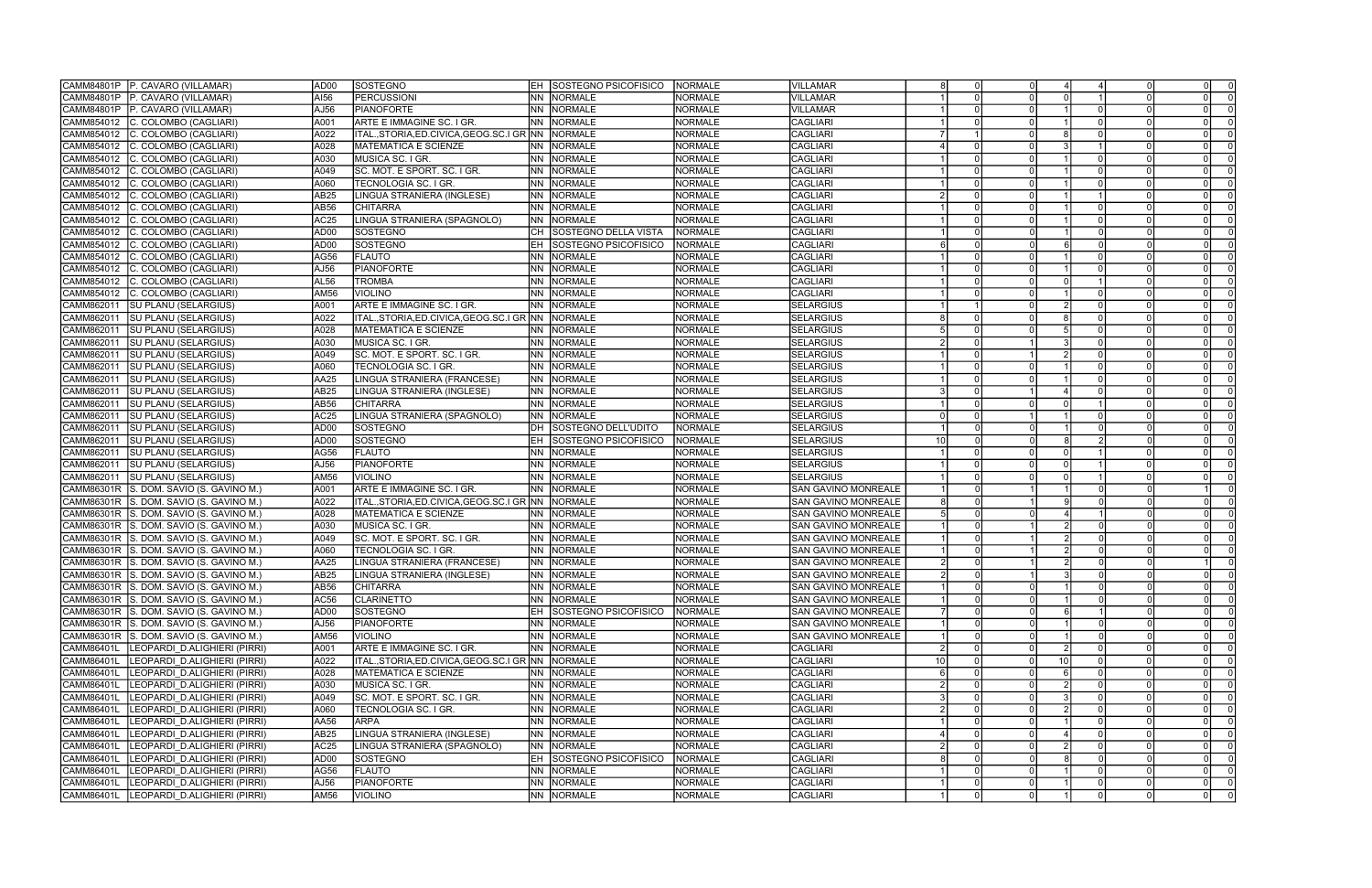| CAMM84801P<br>P. CAVARO (VILLAMAR)                | AD00             | SOSTEGNO                                             |       | <b>EH SOSTEGNO PSICOFISICO</b> | NORMALE        | <b>VILLAMAR</b>            |                |          |          |                 |          | $\Omega$       |                         |
|---------------------------------------------------|------------------|------------------------------------------------------|-------|--------------------------------|----------------|----------------------------|----------------|----------|----------|-----------------|----------|----------------|-------------------------|
| P. CAVARO (VILLAMAR)<br>CAMM84801P                | AI56             | <b>PERCUSSIONI</b>                                   | INN I | NORMALE                        | <b>NORMALE</b> | VILLAMAR                   |                |          |          |                 |          |                |                         |
| CAMM84801P<br>P. CAVARO (VILLAMAR)                | AJ56             | <b>PIANOFORTE</b>                                    | NN.   | NORMALE                        | <b>NORMALE</b> | <b>VILLAMAR</b>            |                |          |          |                 |          |                |                         |
| CAMM854012<br>C. COLOMBO (CAGLIARI)               | A001             | ARTE E IMMAGINE SC. I GR.                            | INN   | <b>NORMALE</b>                 | <b>NORMALE</b> | <b>CAGLIARI</b>            |                |          |          |                 |          |                |                         |
| CAMM854012<br>C. COLOMBO (CAGLIARI)               | A022             | ITAL.,STORIA,ED.CIVICA,GEOG.SC.I GR INN              |       | <b>NORMALE</b>                 | <b>NORMALE</b> | CAGLIARI                   |                |          |          |                 |          |                |                         |
| CAMM854012<br>C. COLOMBO (CAGLIARI)               | A028             | <b>MATEMATICA E SCIENZE</b>                          | INN   | NORMALE                        | <b>NORMALE</b> | <b>CAGLIARI</b>            |                |          |          |                 |          |                |                         |
| CAMM854012<br>C. COLOMBO (CAGLIARI)               | A030             | MUSICA SC. I GR.                                     | INN   | NORMALE                        | <b>NORMALE</b> | CAGLIARI                   |                |          |          |                 |          |                |                         |
| CAMM854012<br>C. COLOMBO (CAGLIARI)               | A049             | SC. MOT. E SPORT. SC. I GR.                          | INN   | NORMALE                        | <b>NORMALE</b> | <b>CAGLIARI</b>            |                |          |          |                 |          | $\Omega$       |                         |
| CAMM854012<br>C. COLOMBO (CAGLIARI)               | A060             | TECNOLOGIA SC. I GR.                                 | INN I | NORMALE                        | <b>NORMALE</b> | <b>CAGLIARI</b>            |                |          |          |                 |          |                |                         |
| CAMM854012                                        | AB25             | LINGUA STRANIERA (INGLESE)                           | INN   | <b>NORMALE</b>                 | <b>NORMALE</b> | <b>CAGLIARI</b>            |                |          |          |                 |          |                |                         |
| C. COLOMBO (CAGLIARI)                             |                  |                                                      |       |                                |                |                            |                |          |          |                 |          |                |                         |
| CAMM854012<br>C. COLOMBO (CAGLIARI)               | AB56             | <b>CHITARRA</b>                                      | INN   | <b>NORMALE</b>                 | <b>NORMALE</b> | <b>CAGLIARI</b>            |                |          |          |                 |          |                |                         |
| CAMM854012<br>C. COLOMBO (CAGLIARI)               | AC <sub>25</sub> | LINGUA STRANIERA (SPAGNOLO)                          | INN   | NORMALE                        | <b>NORMALE</b> | CAGLIARI                   |                |          |          |                 |          | $\Omega$       |                         |
| CAMM854012<br>C. COLOMBO (CAGLIARI)               | AD <sub>00</sub> | <b>SOSTEGNO</b>                                      | CH.   | SOSTEGNO DELLA VISTA           | <b>NORMALE</b> | CAGLIARI                   |                |          |          |                 |          |                |                         |
| CAMM854012<br>C. COLOMBO (CAGLIARI)               | AD <sub>00</sub> | SOSTEGNO                                             |       | SOSTEGNO PSICOFISICO           | <b>NORMALE</b> | CAGLIARI                   |                |          |          |                 |          |                |                         |
| CAMM854012<br>C. COLOMBO (CAGLIARI)               | AG56             | <b>FLAUTO</b>                                        | INN   | <b>NORMALE</b>                 | <b>NORMALE</b> | <b>CAGLIARI</b>            |                |          |          |                 |          |                |                         |
| CAMM854012<br>C. COLOMBO (CAGLIARI)               | AJ56             | <b>PIANOFORTE</b>                                    | INN   | <b>NORMALE</b>                 | <b>NORMALE</b> | <b>CAGLIARI</b>            |                | $\Omega$ |          |                 |          |                |                         |
| CAMM854012<br>C. COLOMBO (CAGLIARI)               | AL56             | <b>TROMBA</b>                                        | NN    | <b>NORMALE</b>                 | <b>NORMALE</b> | CAGLIARI                   |                |          |          |                 |          |                |                         |
| CAMM854012<br>C. COLOMBO (CAGLIARI)               | AM56             | <b>VIOLINO</b>                                       | NN.   | <b>NORMALE</b>                 | <b>NORMALE</b> | CAGLIARI                   |                |          |          |                 |          | $\Omega$       |                         |
| CAMM862011<br><b>SU PLANU (SELARGIUS)</b>         | A001             | ARTE E IMMAGINE SC. I GR.                            | INN.  | <b>NORMALE</b>                 | <b>NORMALE</b> | SELARGIUS                  |                |          |          |                 |          |                |                         |
| <b>SU PLANU (SELARGIUS)</b><br>CAMM862011         | A022             | ITAL.,STORIA,ED.CIVICA,GEOG.SC.I GR  NN              |       | NORMALE                        | <b>NORMALE</b> | SELARGIUS                  |                |          |          |                 |          |                |                         |
| CAMM862011<br><b>SU PLANU (SELARGIUS)</b>         | A028             | <b>MATEMATICA E SCIENZE</b>                          | NN.   | NORMALE                        | <b>NORMALE</b> | SELARGIUS                  |                |          |          |                 |          |                |                         |
| CAMM862011<br><b>SU PLANU (SELARGIUS)</b>         | A030             | MUSICA SC. I GR.                                     | NN    | <b>NORMALE</b>                 | <b>NORMALE</b> | <b>SELARGIUS</b>           |                |          |          |                 |          |                |                         |
| <b>SU PLANU (SELARGIUS)</b><br>CAMM862011         | A049             | SC. MOT. E SPORT. SC. I GR.                          | INN   | NORMALE                        | <b>NORMALE</b> | <b>SELARGIUS</b>           |                |          |          |                 |          | $\Omega$       |                         |
| CAMM862011<br><b>SU PLANU (SELARGIUS)</b>         | A060             | TECNOLOGIA SC. I GR.                                 | INN I | NORMALE                        | <b>NORMALE</b> | <b>SELARGIUS</b>           |                |          |          |                 |          |                |                         |
| CAMM862011<br><b>SU PLANU (SELARGIUS)</b>         | AA25             | LINGUA STRANIERA (FRANCESE)                          | INN I | <b>NORMALE</b>                 | <b>NORMALE</b> | SELARGIUS                  |                |          |          |                 |          |                |                         |
| CAMM862011<br><b>SU PLANU (SELARGIUS)</b>         | <b>AB25</b>      | LINGUA STRANIERA (INGLESE)                           | INN I | <b>NORMALE</b>                 | <b>NORMALE</b> | <b>SELARGIUS</b>           |                |          |          |                 |          |                |                         |
| CAMM862011<br><b>SU PLANU (SELARGIUS)</b>         | AB56             | <b>CHITARRA</b>                                      | INN.  | <b>NORMALE</b>                 | <b>NORMALE</b> | SELARGIUS                  |                |          |          |                 |          |                |                         |
| CAMM862011<br>SU PLANU (SELARGIUS)                | AC <sub>25</sub> | LINGUA STRANIERA (SPAGNOLO)                          | INN   | <b>NORMALE</b>                 | <b>NORMALE</b> | SELARGIUS                  |                |          |          |                 |          |                |                         |
| CAMM862011<br><b>SU PLANU (SELARGIUS)</b>         | AD <sub>00</sub> | SOSTEGNO                                             | DH    | SOSTEGNO DELL'UDITO            | <b>NORMALE</b> | SELARGIUS                  |                |          |          |                 |          |                |                         |
| CAMM862011<br><b>SU PLANU (SELARGIUS)</b>         | AD <sub>00</sub> | SOSTEGNO                                             | EH    | SOSTEGNO PSICOFISICO           | <b>NORMALE</b> | <b>SELARGIUS</b>           | 1 <sub>0</sub> |          |          |                 |          |                |                         |
| CAMM862011<br><b>SU PLANU (SELARGIUS)</b>         | AG56             | <b>FLAUTO</b>                                        | INN I | NORMALE                        | <b>NORMALE</b> | SELARGIUS                  |                |          |          |                 |          |                |                         |
|                                                   | AJ56             | <b>PIANOFORTE</b>                                    | NN    | <b>NORMALE</b>                 | <b>NORMALE</b> | <b>SELARGIUS</b>           |                |          |          |                 |          |                |                         |
| CAMM862011<br>SU PLANU (SELARGIUS)                |                  |                                                      |       |                                |                |                            |                |          |          |                 |          |                |                         |
| CAMM862011<br><b>SU PLANU (SELARGIUS)</b>         | AM56             | <b>VIOLINO</b>                                       | INN   | <b>NORMALE</b>                 | <b>NORMALE</b> | <b>SELARGIUS</b>           |                |          |          |                 |          |                |                         |
| CAMM86301R<br>S. DOM. SAVIO (S. GAVINO M.)        | A001             | ARTE E IMMAGINE SC. I GR.                            | INN   | NORMALE                        | <b>NORMALE</b> | <b>SAN GAVINO MONREALE</b> |                |          |          |                 |          |                |                         |
| CAMM86301R<br>S. DOM. SAVIO (S. GAVINO M.)        | A022             | ITAL.,STORIA,ED.CIVICA,GEOG.SC.I GR  NN              |       | NORMALE                        | <b>NORMALE</b> | <b>SAN GAVINO MONREALE</b> |                |          |          |                 |          |                |                         |
| CAMM86301R<br>S. DOM. SAVIO (S. GAVINO M.)        | A028             | <b>MATEMATICA E SCIENZE</b>                          | INN   | NORMALE                        | <b>NORMALE</b> | SAN GAVINO MONREALE        |                |          |          |                 |          |                |                         |
| CAMM86301R<br>S. DOM. SAVIO (S. GAVINO M.)        | A030             | MUSICA SC. I GR.                                     | INN I | NORMALE                        | <b>NORMALE</b> | <b>SAN GAVINO MONREALE</b> |                |          |          |                 |          |                |                         |
| CAMM86301R<br>S. DOM. SAVIO (S. GAVINO M.)        | A049             | SC. MOT. E SPORT. SC. I GR.                          | INN I | NORMALE                        | <b>NORMALE</b> | <b>SAN GAVINO MONREALE</b> |                |          |          |                 |          |                |                         |
| CAMM86301R<br>S. DOM. SAVIO (S. GAVINO M.)        | A060             | TECNOLOGIA SC. I GR.                                 | INN.  | <b>NORMALE</b>                 | <b>NORMALE</b> | <b>SAN GAVINO MONREALE</b> |                |          |          |                 |          |                |                         |
| S. DOM. SAVIO (S. GAVINO M.)<br>CAMM86301R        | AA25             | LINGUA STRANIERA (FRANCESE)                          | INN   | <b>NORMALE</b>                 | <b>NORMALE</b> | <b>SAN GAVINO MONREALE</b> |                |          |          |                 |          |                |                         |
| CAMM86301R S. DOM. SAVIO (S. GAVINO M.)           | AB25             | LINGUA STRANIERA (INGLESE)                           |       | NN NORMALE                     | <b>NORMALE</b> | <b>SAN GAVINO MONREALE</b> |                |          |          |                 |          |                |                         |
| CAMM86301R S. DOM. SAVIO (S. GAVINO M.)           | AB56             | <b>CHITARRA</b>                                      |       | NN NORMALE                     | <b>NORMALE</b> | <b>SAN GAVINO MONREALE</b> |                | $\Omega$ | $\Omega$ |                 |          | -01            |                         |
| CAMM86301R<br>S. DOM. SAVIO (S. GAVINO M.)        | AC56             | <b>CLARINETTO</b>                                    |       | NN NORMALE                     | <b>NORMALE</b> | ISAN GAVINO MONREALE       |                |          |          |                 |          | $\Omega$       |                         |
| <b>CAMM86301R</b><br>S. DOM. SAVIO (S. GAVINO M.) | AD00             | SOSTEGNO                                             | IEH   | <b>SOSTEGNO PSICOFISICO</b>    | <b>NORMALE</b> | SAN GAVINO MONREALE        |                |          |          |                 |          | $\Omega$       |                         |
| CAMM86301R<br>S. DOM. SAVIO (S. GAVINO M.)        | AJ56             | PIANOFORTE                                           |       | NN NORMALE                     | <b>NORMALE</b> | <b>SAN GAVINO MONREALE</b> |                |          |          |                 |          | $\Omega$       |                         |
| CAMM86301R<br>S. DOM. SAVIO (S. GAVINO M.)        | AM56             | <b>VIOLINO</b>                                       |       | NN NORMALE                     | <b>NORMALE</b> | SAN GAVINO MONREALE        |                |          |          |                 |          | $\Omega$       |                         |
| <b>CAMM86401L</b><br>LEOPARDI D.ALIGHIERI (PIRRI) | A001             | ARTE E IMMAGINE SC. I GR.                            |       | NN NORMALE                     | <b>NORMALE</b> | <b>CAGLIARI</b>            |                |          |          |                 |          | $\Omega$       |                         |
| CAMM86401L<br>LEOPARDI D.ALIGHIERI (PIRRI)        | A022             | ITAL., STORIA, ED. CIVICA, GEOG. SC. I GR NN NORMALE |       |                                | <b>NORMALE</b> | CAGLIARI                   | 10             |          |          | 10 <sup>1</sup> |          | $\Omega$       | $\Omega$                |
| CAMM86401L<br>LEOPARDI D.ALIGHIERI (PIRRI)        | A028             | <b>MATEMATICA E SCIENZE</b>                          |       | NN NORMALE                     | <b>NORMALE</b> | <b>CAGLIARI</b>            |                |          |          |                 |          |                |                         |
| CAMM86401L<br>LEOPARDI D.ALIGHIERI (PIRRI)        | A030             | MUSICA SC. I GR.                                     |       | NN NORMALE                     | <b>NORMALE</b> | <b>CAGLIARI</b>            |                |          |          |                 |          | $\Omega$       |                         |
| CAMM86401L<br>İLEOPARDI D.ALIGHIERI (PIRRI)       | A049             | SC. MOT. E SPORT. SC. I GR.                          |       | NN NORMALE                     | <b>NORMALE</b> | <b>CAGLIARI</b>            |                |          |          |                 |          | $\Omega$       | $\Omega$                |
| CAMM86401L<br>LEOPARDI D.ALIGHIERI (PIRRI)        | A060             | TECNOLOGIA SC. I GR.                                 |       | NN NORMALE                     | <b>NORMALE</b> | <b>CAGLIARI</b>            |                |          |          |                 |          | $\Omega$       |                         |
| CAMM86401L<br>LEOPARDI D.ALIGHIERI (PIRRI)        | <b>AA56</b>      | <b>ARPA</b>                                          |       | NN NORMALE                     | <b>NORMALE</b> | <b>CAGLIARI</b>            |                |          |          |                 |          | $\Omega$       | - 0                     |
| CAMM86401L<br>LEOPARDI D.ALIGHIERI (PIRRI)        | AB25             | LINGUA STRANIERA (INGLESE)                           |       | NN NORMALE                     | <b>NORMALE</b> | <b>CAGLIARI</b>            |                |          |          |                 |          |                |                         |
|                                                   | AC <sub>25</sub> | LINGUA STRANIERA (SPAGNOLO)                          |       | NN NORMALE                     | <b>NORMALE</b> | CAGLIARI                   |                |          |          |                 |          |                |                         |
| CAMM86401L<br>LEOPARDI D.ALIGHIERI (PIRRI)        |                  |                                                      |       |                                |                |                            |                |          |          |                 |          | $\Omega$       |                         |
| CAMM86401L<br>LEOPARDI D.ALIGHIERI (PIRRI)        | AD00             | SOSTEGNO                                             | EH.   | <b>SOSTEGNO PSICOFISICO</b>    | <b>NORMALE</b> | CAGLIARI                   |                |          |          |                 |          |                |                         |
| CAMM86401L<br>LEOPARDI D.ALIGHIERI (PIRRI)        | AG56             | <b>FLAUTO</b>                                        |       | NN NORMALE                     | <b>NORMALE</b> | <b>CAGLIARI</b>            |                |          |          |                 |          | $\Omega$       |                         |
| CAMM86401L<br>LEOPARDI D.ALIGHIERI (PIRRI)        | AJ56             | PIANOFORTE                                           |       | NN NORMALE                     | <b>NORMALE</b> | <b>CAGLIARI</b>            |                |          |          |                 |          | $\overline{0}$ | $\overline{\mathbf{0}}$ |
| CAMM86401L<br>LEOPARDI D.ALIGHIERI (PIRRI)        | <b>AM56</b>      | <b>VIOLINO</b>                                       |       | NN NORMALE                     | <b>NORMALE</b> | <b>CAGLIARI</b>            |                | $\Omega$ | $\Omega$ |                 | $\Omega$ | $\overline{0}$ | $\Omega$                |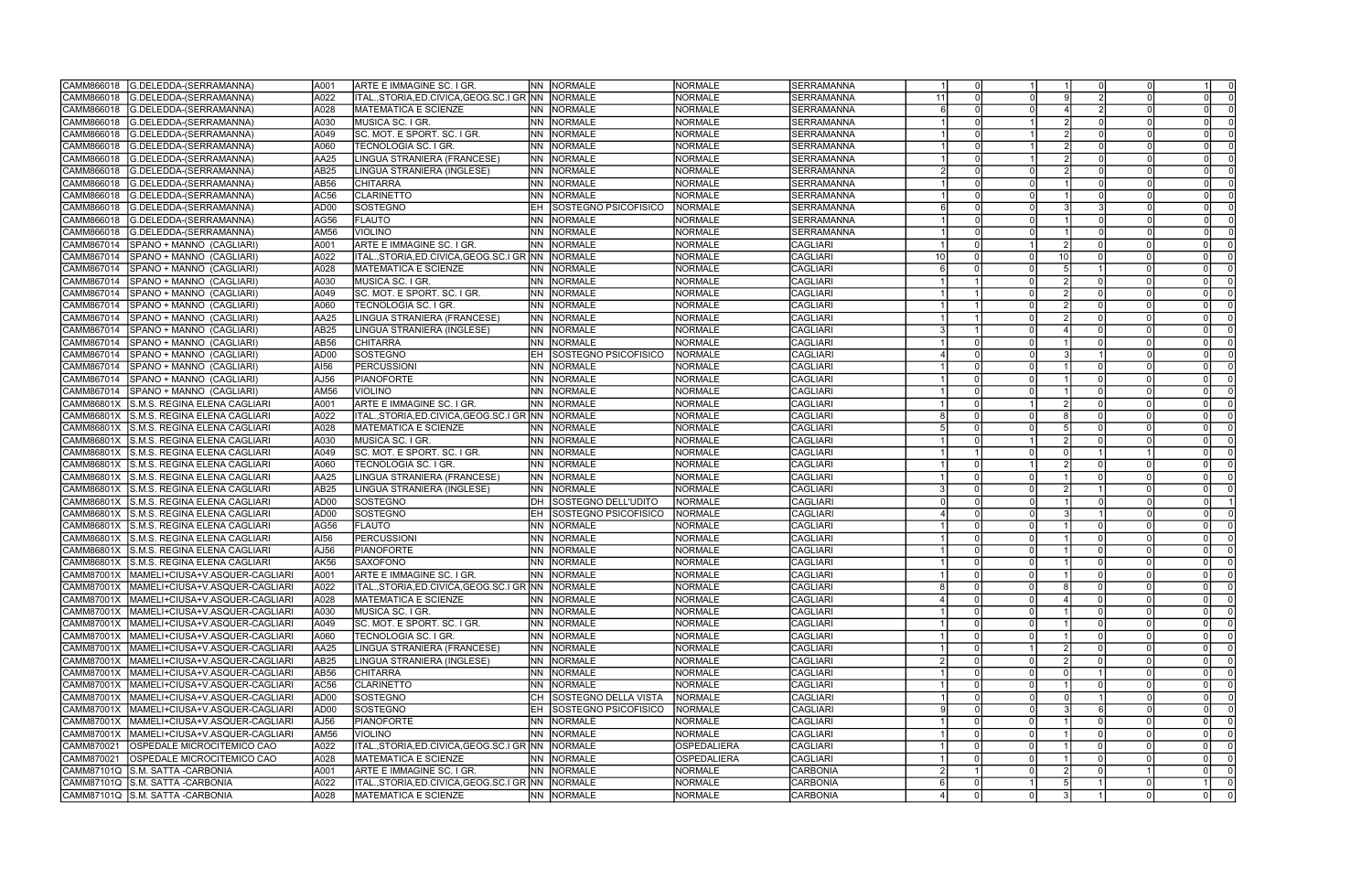| G.DELEDDA-(SERRAMANNA)<br>CAMM866018                | A001             | <b>ARTE E IMMAGINE SC. I GR.</b>                       |           | <b>NN NORMALE</b>              | <b>NORMALE</b>     | <b>SERRAMANNA</b> |    |                     |     |  |          |                |
|-----------------------------------------------------|------------------|--------------------------------------------------------|-----------|--------------------------------|--------------------|-------------------|----|---------------------|-----|--|----------|----------------|
| CAMM866018<br>G.DELEDDA-(SERRAMANNA)                | A022             | ITAL.,STORIA,ED.CIVICA,GEOG.SC.I GR INN                |           | <b>NORMALE</b>                 | <b>NORMALE</b>     | <b>SERRAMANNA</b> | 11 | $\Omega$            |     |  |          |                |
| CAMM866018<br>G.DELEDDA-(SERRAMANNA)                | A028             | IMATEMATICA E SCIENZE                                  |           | <b>NN NORMALE</b>              | <b>NORMALE</b>     | <b>SERRAMANNA</b> |    |                     |     |  |          |                |
| CAMM866018<br>G.DELEDDA-(SERRAMANNA)                | A030             | MUSICA SC. I GR.                                       | INN .     | <b>NORMALE</b>                 | <b>NORMALE</b>     | <b>SERRAMANNA</b> |    | $\Omega$            |     |  |          |                |
| G.DELEDDA-(SERRAMANNA)<br>CAMM866018                | A049             | SC. MOT. E SPORT. SC. I GR.                            | INN .     | <b>NORMALE</b>                 | <b>NORMALE</b>     | <b>SERRAMANNA</b> |    |                     |     |  |          |                |
| CAMM866018<br>G.DELEDDA-(SERRAMANNA)                | A060             | TECNOLOGIA SC. I GR.                                   | INN .     | <b>NORMALE</b>                 | <b>NORMALE</b>     | <b>SERRAMANNA</b> |    |                     |     |  |          |                |
| G.DELEDDA-(SERRAMANNA)<br>CAMM866018                | AA25             | LINGUA STRANIERA (FRANCESE)                            | INN .     | <b>NORMALE</b>                 | <b>NORMALE</b>     | <b>SERRAMANNA</b> |    |                     |     |  |          |                |
| CAMM866018                                          | AB25             | LINGUA STRANIERA (INGLESE)                             | INN I     | <b>NORMALE</b>                 | <b>NORMALE</b>     |                   |    | $\Omega$            |     |  |          |                |
| G.DELEDDA-(SERRAMANNA)                              |                  |                                                        |           |                                |                    | SERRAMANNA        |    |                     |     |  |          |                |
| CAMM866018<br>G.DELEDDA-(SERRAMANNA)                | AB56             | <b>CHITARRA</b>                                        | <b>NN</b> | <b>NORMALE</b>                 | <b>NORMALE</b>     | <b>SERRAMANNA</b> |    |                     |     |  |          |                |
| G.DELEDDA-(SERRAMANNA)<br>CAMM866018                | AC56             | <b>CLARINETTO</b>                                      | INN       | NORMALE                        | <b>NORMALE</b>     | SERRAMANNA        |    |                     |     |  |          |                |
| CAMM866018<br>G.DELEDDA-(SERRAMANNA)                | AD <sub>00</sub> | SOSTEGNO                                               | IEH       | SOSTEGNO PSICOFISICO           | <b>NORMALE</b>     | SERRAMANNA        |    |                     |     |  |          |                |
| G.DELEDDA-(SERRAMANNA)<br>CAMM866018                | AG56             | <b>FLAUTO</b>                                          | INN .     | <b>NORMALE</b>                 | <b>NORMALE</b>     | <b>SERRAMANNA</b> |    |                     |     |  |          |                |
| CAMM866018<br>G.DELEDDA-(SERRAMANNA)                | AM56             | <b>VIOLINO</b>                                         | INN .     | <b>NORMALE</b>                 | NORMALE            | SERRAMANNA        |    | $\Omega$            |     |  |          |                |
| CAMM867014<br>SPANO + MANNO (CAGLIARI)              | A001             | ARTE E IMMAGINE SC. I GR.                              | INN       | <b>NORMALE</b>                 | <b>NORMALE</b>     | <b>CAGLIARI</b>   |    | $\Omega$            |     |  |          |                |
| CAMM867014<br>SPANO + MANNO (CAGLIARI)              | A022             | ITAL.,STORIA,ED.CIVICA,GEOG.SC.I GR INN                |           | <b>NORMALE</b>                 | <b>NORMALE</b>     | <b>CAGLIARI</b>   | 10 | $\Omega$            | 10  |  |          |                |
| SPANO + MANNO (CAGLIARI)<br>CAMM867014              | A028             | <b>MATEMATICA E SCIENZE</b>                            | INN .     | <b>NORMALE</b>                 | <b>NORMALE</b>     | CAGLIARI          |    |                     |     |  |          |                |
| CAMM867014<br>SPANO + MANNO (CAGLIARI)              | A030             | MUSICA SC. I GR.                                       | INN       | <b>NORMALE</b>                 | <b>NORMALE</b>     | <b>CAGLIARI</b>   |    |                     |     |  |          |                |
| CAMM867014<br>SPANO + MANNO (CAGLIARI)              | A049             | SC. MOT. E SPORT. SC. I GR.                            | INN       | NORMALE                        | <b>NORMALE</b>     | <b>CAGLIARI</b>   |    |                     |     |  |          |                |
| CAMM867014<br>SPANO + MANNO (CAGLIARI)              | A060             | TECNOLOGIA SC. I GR.                                   | INN .     | <b>NORMALE</b>                 | <b>NORMALE</b>     | CAGLIARI          |    |                     |     |  |          |                |
| CAMM867014<br>SPANO + MANNO (CAGLIARI)              | AA25             | LINGUA STRANIERA (FRANCESE)                            | INN .     | <b>NORMALE</b>                 | <b>NORMALE</b>     | <b>CAGLIARI</b>   |    |                     |     |  |          |                |
| CAMM867014<br>SPANO + MANNO (CAGLIARI)              | AB25             | LINGUA STRANIERA (INGLESE)                             | INN .     | <b>NORMALE</b>                 | NORMALE            | CAGLIARI          |    |                     |     |  |          |                |
| SPANO + MANNO (CAGLIARI)<br>CAMM867014              | AB56             | <b>CHITARRA</b>                                        | INN .     | <b>NORMALE</b>                 | <b>NORMALE</b>     | CAGLIARI          |    |                     |     |  |          |                |
| SPANO + MANNO (CAGLIARI)<br>CAMM867014              | AD <sub>00</sub> | <b>SOSTEGNO</b>                                        | IEH       | <b>ISOSTEGNO PSICOFISICO</b>   | NORMALE            | CAGLIARI          |    |                     |     |  |          |                |
|                                                     |                  |                                                        |           |                                |                    |                   |    | $\Omega$            |     |  |          |                |
| CAMM867014<br>SPANO + MANNO (CAGLIARI)              | AI56             | <b>PERCUSSIONI</b>                                     | INN .     | <b>NORMALE</b>                 | NORMALE            | <b>CAGLIARI</b>   |    |                     |     |  |          |                |
| CAMM867014<br>SPANO + MANNO (CAGLIARI)              | AJ56             | PIANOFORTE                                             | INN       | <b>NORMALE</b>                 | <b>NORMALE</b>     | <b>CAGLIARI</b>   |    | $\Omega$            |     |  |          |                |
| CAMM867014<br>SPANO + MANNO (CAGLIARI)              | AM56             | <b>VIOLINO</b>                                         | INN       | NORMALE                        | <b>NORMALE</b>     | CAGLIARI          |    | $\Omega$            |     |  |          |                |
| CAMM86801X<br>S.M.S. REGINA ELENA CAGLIARI          | A001             | ARTE E IMMAGINE SC. I GR.                              | INN       | <b>NORMALE</b>                 | <b>NORMALE</b>     | CAGLIARI          |    | $\Omega$            |     |  |          |                |
| IS.M.S. REGINA ELENA CAGLIARI<br>CAMM86801X         | A022             | ITAL.,STORIA,ED.CIVICA,GEOG.SC.I GR INN                |           | <b>NORMALE</b>                 | <b>NORMALE</b>     | <b>CAGLIARI</b>   |    |                     |     |  |          |                |
| CAMM86801X<br>S.M.S. REGINA ELENA CAGLIARI          | A028             | MATEMATICA E SCIENZE                                   | INN .     | NORMALE                        | <b>NORMALE</b>     | CAGLIARI          |    |                     |     |  |          |                |
| CAMM86801X<br>S.M.S. REGINA ELENA CAGLIARI          | A030             | MUSICA SC. I GR.                                       | INN .     | <b>NORMALE</b>                 | <b>NORMALE</b>     | CAGLIARI          |    |                     |     |  |          |                |
| CAMM86801X<br>S.M.S. REGINA ELENA CAGLIARI          | A049             | SC. MOT. E SPORT. SC. I GR.                            | <b>NN</b> | NORMALE                        | <b>NORMALE</b>     | CAGLIARI          |    |                     |     |  |          |                |
| CAMM86801X<br>S.M.S. REGINA ELENA CAGLIARI          | A060             | TECNOLOGIA SC. I GR.                                   | INN       | NORMALE                        | <b>NORMALE</b>     | CAGLIARI          |    | $\Omega$            |     |  |          |                |
| CAMM86801X<br>S.M.S. REGINA ELENA CAGLIARI          | AA25             | LINGUA STRANIERA (FRANCESE)                            | INN .     | <b>NORMALE</b>                 | <b>NORMALE</b>     | <b>CAGLIARI</b>   |    | $\Omega$            |     |  | $\Omega$ |                |
| CAMM86801X<br>S.M.S. REGINA ELENA CAGLIARI          | AB25             | LINGUA STRANIERA (INGLESE)                             | <b>NN</b> | NORMALE                        | <b>NORMALE</b>     | CAGLIARI          |    |                     |     |  |          |                |
| CAMM86801X<br>S.M.S. REGINA ELENA CAGLIARI          | AD00             | SOSTEGNO                                               | IDH.      | SOSTEGNO DELL'UDITO            | NORMALE            | CAGLIARI          |    |                     |     |  |          |                |
| CAMM86801X<br>S.M.S. REGINA ELENA CAGLIARI          | AD00             | SOSTEGNO                                               |           | SOSTEGNO PSICOFISICC           | NORMALE            | CAGLIARI          |    | $\Omega$            |     |  |          |                |
| IS.M.S. REGINA ELENA CAGLIARI.<br>CAMM86801X        | AG56             | <b>FLAUTO</b>                                          | INN .     | NORMALE                        | <b>NORMALE</b>     | <b>CAGLIARI</b>   |    | $\Omega$            |     |  |          |                |
| CAMM86801X<br>S.M.S. REGINA ELENA CAGLIARI          | AI56             | <b>PERCUSSIONI</b>                                     | <b>NN</b> | <b>NORMALE</b>                 | <b>NORMALE</b>     | CAGLIARI          |    | $\Omega$            |     |  |          |                |
| S.M.S. REGINA ELENA CAGLIARI<br>CAMM86801X          | AJ56             | PIANOFORTE                                             | INN       | NORMALE                        | NORMALE            | CAGLIARI          |    |                     |     |  |          |                |
| ls.m.s. REGINA ELENA CAGLIARI                       | AK56             | <b>SAXOFONO</b>                                        | INN       |                                | <b>NORMALE</b>     |                   |    |                     |     |  |          |                |
| CAMM86801X                                          |                  |                                                        |           | NORMALE                        |                    | CAGLIARI          |    | $\Omega$            |     |  |          |                |
| CAMM87001X<br>MAMELI+CIUSA+V.ASQUER-CAGLIARI        | A001             | ARTE E IMMAGINE SC. I GR.                              |           | NN NORMALE                     | <b>NORMALE</b>     | <b>CAGLIARI</b>   |    |                     |     |  |          |                |
| CAMM87001X  MAMELI+CIUSA+V.ASQUER-CAGLIARI          | IA022            | ITAL., STORIA, ED. CIVICA, GEOG. SC. I GR INN INORMALE |           |                                | NORMALE            | <b>CAGLIARI</b>   |    | 0 I                 |     |  |          | 0              |
| CAMM87001X   MAMELI+CIUSA+V.ASQUER-CAGLIARI         | A028             | <b>MATEMATICA E SCIENZE</b>                            |           | NN NORMALE                     | <b>NORMALE</b>     | <b>CAGLIARI</b>   |    | $\overline{0}$      |     |  | $\Omega$ | $\overline{0}$ |
| CAMM87001X   MAMELI+CIUSA+V.ASQUER-CAGLIARI         | A030             | MUSICA SC. I GR.                                       |           | NN NORMALE                     | <b>NORMALE</b>     | <b>CAGLIARI</b>   |    | $\overline{0}$      |     |  | $\Omega$ | $\Omega$       |
| CAMM87001X MAMELI+CIUSA+V.ASQUER-CAGLIARI           | A049             | SC. MOT. E SPORT. SC. I GR.                            |           | NN NORMALE                     | <b>NORMALE</b>     | <b>CAGLIARI</b>   |    | $\Omega$            |     |  | $\Omega$ |                |
| CAMM87001X  MAMELI+CIUSA+V.ASQUER-CAGLIARI          | A060             | TECNOLOGIA SC. I GR.                                   |           | NN NORMALE                     | <b>NORMALE</b>     | <b>CAGLIARI</b>   |    | $\Omega$            |     |  | $\Omega$ |                |
| CAMM87001X<br>MAMELI+CIUSA+V.ASQUER-CAGLIARI        | AA25             | LINGUA STRANIERA (FRANCESE)                            |           | NN NORMALE                     | NORMALE            | <b>CAGLIARI</b>   |    | $\Omega$            |     |  | 0        | - 0            |
| <b>CAMM87001X</b><br>MAMELI+CIUSA+V.ASQUER-CAGLIARI | AB25             | LINGUA STRANIERA (INGLESE)                             |           | NN NORMALE                     | NORMALE            | <b>CAGLIARI</b>   |    | $\Omega$            |     |  |          |                |
| CAMM87001X<br>MAMELI+CIUSA+V.ASQUER-CAGLIARI        | AB56             | <b>CHITARRA</b>                                        |           | <b>NN NORMALE</b>              | <b>NORMALE</b>     | <b>CAGLIARI</b>   |    | $\Omega$            |     |  | $\Omega$ |                |
| CAMM87001X<br>MAMELI+CIUSA+V.ASQUER-CAGLIARI        | AC56             | <b>CLARINETTO</b>                                      |           | INN NORMALE                    | <b>NORMALE</b>     | <b>CAGLIARI</b>   |    | $\Omega$            |     |  | $\Omega$ |                |
| CAMM87001X  MAMELI+CIUSA+V.ASQUER-CAGLIARI          | AD00             | SOSTEGNO                                               |           | CH SOSTEGNO DELLA VISTA        | NORMALE            | CAGLIARI          |    |                     |     |  |          |                |
| CAMM87001X<br>MAMELI+CIUSA+V.ASQUER-CAGLIARI        | AD00             | SOSTEGNO                                               |           | <b>EH SOSTEGNO PSICOFISICO</b> | <b>NORMALE</b>     | <b>CAGLIARI</b>   |    | $\Omega$            |     |  | - 0      |                |
| CAMM87001X<br>MAMELI+CIUSA+V.ASQUER-CAGLIARI        | AJ56             | PIANOFORTE                                             |           | INN INORMALE                   | NORMALE            | <b>CAGLIARI</b>   |    | $\Omega$            |     |  |          |                |
| CAMM87001X   MAMELI+CIUSA+V.ASQUER-CAGLIARI         | AM56             | <b>VIOLINO</b>                                         |           | NN NORMALE                     | <b>NORMALE</b>     | <b>CAGLIARI</b>   |    | $\Omega$            |     |  |          |                |
| CAMM870021<br><b>OSPEDALE MICROCITEMICO CAO</b>     | A022             | ITAL., STORIA, ED. CIVICA, GEOG. SC. I GR NN NORMALE   |           |                                | <b>OSPEDALIERA</b> | <b>CAGLIARI</b>   |    | $\overline{0}$      |     |  | $\Omega$ |                |
|                                                     |                  |                                                        |           |                                |                    |                   |    |                     |     |  |          |                |
| <b>OSPEDALE MICROCITEMICO CAO</b><br>CAMM870021     | A028             | <b>MATEMATICA E SCIENZE</b>                            |           | NN NORMALE                     | <b>OSPEDALIERA</b> | <b>CAGLIARI</b>   |    |                     |     |  | $\Omega$ |                |
| CAMM87101Q S.M. SATTA -CARBONIA                     | A001             | ARTE E IMMAGINE SC. I GR.                              |           | NN NORMALE                     | NORMALE            | <b>CARBONIA</b>   |    |                     |     |  | $\Omega$ | $\Omega$       |
| CAMM87101Q S.M. SATTA - CARBONIA                    | A022             | ITAL., STORIA, ED. CIVICA, GEOG. SC. I GR NN NORMALE   |           |                                | NORMALE            | <b>CARBONIA</b>   |    | $\overline{0}$      |     |  |          | $\Omega$       |
| CAMM87101Q S.M. SATTA -CARBONIA                     | A028             | MATEMATICA E SCIENZE                                   |           | NN NORMALE                     | NORMALE            | <b>CARBONIA</b>   |    | $\overline{0}$<br>0 | 3 I |  |          |                |

| $\overline{1}$          | $\overline{\mathbf{1}}$ | $\overline{0}$          | $\overline{0}$ | $\overline{1}$ | $\overline{0}$ |
|-------------------------|-------------------------|-------------------------|----------------|----------------|----------------|
| 0                       | $\overline{9}$          | $\overline{2}$          | 0              | $\overline{0}$ | $\overline{0}$ |
| $\overline{0}$          | 4                       | $\overline{2}$          | $\overline{0}$ | $\overline{0}$ | $\overline{0}$ |
| $\overline{1}$          | $\overline{2}$          | $\overline{0}$          | $\overline{0}$ | $\overline{0}$ | $\overline{0}$ |
| $\overline{\mathbf{1}}$ | $\overline{2}$          | 0                       | 0              | 0              | $\overline{0}$ |
| $\overline{\mathbf{1}}$ | $\overline{2}$          | 0                       | 0              | 0              |                |
| $\overline{1}$          | $\overline{2}$          | $\overline{0}$          | $\overline{0}$ | 0              | $\frac{0}{0}$  |
| $\overline{0}$          | $\overline{2}$          | $\overline{0}$          | $\overline{0}$ | $\overline{0}$ | $\overline{0}$ |
|                         | $\overline{1}$          |                         |                |                |                |
| $\overline{0}$          |                         | $\overline{0}$          | $\overline{0}$ | $\overline{0}$ | $\overline{0}$ |
| 0                       | $\overline{\mathbf{1}}$ | $\overline{0}$          | $\overline{0}$ | $\overline{0}$ | $\overline{0}$ |
| 0                       | $\overline{3}$          | $\overline{3}$          | 0              | 0              | $\overline{0}$ |
| $\overline{0}$          | $\overline{1}$          | $\overline{0}$          | $\overline{0}$ | $\overline{0}$ | $\overline{0}$ |
| $\overline{0}$          | $\overline{1}$          | $\overline{0}$          | $\overline{0}$ | $\overline{0}$ | $\overline{0}$ |
| 1                       | $\overline{2}$          | $\overline{0}$          | $\overline{0}$ | 0              | $\overline{0}$ |
| $\overline{0}$          | $\overline{10}$         | $\overline{0}$          | $\overline{0}$ | $\overline{0}$ | $\overline{0}$ |
| 0                       | $\overline{5}$          | $\overline{\mathbf{1}}$ | 0              | 0              | $\overline{0}$ |
| $\overline{0}$          | $\overline{2}$          | $\overline{0}$          | $\overline{0}$ | $\overline{0}$ | $\overline{0}$ |
| $\overline{0}$          | $\overline{2}$          | $\overline{0}$          | $\overline{0}$ | $\overline{0}$ | $\overline{0}$ |
| $\overline{0}$          | $\overline{2}$          | $\overline{0}$          | $\overline{0}$ | $\overline{0}$ | $\overline{0}$ |
| $\overline{0}$          | $\overline{2}$          | $\overline{0}$          | $\overline{0}$ | $\overline{0}$ | $\overline{0}$ |
| $\overline{0}$          | 4                       | 0                       | $\overline{0}$ | $\overline{0}$ | $\overline{0}$ |
| 0                       | $\overline{\mathbf{1}}$ | 0                       | 0              | 0              | $\overline{0}$ |
| 0                       | $\overline{3}$          | $\overline{\mathbf{1}}$ | 0              | 0              | $\overline{0}$ |
| $\overline{0}$          | $\overline{1}$          | $\overline{0}$          | 0              | $\overline{0}$ | $\overline{0}$ |
| $\overline{0}$          | $\overline{1}$          | $\overline{0}$          | $\overline{0}$ | $\overline{0}$ | $\overline{0}$ |
| $\overline{0}$          | $\overline{1}$          | $\overline{0}$          | $\overline{0}$ | $\overline{0}$ | $\overline{0}$ |
| $\overline{\mathbf{1}}$ | $\overline{2}$          | 0                       | 0              | 0              | $\overline{0}$ |
| $\overline{0}$          | $\overline{8}$          | $\overline{0}$          | $\overline{0}$ | $\overline{0}$ | $\overline{0}$ |
| $\overline{0}$          | $\overline{5}$          | $\overline{0}$          | $\overline{0}$ | $\overline{0}$ | $\overline{0}$ |
| $\overline{1}$          | $\overline{2}$          | $\overline{0}$          | $\overline{0}$ | $\overline{0}$ | $\overline{0}$ |
| $\overline{0}$          | $\overline{0}$          | $\overline{1}$          | $\overline{1}$ |                |                |
| $\overline{1}$          |                         |                         |                | 0              | $\overline{0}$ |
|                         | $\overline{2}$          | $\overline{0}$          | $\overline{0}$ | $\overline{0}$ | $\overline{0}$ |
| 0                       | 1                       | $\overline{0}$          | $\overline{0}$ | 0              | $\overline{0}$ |
| 0                       | $\overline{2}$          | $\overline{1}$          | $\overline{0}$ | 0              | $\overline{0}$ |
| $\overline{0}$          | $\overline{1}$          | $\overline{0}$          | $\overline{0}$ | $\overline{0}$ | $\overline{1}$ |
| $\overline{0}$          | $\overline{3}$          | $\overline{1}$          | $\overline{0}$ | $\overline{0}$ | $\overline{0}$ |
| $\overline{0}$          | $\overline{1}$          | $\overline{0}$          | $\overline{0}$ | $\overline{0}$ | $\overline{0}$ |
| 0                       | $\overline{1}$          | $\overline{0}$          | $\overline{0}$ | $\overline{0}$ | $\overline{0}$ |
| 0                       | 1                       | $\overline{0}$          | $\overline{0}$ | 0              | $\overline{0}$ |
| $\overline{0}$          | $\overline{1}$          | $\overline{0}$          | $\frac{0}{0}$  | $\overline{0}$ | $\overline{0}$ |
| $\overline{0}$          | $\overline{1}$          | $\overline{0}$          |                | $\overline{0}$ | $\overline{0}$ |
| 0                       | 8                       | 0                       | 0              | 0              | 0              |
| $\overline{0}$          | $\overline{4}$          | $\overline{0}$          | $\overline{0}$ | $\overline{0}$ | $\overline{0}$ |
| 0                       | $\overline{1}$          | $\overline{0}$          | $\overline{0}$ | 0              | $\overline{0}$ |
| 0                       | $\overline{1}$          | 0                       | 0              | 0              | $\overline{0}$ |
| 0                       | $\overline{1}$          | 0                       | 0              | 0              | $\overline{0}$ |
| 1                       | $\overline{2}$          | $\overline{0}$          | $\overline{0}$ | 0              | $\overline{0}$ |
| 0                       | $\overline{2}$          | $\overline{0}$          | $\overline{0}$ | 0              | $\overline{0}$ |
| 0                       | $\overline{0}$          | $\overline{1}$          | $\overline{0}$ | 0              | $\overline{0}$ |
| 0                       | 1                       | $\overline{0}$          | 0              | 0              | $\overline{0}$ |
| $\overline{0}$          | $\overline{0}$          | $\overline{1}$          | $\overline{0}$ | $\overline{0}$ | $\overline{0}$ |
| 0                       | $\overline{3}$          | $\overline{6}$          | 0              | 0              | $\overline{0}$ |
| $\overline{0}$          | $\overline{1}$          | $\overline{0}$          | $\overline{0}$ | $\overline{0}$ | $\overline{0}$ |
| $\overline{0}$          | $\overline{1}$          | $\overline{0}$          | $\overline{0}$ | $\overline{0}$ | $\overline{0}$ |
| 0                       | $\overline{\mathbf{1}}$ | 0                       | 0              | 0              | $\overline{0}$ |
| 0                       | $\overline{\mathbf{1}}$ | 0                       | 0              | 0              | $\mathbf{0}$   |
| 0                       | $\overline{2}$          | 0                       | $\overline{1}$ | 0              | $\overline{0}$ |
|                         |                         | $\overline{1}$          | $\overline{0}$ |                |                |
| 1                       | 5                       |                         |                | 1              | $\overline{0}$ |
| $\overline{0}$          | $\overline{3}$          | $\overline{1}$          | $\overline{0}$ | $\overline{0}$ | $\overline{0}$ |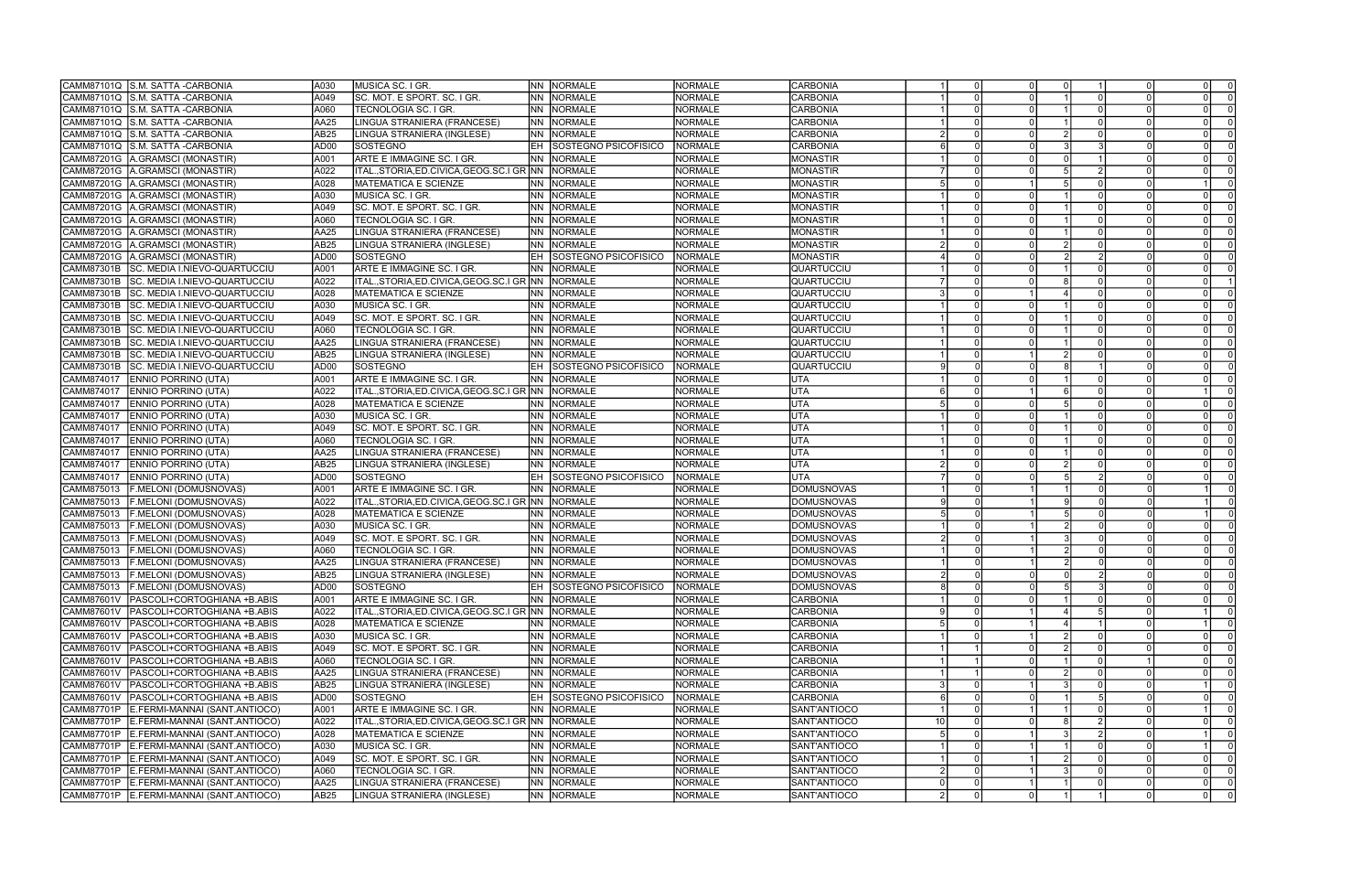| CAMM87101Q S.M. SATTA - CARBONIA                  | A030             | MUSICA SC. I GR.                                     |           | NN NORMALE              | <b>NORMALE</b>  | CARBONIA          |    |          |          |  |                                  |
|---------------------------------------------------|------------------|------------------------------------------------------|-----------|-------------------------|-----------------|-------------------|----|----------|----------|--|----------------------------------|
| CAMM87101Q S.M. SATTA -CARBONIA                   | A049             | SC. MOT. E SPORT. SC. I GR.                          | INN I     | NORMALE                 | <b>NORMALE</b>  | <b>CARBONIA</b>   |    |          |          |  |                                  |
| CAMM87101Q<br>S.M. SATTA - CARBONIA               | A060             | TECNOLOGIA SC. I GR.                                 | INN       | NORMALE                 | <b>NORMALE</b>  | CARBONIA          |    |          |          |  |                                  |
| S.M. SATTA - CARBONIA<br>CAMM87101Q               | AA25             | LINGUA STRANIERA (FRANCESE)                          | INN       | NORMALE                 | <b>NORMALE</b>  | CARBONIA          |    |          |          |  |                                  |
| S.M. SATTA - CARBONIA<br>CAMM87101Q               | AB25             | LINGUA STRANIERA (INGLESE)                           | INN       | <b>NORMALE</b>          | <b>NORMALE</b>  | CARBONIA          |    |          |          |  |                                  |
| S.M. SATTA - CARBONIA<br>CAMM87101Q               | AD00             | SOSTEGNO                                             | EH        | SOSTEGNO PSICOFISICO    | <b>NORMALE</b>  | <b>CARBONIA</b>   |    |          |          |  |                                  |
| A.GRAMSCI (MONASTIR)<br>CAMM87201G                | A001             | ARTE E IMMAGINE SC. I GR.                            | INN       | <b>NORMALE</b>          | <b>NORMALE</b>  | MONASTIR          |    |          |          |  |                                  |
| CAMM87201G<br>A.GRAMSCI (MONASTIR)                | A022             | ITAL.,STORIA,ED.CIVICA,GEOG.SC.I GR NN               |           | <b>NORMALE</b>          | <b>NORMALE</b>  | MONASTIR          |    |          |          |  |                                  |
| CAMM87201G<br>A.GRAMSCI (MONASTIR)                | A028             | <b>MATEMATICA E SCIENZE</b>                          | INN I     | <b>NORMALE</b>          | <b>NORMALE</b>  | MONASTIR          |    |          |          |  |                                  |
| CAMM87201G<br>A.GRAMSCI (MONASTIR)                | A030             | MUSICA SC. I GR.                                     | NN.       | <b>NORMALE</b>          | NORMALE         | MONASTIR          |    |          |          |  |                                  |
| CAMM87201G                                        |                  |                                                      |           |                         |                 |                   |    |          |          |  |                                  |
| A.GRAMSCI (MONASTIR)                              | A049             | SC. MOT. E SPORT. SC. I GR.                          | INN.      | <b>NORMALE</b>          | NORMALE         | MONASTIR          |    |          |          |  | $\Omega$                         |
| CAMM87201G<br>A.GRAMSCI (MONASTIR)                | A060             | TECNOLOGIA SC. I GR.                                 | INN       | NORMALE                 | <b>NORMALE</b>  | MONASTIR          |    |          |          |  |                                  |
| CAMM87201G<br>A.GRAMSCI (MONASTIR)                | AA25             | LINGUA STRANIERA (FRANCESE)                          | INN I     | <b>NORMALE</b>          | <b>NORMALE</b>  | MONASTIR          |    |          |          |  |                                  |
| CAMM87201G<br>A. GRAMSCI (MONASTIR)               | AB25             | LINGUA STRANIERA (INGLESE)                           | INN I     | <b>NORMALE</b>          | <b>NORMALE</b>  | MONASTIR          |    |          |          |  |                                  |
| CAMM87201G<br>A.GRAMSCI (MONASTIR)                | AD <sub>00</sub> | SOSTEGNO                                             | EH        | SOSTEGNO PSICOFISICO    | <b>NORMALE</b>  | MONASTIR          |    |          |          |  |                                  |
| CAMM87301B<br>SC. MEDIA I.NIEVO-QUARTUCCIU        | A001             | ARTE E IMMAGINE SC. I GR.                            | INN.      | <b>NORMALE</b>          | <b>NORMALE</b>  | QUARTUCCIU        |    |          |          |  |                                  |
| CAMM87301B<br>SC. MEDIA I.NIEVO-QUARTUCCIU        | A022             | ITAL.,STORIA,ED.CIVICA,GEOG.SC.I GR  NN              |           | NORMALE                 | <b>NORMALE</b>  | <b>QUARTUCCIU</b> |    |          |          |  |                                  |
| <b>SC. MEDIA I.NIEVO-QUARTUCCIU</b><br>CAMM87301B | A028             | <b>MATEMATICA E SCIENZE</b>                          | INN I     | NORMALE                 | <b>NORMALE</b>  | <b>QUARTUCCIU</b> |    |          |          |  |                                  |
| SC. MEDIA I.NIEVO-QUARTUCCIU<br><b>CAMM87301B</b> | A030             | <b>MUSICA SC. I GR.</b>                              | INN I     | <b>NORMALE</b>          | <b>NORMALE</b>  | <b>QUARTUCCIU</b> |    |          |          |  |                                  |
| CAMM87301B<br>SC. MEDIA I.NIEVO-QUARTUCCIU        | A049             | SC. MOT. E SPORT. SC. I GR.                          | INN I     | NORMALE                 | <b>NORMALE</b>  | <b>QUARTUCCIU</b> |    |          |          |  |                                  |
| <b>SC. MEDIA I.NIEVO-QUARTUCCIU</b><br>CAMM87301B | A060             | TECNOLOGIA SC. I GR.                                 | INN I     | NORMALE                 | <b>NORMALE</b>  | <b>QUARTUCCIU</b> |    |          |          |  |                                  |
| CAMM87301B<br>SC. MEDIA I.NIEVO-QUARTUCCIU        | AA25             | LINGUA STRANIERA (FRANCESE)                          | INN I     | NORMALE                 | <b>NORMALE</b>  | QUARTUCCIU        |    |          |          |  | $\Omega$                         |
| CAMM87301B<br>ISC. MEDIA I.NIEVO-QUARTUCCIU       | AB25             | LINGUA STRANIERA (INGLESE)                           | INN .     | NORMALE                 | <b>NORMALE</b>  | <b>QUARTUCCIU</b> |    |          |          |  |                                  |
| CAMM87301B<br><b>SC. MEDIA I.NIEVO-QUARTUCCIU</b> | AD00             | SOSTEGNO                                             | EH.       | SOSTEGNO PSICOFISICO    | <b>NORMALE</b>  | QUARTUCCIU        |    |          |          |  |                                  |
| CAMM874017<br><b>ENNIO PORRINO (UTA)</b>          | A001             | ARTE E IMMAGINE SC. I GR.                            | INN I     | <b>NORMALE</b>          | <b>NORMALE</b>  | UTA               |    |          |          |  |                                  |
| CAMM874017<br><b>ENNIO PORRINO (UTA)</b>          | A022             | ITAL.,STORIA,ED.CIVICA,GEOG.SC.I GR INN              |           | <b>NORMALE</b>          | <b>NORMALE</b>  | UTA               |    |          |          |  |                                  |
| CAMM874017<br><b>ENNIO PORRINO (UTA)</b>          | A028             | <b>MATEMATICA E SCIENZE</b>                          | NN        | <b>NORMALE</b>          | <b>NORMALE</b>  | UTA               |    |          |          |  |                                  |
| CAMM874017<br>ENNIO PORRINO (UTA)                 | A030             | MUSICA SC. I GR.                                     | INN I     | <b>NORMALE</b>          | <b>NORMALE</b>  | UTA               |    |          |          |  |                                  |
| CAMM874017<br>ENNIO PORRINO (UTA)                 | A049             | SC. MOT. E SPORT. SC. I GR.                          | INN I     | NORMALE                 | <b>NORMALE</b>  | UTA               |    |          |          |  |                                  |
| CAMM874017<br><b>ENNIO PORRINO (UTA)</b>          | A060             | TECNOLOGIA SC. I GR.                                 | INN.      | NORMALE                 | <b>NORMALE</b>  | <b>UTA</b>        |    |          |          |  |                                  |
| CAMM874017                                        | AA25             |                                                      | INN I     | NORMALE                 | <b>NORMALE</b>  | UTA               |    |          |          |  |                                  |
| <b>ENNIO PORRINO (UTA)</b><br>CAMM874017          |                  | LINGUA STRANIERA (FRANCESE)                          |           |                         |                 |                   |    |          |          |  |                                  |
| <b>ENNIO PORRINO (UTA)</b>                        | AB25             | LINGUA STRANIERA (INGLESE)                           | INN I     | NORMALE                 | <b>NORMALE</b>  | UTA               |    |          |          |  |                                  |
| CAMM874017<br>ENNIO PORRINO (UTA)                 | AD <sub>00</sub> | SOSTEGNO                                             |           | SOSTEGNO PSICOFISICO    | <b>NORMALE</b>  | <b>UTA</b>        |    |          |          |  |                                  |
| CAMM875013<br>F.MELONI (DOMUSNOVAS)               | A001             | ARTE E IMMAGINE SC. I GR.                            | INN I     | <b>NORMALE</b>          | <b>NORMALE</b>  | <b>DOMUSNOVAS</b> |    |          |          |  |                                  |
| CAMM875013<br>F.MELONI (DOMUSNOVAS)               | A022             | ITAL.,STORIA,ED.CIVICA,GEOG.SC.I GR INN              |           | NORMALE                 | <b>NORMALE</b>  | DOMUSNOVAS        |    |          |          |  |                                  |
| CAMM875013<br>F.MELONI (DOMUSNOVAS)               | A028             | <b>MATEMATICA E SCIENZE</b>                          | INN I     | NORMALE                 | <b>NORMALE</b>  | DOMUSNOVAS        |    |          |          |  |                                  |
| CAMM875013<br>F.MELONI (DOMUSNOVAS)               | A030             | MUSICA SC. I GR.                                     | INN       | <b>NORMALE</b>          | <b>NORMALE</b>  | <b>DOMUSNOVAS</b> |    |          |          |  |                                  |
| CAMM875013<br>F.MELONI (DOMUSNOVAS)               | A049             | SC. MOT. E SPORT. SC. I GR.                          | INN       | <b>NORMALE</b>          | <b>NORMALE</b>  | DOMUSNOVAS        |    |          |          |  |                                  |
| CAMM875013<br>MELONI (DOMUSNOVAS)                 | A060             | TECNOLOGIA SC. I GR.                                 | INN I     | <b>NORMALE</b>          | NORMALE         | <b>DOMUSNOVAS</b> |    |          |          |  |                                  |
| CAMM875013<br>F.MELONI (DOMUSNOVAS)               | AA25             | LINGUA STRANIERA (FRANCESE)                          | INN       | NORMALE                 | <b>NORMALE</b>  | <b>DOMUSNOVAS</b> |    |          |          |  |                                  |
| CAMM875013<br>F.MELONI (DOMUSNOVAS)               | AB25             | LINGUA STRANIERA (INGLESE)                           |           | NN NORMALE              | <b>NORMALE</b>  | <b>DOMUSNOVAS</b> |    |          |          |  |                                  |
| CAMM875013  F.MELONI (DOMUSNOVAS)                 | AD00             | SOSTEGNO                                             |           | SOSTEGNO PSICOFISICO    | <b>INORMALE</b> | <b>DOMUSNOVAS</b> |    | 0        |          |  |                                  |
| PASCOLI+CORTOGHIANA +B.ABIS<br>CAMM87601V         | A001             | ARTE E IMMAGINE SC. I GR.                            |           | NN NORMALE              | <b>NORMALE</b>  | CARBONIA          |    | $\Omega$ |          |  | $\overline{0}$                   |
| CAMM87601V<br>PASCOLI+CORTOGHIANA +B.ABIS         | A022             | ITAL., STORIA, ED. CIVICA, GEOG. SC. I GR NN NORMALE |           |                         | <b>NORMALE</b>  | <b>CARBONIA</b>   |    |          |          |  | $\Omega$                         |
| CAMM87601V<br>PASCOLI+CORTOGHIANA +B.ABIS         | A028             | MATEMATICA E SCIENZE                                 |           | NN NORMALE              | <b>NORMALE</b>  | CARBONIA          |    |          |          |  |                                  |
| CAMM87601V<br>PASCOLI+CORTOGHIANA +B.ABIS         | A030             | MUSICA SC. I GR.                                     |           | NN NORMALE              | <b>NORMALE</b>  | <b>CARBONIA</b>   |    |          |          |  | $\Omega$                         |
| CAMM87601V<br>PASCOLI+CORTOGHIANA +B.ABIS         | A049             | SC. MOT. E SPORT. SC. I GR.                          |           | NN NORMALE              | <b>NORMALE</b>  | <b>CARBONIA</b>   |    |          |          |  | - 0<br>0                         |
| CAMM87601V<br>PASCOLI+CORTOGHIANA +B.ABIS         | A060             | TECNOLOGIA SC. I GR.                                 |           | NN NORMALE              | <b>NORMALE</b>  | CARBONIA          |    |          |          |  |                                  |
| CAMM87601V<br>PASCOLI+CORTOGHIANA +B.ABIS         | AA25             | LINGUA STRANIERA (FRANCESE)                          | INN I     | <b>NORMALE</b>          | <b>NORMALE</b>  | <b>CARBONIA</b>   |    |          |          |  |                                  |
| CAMM87601V<br>PASCOLI+CORTOGHIANA +B.ABIS         | AB25             | LINGUA STRANIERA (INGLESE)                           |           | <b>NN NORMALE</b>       | <b>NORMALE</b>  | CARBONIA          |    |          |          |  |                                  |
| CAMM87601V<br>PASCOLI+CORTOGHIANA +B.ABIS         | AD00             | SOSTEGNO                                             |           | EH SOSTEGNO PSICOFISICO | NORMALE         | CARBONIA          |    |          |          |  | $\Omega$                         |
| CAMM87701P<br>E.FERMI-MANNAI (SANT.ANTIOCO)       | A001             | ARTE E IMMAGINE SC. I GR.                            |           | NN NORMALE              | <b>NORMALE</b>  | SANT'ANTIOCO      |    |          |          |  | $\Omega$                         |
| CAMM87701P<br>E.FERMI-MANNAI (SANT.ANTIOCO)       | A022             | ITAL., STORIA, ED. CIVICA, GEOG. SC. I GR NN NORMALE |           |                         | <b>NORMALE</b>  | SANT'ANTIOCO      | 10 |          |          |  |                                  |
| CAMM87701P                                        |                  |                                                      |           |                         |                 |                   |    | $\Omega$ |          |  |                                  |
| E.FERMI-MANNAI (SANT.ANTIOCO)                     | A028             | MATEMATICA E SCIENZE                                 |           | NN NORMALE              | <b>NORMALE</b>  | SANT'ANTIOCO      |    |          |          |  | - 0                              |
| CAMM87701P<br>E.FERMI-MANNAI (SANT.ANTIOCO)       | A030             | MUSICA SC. I GR.                                     | <b>NN</b> | NORMALE                 | <b>NORMALE</b>  | SANT'ANTIOCO      |    |          |          |  |                                  |
| CAMM87701P<br>E.FERMI-MANNAI (SANT.ANTIOCO)       | A049             | SC. MOT. E SPORT. SC. I GR.                          |           | NN NORMALE              | <b>NORMALE</b>  | SANT'ANTIOCO      |    |          |          |  | $\Omega$                         |
| CAMM87701P<br>E.FERMI-MANNAI (SANT.ANTIOCO)       | A060             | TECNOLOGIA SC. I GR.                                 |           | NN NORMALE              | <b>NORMALE</b>  | SANT'ANTIOCO      |    |          |          |  | $\Omega$<br>$\Omega$             |
| CAMM87701P<br>E.FERMI-MANNAI (SANT.ANTIOCO)       | AA25             | LINGUA STRANIERA (FRANCESE)                          |           | NN NORMALE              | <b>NORMALE</b>  | SANT'ANTIOCO      |    | $\Omega$ |          |  | $\overline{0}$<br>$\overline{0}$ |
| CAMM87701P<br>E.FERMI-MANNAI (SANT.ANTIOCO)       | AB25             | LINGUA STRANIERA (INGLESE)                           |           | NN NORMALE              | <b>NORMALE</b>  | SANT'ANTIOCO      |    | $\Omega$ | $\Omega$ |  | $\Omega$<br>$\Omega$             |

| 0                       | $\overline{0}$          | $\overline{1}$      | 0                                    | 0              | $\overline{0}$ |
|-------------------------|-------------------------|---------------------|--------------------------------------|----------------|----------------|
| 0                       | $\overline{\mathbf{1}}$ | $\overline{0}$      | 0                                    | 0              | $\overline{0}$ |
| 0                       | $\overline{1}$          | $\overline{0}$      | $\overline{0}$                       | 0              | $\overline{0}$ |
| 0                       | $\overline{\mathbf{1}}$ | $\overline{0}$      | $\overline{0}$                       | $\overline{0}$ | $\overline{0}$ |
| 0                       | $\overline{2}$          | $\overline{0}$      | $\overline{0}$                       | $\overline{0}$ | $\overline{0}$ |
|                         | $\overline{3}$          |                     |                                      |                |                |
| 0                       |                         | 3<br>$\overline{1}$ | 0                                    | 0              | $\overline{0}$ |
| $\overline{0}$          | $\overline{0}$          |                     | $\overline{0}$                       | $\overline{0}$ | $\overline{0}$ |
| 0                       | 5                       | $\overline{2}$      | $\overline{0}$                       | 0              | $\overline{0}$ |
| $\overline{1}$          | $\overline{5}$          | $\overline{0}$      | $\overline{0}$                       | $\overline{1}$ | $\overline{0}$ |
| $\overline{0}$          | $\overline{1}$          | $\overline{0}$      | $\overline{0}$                       | $\overline{0}$ | $\overline{0}$ |
| 0                       | 1                       | $\overline{0}$      | $\overline{0}$                       | 0              | $\overline{0}$ |
| 0                       | $\overline{1}$          | $\overline{0}$      | $\overline{0}$                       | 0              | $\overline{0}$ |
| 0                       | $\overline{1}$          | $\overline{0}$      | $\overline{0}$                       | 0              | $\overline{0}$ |
| 0                       | $\overline{2}$          | $\overline{0}$      | $\overline{0}$                       | 0              | $\overline{0}$ |
| 0                       | $\overline{2}$          | $\overline{2}$      | $\overline{0}$                       | $\overline{0}$ | $\overline{0}$ |
| 0                       | $\overline{1}$          | $\overline{0}$      | $\overline{0}$                       | $\overline{0}$ | $\overline{0}$ |
| 0                       | $\overline{8}$          | $\overline{0}$      | $\overline{0}$                       | 0              | $\overline{1}$ |
| $\overline{1}$          | $\overline{4}$          | $\overline{0}$      | $\overline{0}$                       | $\overline{0}$ | $\overline{0}$ |
| 0                       | $\overline{1}$          | $\overline{0}$      | $\overline{0}$                       | 0              | $\overline{0}$ |
| $\overline{0}$          | $\overline{1}$          | $\overline{0}$      | $\overline{0}$                       | $\overline{0}$ | $\overline{0}$ |
| $\overline{0}$          | $\overline{1}$          | $\overline{0}$      | $\overline{0}$                       | $\overline{0}$ | $\overline{0}$ |
| 0                       | $\overline{1}$          | 0                   | 0                                    | 0              | $\overline{0}$ |
| $\overline{\mathbf{1}}$ | $\overline{2}$          | 0                   | 0                                    | 0              | $\mathbf 0$    |
| $\overline{0}$          | $\overline{8}$          | $\overline{1}$      | $\overline{0}$                       | 0              | $\overline{0}$ |
| $\overline{0}$          | $\overline{1}$          | $\overline{0}$      | $\overline{0}$                       | $\overline{0}$ | $\overline{0}$ |
| $\overline{1}$          | $\overline{6}$          | $\overline{0}$      | $\overline{0}$                       | $\overline{1}$ | $\overline{0}$ |
| 0                       | $\overline{5}$          | $\overline{0}$      | $\overline{0}$                       | $\overline{0}$ | $\overline{0}$ |
| 0                       | $\overline{1}$          | $\overline{0}$      | $\overline{0}$                       | 0              | $\overline{0}$ |
| 0                       | $\overline{1}$          | $\overline{0}$      | $\overline{0}$                       | 0              | $\overline{0}$ |
| $\overline{0}$          | $\overline{1}$          | $\overline{0}$      | $\overline{0}$                       | $\overline{0}$ | $\overline{0}$ |
| 0                       | 1                       | $\overline{0}$      | $\overline{0}$                       | 0              | $\overline{0}$ |
| $\overline{0}$          | $\overline{2}$          | $\overline{0}$      | $\overline{0}$                       | $\overline{0}$ | $\overline{0}$ |
| 0                       | 5                       | $\overline{2}$      | $\overline{0}$                       | 0              | $\overline{0}$ |
| $\overline{\mathbf{1}}$ | $\overline{1}$          | $\overline{0}$      | $\overline{0}$                       | 1              | $\overline{0}$ |
| $\overline{\mathbf{1}}$ | $\overline{9}$          | $\overline{0}$      | $\overline{0}$                       | $\overline{1}$ | $\overline{0}$ |
|                         | 5                       |                     |                                      | $\overline{1}$ | $\overline{0}$ |
| $\overline{1}$          |                         | $\overline{0}$      | 0                                    |                |                |
| $\overline{1}$          | $\overline{2}$          | $\overline{0}$      | $\overline{0}$                       | $\overline{0}$ | $\overline{0}$ |
| $\overline{\mathbf{1}}$ | $\overline{3}$          | $\overline{0}$      | $\overline{0}$                       | 0              | $\overline{0}$ |
| 1                       | $\overline{2}$          | 0                   | 0                                    | 0              | $\overline{0}$ |
| 1                       | $\overline{2}$          | $\overline{0}$      | $\mathbf{0}$                         | 0              | $\overline{0}$ |
| $\overline{0}$          | $\overline{0}$          | $\overline{2}$      | $\overline{\overline{\overline{0}}}$ | $\overline{0}$ | $\overline{0}$ |
| 0                       | 5                       | $\overline{3}$      | 0                                    | 0              | 0              |
| $\overline{0}$          | $\overline{1}$          | $\overline{0}$      | $\overline{0}$                       | $\overline{0}$ | $\overline{0}$ |
| 1                       | 4                       | $\overline{5}$      | 0                                    | 1              | 0              |
| $\overline{1}$          | $\overline{4}$          | $\overline{1}$      | $\overline{0}$                       | $\overline{1}$ | $\overline{0}$ |
| $\overline{1}$          | $\overline{2}$          | $\overline{0}$      | $\overline{0}$                       | $\overline{0}$ | $\overline{0}$ |
| 0                       | $\overline{2}$          | $\overline{0}$      | $\overline{0}$                       | 0              | $\overline{0}$ |
| 0                       | $\overline{1}$          | 0                   | $\overline{1}$                       | 0              | $\overline{0}$ |
| 0                       | $\overline{2}$          | $\overline{0}$      | 0                                    | 0              | $\overline{0}$ |
| 1                       | $\overline{3}$          | 0                   | 0                                    | 1              | $\overline{0}$ |
| 0                       | $\overline{1}$          | $\overline{5}$      | 0                                    | 0              | $\overline{0}$ |
| $\overline{1}$          | $\overline{1}$          | $\overline{0}$      | 0                                    | $\overline{1}$ | $\overline{0}$ |
| 0                       | $\overline{8}$          | $\overline{2}$      | $\overline{0}$                       | $\overline{0}$ | $\overline{0}$ |
| $\overline{\mathbf{1}}$ | $\overline{3}$          | $\overline{2}$      | $\overline{0}$                       | $\overline{1}$ | $\overline{0}$ |
| 1                       | $\overline{1}$          | $\overline{0}$      | 0                                    | 1              | $\overline{0}$ |
| 1                       | $\overline{2}$          | 0                   | 0                                    | 0              | 0              |
| $\overline{1}$          | $\overline{3}$          | $\overline{0}$      | $\overline{0}$                       | $\overline{0}$ | $\overline{0}$ |
| 1                       | $\overline{1}$          | 0                   | 0                                    | 0              | $\overline{0}$ |
| $\overline{0}$          | 1                       | $\overline{1}$      | $\overline{0}$                       | $\overline{0}$ | $\overline{0}$ |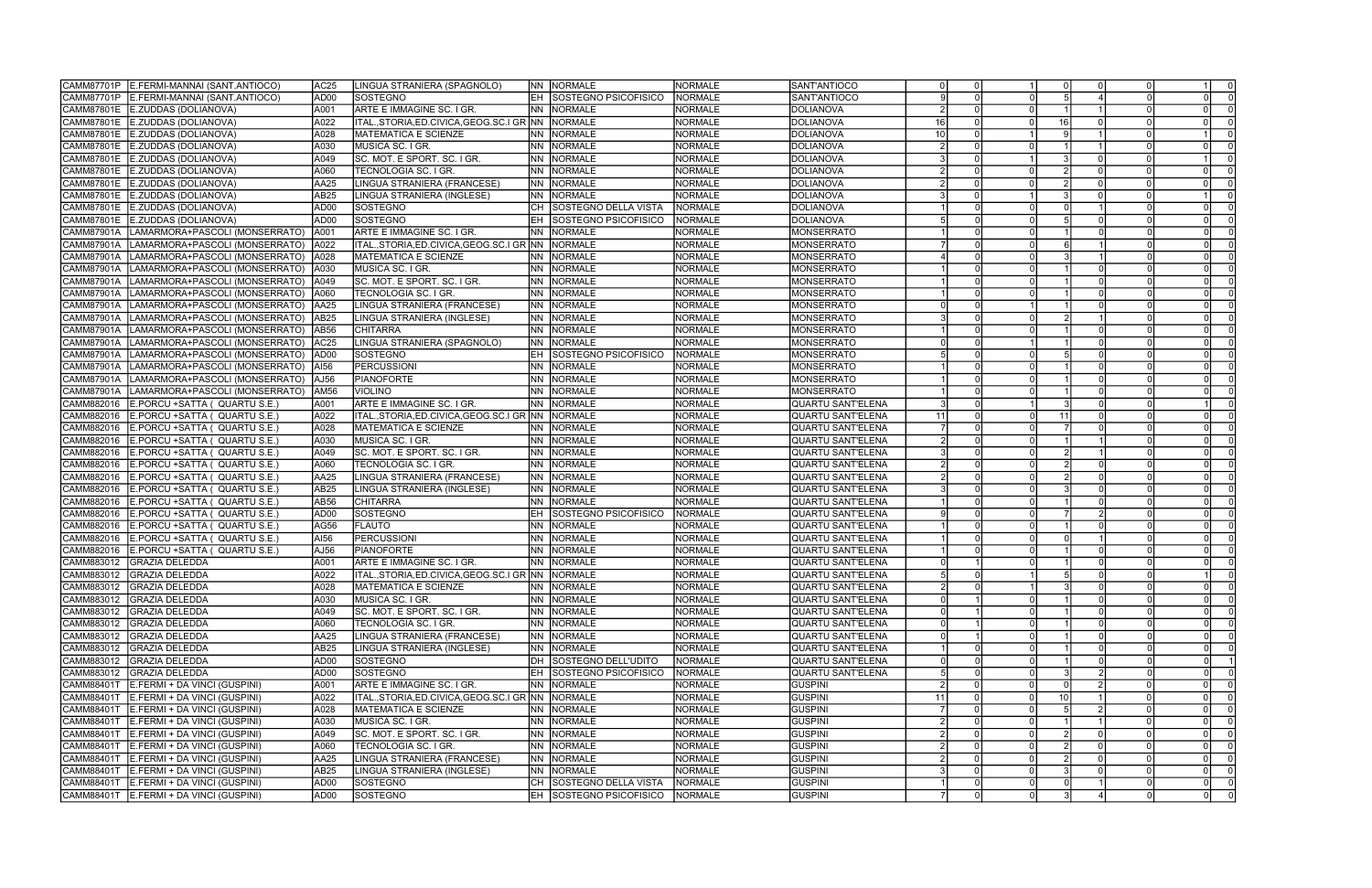|                   | CAMM87701P E.FERMI-MANNAI (SANT.ANTIOCO)    | AC <sub>25</sub> | LINGUA STRANIERA (SPAGNOLO)                          |           | <b>NN NORMALE</b>              | <b>NORMALE</b> | SANT'ANTIOCO             |     |                 |    |          |                |
|-------------------|---------------------------------------------|------------------|------------------------------------------------------|-----------|--------------------------------|----------------|--------------------------|-----|-----------------|----|----------|----------------|
|                   | CAMM87701P E.FERMI-MANNAI (SANT.ANTIOCO)    | AD <sub>00</sub> | <b>SOSTEGNO</b>                                      | IEH.      | SOSTEGNO PSICOFISICO           | <b>NORMALE</b> | SANT'ANTIOCO             |     |                 |    |          |                |
|                   | CAMM87801E E.ZUDDAS (DOLIANOVA)             | A001             | ARTE E IMMAGINE SC. I GR.                            |           | NN NORMALE                     | <b>NORMALE</b> | DOLIANOVA                |     |                 |    |          |                |
|                   | CAMM87801E E.ZUDDAS (DOLIANOVA)             | A022             | ITAL.,STORIA,ED.CIVICA,GEOG.SC.I GR INN              |           | NORMALE                        | <b>NORMALE</b> | DOLIANOVA                | -16 |                 | 16 |          |                |
|                   | CAMM87801E E.ZUDDAS (DOLIANOVA)             | A028             | <b>MATEMATICA E SCIENZE</b>                          |           | NN NORMALE                     | <b>NORMALE</b> | DOLIANOVA                |     |                 |    |          |                |
|                   | CAMM87801E E.ZUDDAS (DOLIANOVA)             | A030             | MUSICA SC. I GR.                                     | <b>NN</b> | NORMALE                        | <b>NORMALE</b> | <b>DOLIANOVA</b>         |     |                 |    |          |                |
|                   | CAMM87801E E.ZUDDAS (DOLIANOVA)             |                  |                                                      |           |                                |                | <b>DOLIANOVA</b>         |     |                 |    |          |                |
|                   |                                             | A049             | SC. MOT. E SPORT. SC. I GR.                          | NN .      | <b>NORMALE</b>                 | <b>NORMALE</b> |                          |     |                 |    |          |                |
|                   | CAMM87801E E.ZUDDAS (DOLIANOVA)             | A060             | TECNOLOGIA SC. I GR                                  | INN I     | NORMALE                        | <b>NORMALE</b> | <b>DOLIANOVA</b>         |     |                 |    |          |                |
|                   | CAMM87801E E.ZUDDAS (DOLIANOVA)             | AA25             | LINGUA STRANIERA (FRANCESE)                          |           | NN NORMALE                     | <b>NORMALE</b> | <b>DOLIANOVA</b>         |     |                 |    |          |                |
|                   | CAMM87801E E.ZUDDAS (DOLIANOVA)             | AB25             | LINGUA STRANIERA (INGLESE)                           |           | INN INORMALE                   | <b>NORMALE</b> | DOLIANOVA                |     |                 |    |          |                |
|                   | CAMM87801E E.ZUDDAS (DOLIANOVA)             | AD00             | SOSTEGNO                                             | CH        | SOSTEGNO DELLA VISTA           | <b>NORMALE</b> | <b>DOLIANOVA</b>         |     |                 |    |          |                |
|                   | CAMM87801E E.ZUDDAS (DOLIANOVA)             | AD00             | SOSTEGNO                                             | EH        | SOSTEGNO PSICOFISICO           | <b>NORMALE</b> | <b>DOLIANOVA</b>         |     |                 |    | $\Omega$ |                |
|                   | CAMM87901A   LAMARMORA+PASCOLI (MONSERRATO) | A001             | ARTE E IMMAGINE SC. I GR.                            |           | NN NORMALE                     | NORMALE        | MONSERRATO               |     |                 |    |          |                |
| CAMM87901A        | LAMARMORA+PASCOLI (MONSERRATO)              | A022             |                                                      |           |                                | <b>NORMALE</b> | MONSERRATO               |     |                 |    |          |                |
| <b>CAMM87901A</b> | LAMARMORA+PASCOLI (MONSERRATO)              | A028             | <b>MATEMATICA E SCIENZE</b>                          |           | NN NORMALE                     | <b>NORMALE</b> | MONSERRATO               |     |                 |    |          |                |
| CAMM87901A        | LAMARMORA+PASCOLI (MONSERRATO)              | A030             | MUSICA SC. I GR.                                     | INN I     | NORMALE                        | <b>NORMALE</b> | MONSERRATO               |     |                 |    |          |                |
| <b>CAMM87901A</b> | LAMARMORA+PASCOLI (MONSERRATO)              | A049             | SC. MOT. E SPORT. SC. I GR.                          | NN .      | NORMALE                        | <b>NORMALE</b> | MONSERRATO               |     |                 |    |          |                |
| CAMM87901A        | LAMARMORA+PASCOLI (MONSERRATO)              | A060             | TECNOLOGIA SC. I GR                                  | INN -     | NORMALE                        | <b>NORMALE</b> | MONSERRATO               |     |                 |    |          |                |
| CAMM87901A        | LAMARMORA+PASCOLI (MONSERRATO)              | <b>AA25</b>      | LINGUA STRANIERA (FRANCESE)                          | <b>NN</b> | NORMALE                        | <b>NORMALE</b> | <b>MONSERRATO</b>        |     |                 |    |          |                |
| CAMM87901A        | LAMARMORA+PASCOLI (MONSERRATO)              | AB <sub>25</sub> | LINGUA STRANIERA (INGLESE)                           |           | NN NORMALE                     | <b>NORMALE</b> | MONSERRATO               |     |                 |    |          |                |
| CAMM87901A        | LAMARMORA+PASCOLI (MONSERRATO)              | AB56             | CHITARRA                                             | <b>NN</b> | NORMALE                        | <b>NORMALE</b> | MONSERRATO               |     |                 |    |          |                |
| <b>CAMM87901A</b> | LAMARMORA+PASCOLI (MONSERRATO)              | AC <sub>25</sub> | LINGUA STRANIERA (SPAGNOLO)                          | NN.       | NORMALE                        | <b>NORMALE</b> | MONSERRATO               |     |                 |    |          |                |
| CAMM87901A        | LAMARMORA+PASCOLI (MONSERRATO)              | AD <sub>00</sub> | <b>SOSTEGNO</b>                                      | EH.       | SOSTEGNO PSICOFISICO           | <b>NORMALE</b> | MONSERRATO               |     |                 |    | $\Omega$ |                |
|                   |                                             |                  |                                                      |           | NN NORMALE                     | <b>NORMALE</b> | MONSERRATO               |     |                 |    |          |                |
| CAMM87901A        | LAMARMORA+PASCOLI (MONSERRATO)              | AI56             | PERCUSSIONI                                          |           |                                |                |                          |     |                 |    |          |                |
| CAMM87901A        | LAMARMORA+PASCOLI (MONSERRATO)              | AJ56             | <b>PIANOFORTE</b>                                    |           | NN NORMALE                     | <b>NORMALE</b> | MONSERRATO               |     |                 |    |          |                |
| <b>CAMM87901A</b> | LAMARMORA+PASCOLI (MONSERRATO)              | <b>AM56</b>      | <b>VIOLINO</b>                                       |           | NN NORMALE                     | <b>NORMALE</b> | MONSERRATO               |     |                 |    |          |                |
| CAMM882016        | E.PORCU +SATTA (QUARTU S.E.)                | A001             | ARTE E IMMAGINE SC. I GR.                            | INN -     | NORMALE                        | <b>NORMALE</b> | QUARTU SANT'ELENA        |     |                 |    |          |                |
| CAMM882016        | E.PORCU +SATTA (QUARTU S.E.)                | A022             | ITAL.,STORIA,ED.CIVICA,GEOG.SC.I GR INN              |           | NORMALE                        | <b>NORMALE</b> | <b>QUARTU SANT'ELENA</b> |     |                 | 11 |          |                |
| CAMM882016        | E.PORCU +SATTA (QUARTU S.E.)                | A028             | <b>MATEMATICA E SCIENZE</b>                          | NN.       | <b>NORMALE</b>                 | NORMALE        | QUARTU SANT'ELENA        |     |                 |    |          |                |
| CAMM882016        | E.PORCU +SATTA (QUARTU S.E.)                | A030             | MUSICA SC. I GR.                                     |           | NN NORMALE                     | <b>NORMALE</b> | QUARTU SANT'ELENA        |     |                 |    |          |                |
| CAMM882016        | E.PORCU +SATTA (QUARTU S.E.)                | A049             | SC. MOT. E SPORT. SC. I GR.                          | <b>NN</b> | NORMALE                        | NORMALE        | QUARTU SANT'ELENA        |     |                 |    |          |                |
| CAMM882016        | E.PORCU +SATTA ( QUARTU S.E.)               | A060             | TECNOLOGIA SC. I GR                                  | NN.       | <b>NORMALE</b>                 | <b>NORMALE</b> | QUARTU SANT'ELENA        |     |                 |    |          |                |
| CAMM882016        | E PORCU + SATTA (QUARTU S.E.)               | AA25             | LINGUA STRANIERA (FRANCESE)                          | INN I     | <b>NORMALE</b>                 | <b>NORMALE</b> | QUARTU SANT'ELENA        |     |                 |    |          |                |
| CAMM882016        | E.PORCU +SATTA (QUARTU S.E.)                | AB25             | LINGUA STRANIERA (INGLESE)                           |           | NN NORMALE                     | <b>NORMALE</b> | QUARTU SANT'ELENA        |     |                 |    | $\Omega$ |                |
| CAMM882016        | E.PORCU +SATTA (QUARTU S.E.)                | AB56             | <b>CHITARRA</b>                                      |           | NN NORMALE                     | <b>NORMALE</b> | <b>QUARTU SANT'ELENA</b> |     |                 |    |          |                |
| CAMM882016        | E.PORCU +SATTA (QUARTU S.E.)                | AD00             | <b>SOSTEGNO</b>                                      | EH        | <b>SOSTEGNO PSICOFISICO</b>    | <b>NORMALE</b> | QUARTU SANT'ELENA        |     |                 |    |          |                |
| CAMM882016        | E.PORCU +SATTA (QUARTU S.E.)                | AG56             | <b>FLAUTO</b>                                        |           | NN NORMALE                     | NORMALE        | QUARTU SANT'ELENA        |     |                 |    |          |                |
| CAMM882016        | E.PORCU +SATTA (QUARTU S.E.)                | AI56             | PERCUSSIONI                                          |           | NN NORMALE                     | <b>NORMALE</b> | QUARTU SANT'ELENA        |     |                 |    |          |                |
| CAMM882016        | E.PORCU +SATTA ( QUARTU S.E.)               | AJ56             | <b>PIANOFORTE</b>                                    | NN.       | <b>NORMALE</b>                 | <b>NORMALE</b> | QUARTU SANT'ELENA        |     |                 |    |          |                |
| CAMM883012        | <b>GRAZIA DELEDDA</b>                       | A001             | ARTE E IMMAGINE SC. I GR.                            | NN.       | <b>NORMALE</b>                 | NORMALE        | QUARTU SANT'ELENA        |     |                 |    |          |                |
|                   | CAMM883012 GRAZIA DELEDDA                   | A022             | ITAL., STORIA, ED. CIVICA, GEOG. SC. I GR NN NORMALE |           |                                | NORMALE        | QUARTU SANT'ELENA        |     |                 |    |          |                |
|                   | CAMM883012 GRAZIA DELEDDA                   | A028             |                                                      |           | NN NORMALE                     | <b>NORMALE</b> | QUARTU SANT'ELENA        |     |                 |    |          |                |
|                   | CAMM883012 GRAZIA DELEDDA                   | A030             | <b>IMATEMATICA E SCIENZE</b>                         |           | NN NORMALE                     | <b>NORMALE</b> | QUARTU SANT'ELENA        |     |                 |    | 0 I      |                |
|                   |                                             |                  | <b>IMUSICA SC. I GR.</b>                             |           |                                |                |                          |     |                 |    | $\Omega$ |                |
|                   | CAMM883012 GRAZIA DELEDDA                   | A049             | SC. MOT. E SPORT. SC. I GR.                          |           | NN NORMALE                     | NORMALE        | QUARTU SANT'ELENA        |     |                 |    | $\Omega$ |                |
|                   | CAMM883012 GRAZIA DELEDDA                   | A060             | TECNOLOGIA SC. I GR.                                 |           | NN NORMALE                     | <b>NORMALE</b> | QUARTU SANT'ELENA        |     |                 |    | $\Omega$ |                |
|                   | CAMM883012 GRAZIA DELEDDA                   | AA25             | LINGUA STRANIERA (FRANCESE)                          |           | NN NORMALE                     | <b>NORMALE</b> | QUARTU SANT'ELENA        |     |                 |    | $\Omega$ |                |
|                   | CAMM883012 GRAZIA DELEDDA                   | AB <sub>25</sub> | LINGUA STRANIERA (INGLESE)                           |           | NN NORMALE                     | NORMALE        | QUARTU SANT'ELENA        |     |                 |    |          |                |
|                   | CAMM883012 GRAZIA DELEDDA                   | AD00             | <b>SOSTEGNO</b>                                      |           | DH SOSTEGNO DELL'UDITO         | NORMALE        | QUARTU SANT'ELENA        |     |                 |    | $\Omega$ |                |
|                   | CAMM883012 GRAZIA DELEDDA                   | AD00             | SOSTEGNO                                             |           | EH SOSTEGNO PSICOFISICO        | NORMALE        | QUARTU SANT'ELENA        |     |                 |    |          |                |
|                   | CAMM88401T   E.FERMI + DA VINCI (GUSPINI)   | A001             | ARTE E IMMAGINE SC. I GR.                            |           | NN NORMALE                     | <b>NORMALE</b> | <b>GUSPINI</b>           |     |                 |    | $\Omega$ | - 0            |
|                   | CAMM88401T E.FERMI + DA VINCI (GUSPINI)     | A022             | ITAL., STORIA, ED. CIVICA, GEOG. SC. I GR NN NORMALE |           |                                | NORMALE        | <b>GUSPINI</b>           | 11  |                 | 10 | $\Omega$ | $\overline{0}$ |
|                   | CAMM88401T   E.FERMI + DA VINCI (GUSPINI)   | A028             | MATEMATICA E SCIENZE                                 |           | NN NORMALE                     | NORMALE        | <b>GUSPINI</b>           |     |                 |    | $\Omega$ |                |
|                   | CAMM88401T E.FERMI + DA VINCI (GUSPINI)     | A030             | MUSICA SC. I GR.                                     |           | NN NORMALE                     | <b>NORMALE</b> | <b>GUSPINI</b>           |     |                 |    | $\Omega$ | $\Omega$       |
| CAMM88401T        | E.FERMI + DA VINCI (GUSPINI)                | A049             | SC. MOT. E SPORT. SC. I GR.                          |           | NN NORMALE                     | NORMALE        | <b>GUSPINI</b>           |     |                 |    |          |                |
|                   | CAMM88401T E.FERMI + DA VINCI (GUSPINI)     | A060             | TECNOLOGIA SC. I GR.                                 |           | NN NORMALE                     | <b>NORMALE</b> | <b>GUSPINI</b>           |     |                 |    |          | $\Omega$       |
|                   | CAMM88401T E.FERMI + DA VINCI (GUSPINI)     | AA25             | LINGUA STRANIERA (FRANCESE)                          |           | NN NORMALE                     | <b>NORMALE</b> | <b>GUSPINI</b>           |     |                 |    | $\Omega$ | $\Omega$       |
|                   | CAMM88401T E.FERMI + DA VINCI (GUSPINI)     | AB <sub>25</sub> | LINGUA STRANIERA (INGLESE)                           |           | NN NORMALE                     | <b>NORMALE</b> | <b>GUSPINI</b>           |     |                 |    | $\Omega$ | - 0            |
|                   | CAMM88401T   E.FERMI + DA VINCI (GUSPINI)   | AD00             | SOSTEGNO                                             |           | CH SOSTEGNO DELLA VISTA        | NORMALE        | <b>GUSPINI</b>           |     |                 |    | - 0 I    |                |
|                   | CAMM88401T E.FERMI + DA VINCI (GUSPINI)     | AD00             | SOSTEGNO                                             |           | <b>EH SOSTEGNO PSICOFISICO</b> | NORMALE        | <b>GUSPINI</b>           |     | $\Omega$<br>- 0 |    | $\Omega$ |                |
|                   |                                             |                  |                                                      |           |                                |                |                          |     |                 |    |          |                |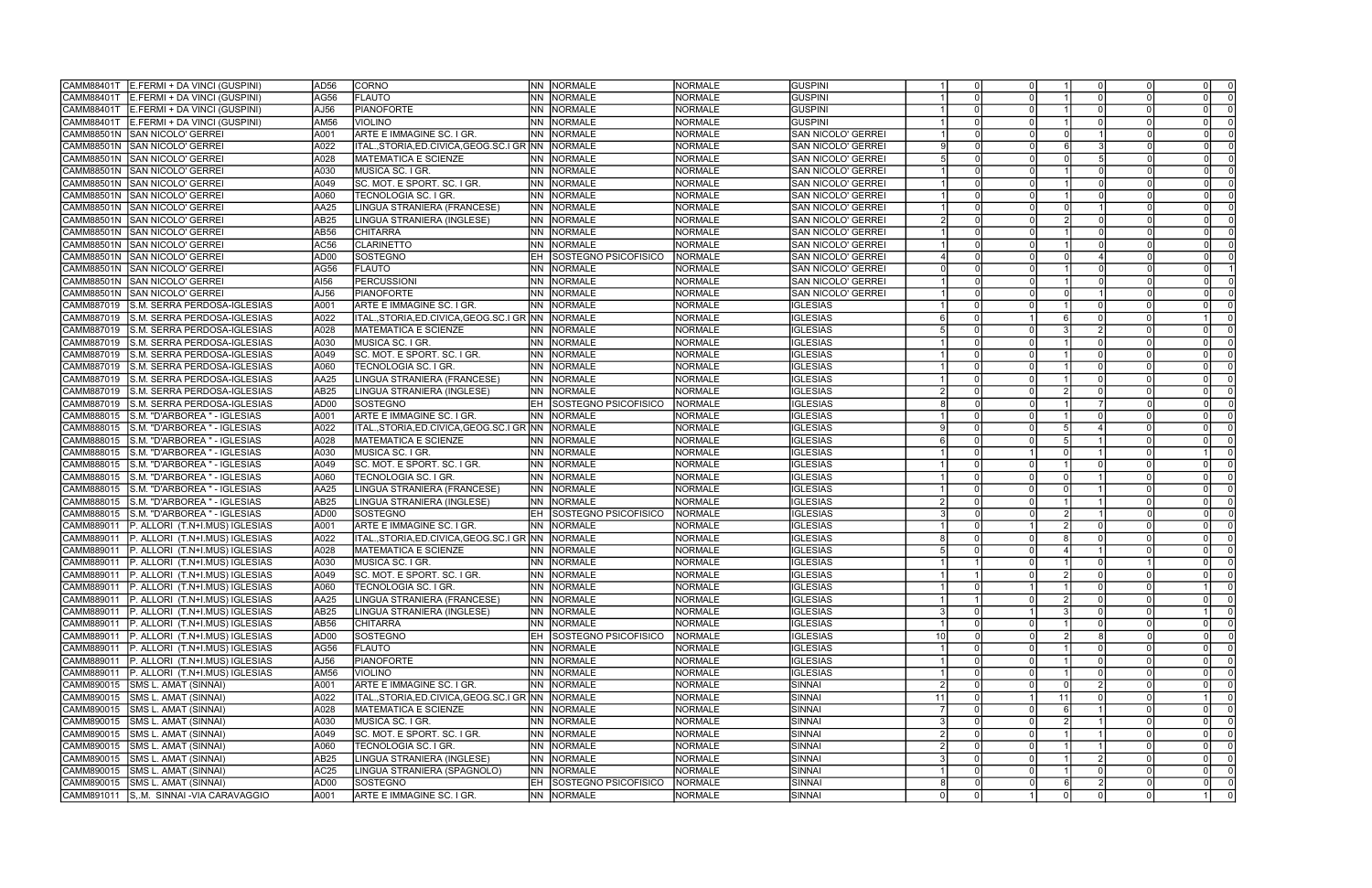| CAMM88401T<br>E.FERMI + DA VINCI (GUSPINI)                                                    | AD <sub>56</sub> | <b>CORNO</b>                                         |           | NN NORMALE                     | <b>NORMALE</b> | <b>GUSPINI</b>            |    |          |    | $\Omega$ |                |
|-----------------------------------------------------------------------------------------------|------------------|------------------------------------------------------|-----------|--------------------------------|----------------|---------------------------|----|----------|----|----------|----------------|
| CAMM88401T<br>E.FERMI + DA VINCI (GUSPINI)                                                    | AG56             | <b>FLAUTO</b>                                        | NN.       | NORMALE                        | <b>NORMALE</b> | <b>GUSPINI</b>            |    |          |    |          |                |
| CAMM88401T<br>E.FERMI + DA VINCI (GUSPINI)                                                    | AJ56             | <b>PIANOFORTE</b>                                    | NN.       | NORMALE                        | <b>NORMALE</b> | <b>GUSPINI</b>            |    |          |    |          |                |
| CAMM88401T<br>E.FERMI + DA VINCI (GUSPINI)                                                    | AM56             | <b>VIOLINO</b>                                       | NN.       | NORMALE                        | <b>NORMALE</b> | <b>GUSPINI</b>            |    |          |    |          |                |
| CAMM88501N<br><b>SAN NICOLO' GERREI</b>                                                       | A001             | ARTE E IMMAGINE SC. I GR.                            | INN       | <b>NORMALE</b>                 | <b>NORMALE</b> | SAN NICOLO' GERREI        |    |          |    |          |                |
| <b>SAN NICOLO' GERREI</b><br>CAMM88501N                                                       | A022             | ITAL.,STORIA,ED.CIVICA,GEOG.SC.I GR INN              |           | NORMALE                        | <b>NORMALE</b> | SAN NICOLO' GERREI        |    |          |    |          |                |
| CAMM88501N<br><b>SAN NICOLO' GERREI</b>                                                       | A028             | <b>MATEMATICA E SCIENZE</b>                          | INN I     | NORMALE                        | <b>NORMALE</b> | <b>SAN NICOLO' GERREI</b> |    |          |    |          |                |
| <b>CAMM88501N</b><br>SAN NICOLO' GERREI                                                       | A030             | MUSICA SC. I GR.                                     | INN I     | NORMALE                        | <b>NORMALE</b> | SAN NICOLO' GERREI        |    |          |    |          |                |
| CAMM88501N<br><b>I</b> SAN NICOLO' GERREI                                                     | A049             | SC. MOT. E SPORT. SC. I GR.                          | INN       | <b>NORMALE</b>                 | <b>NORMALE</b> | SAN NICOLO' GERREI        |    |          |    |          |                |
| CAMM88501N<br><b>SAN NICOLO' GERREI</b>                                                       | A060             | TECNOLOGIA SC. I GR.                                 | INN I     | <b>NORMALE</b>                 | NORMALE        | SAN NICOLO' GERREI        |    |          |    |          |                |
| <b>CAMM88501N</b><br><b>SAN NICOLO' GERREI</b>                                                | AA25             | LINGUA STRANIERA (FRANCESE)                          | INN I     | NORMALE                        | NORMALE        | SAN NICOLO' GERREI        |    |          |    | $\Omega$ |                |
| CAMM88501N                                                                                    | AB25             |                                                      | <b>NN</b> |                                | <b>NORMALE</b> |                           |    |          |    |          |                |
| <b>SAN NICOLO' GERREI</b><br><b>SAN NICOLO' GERREI</b>                                        |                  | LINGUA STRANIERA (INGLESE)                           |           | <b>NORMALE</b>                 |                | SAN NICOLO' GERREI        |    |          |    |          |                |
| CAMM88501N                                                                                    | AB56             | <b>CHITARRA</b>                                      | INN I     | <b>NORMALE</b>                 | <b>NORMALE</b> | SAN NICOLO' GERREI        |    |          |    |          |                |
| CAMM88501N<br><b>I</b> SAN NICOLO' GERREI                                                     | AC56             | <b>CLARINETTO</b>                                    |           | INN INORMALE                   | <b>NORMALE</b> | SAN NICOLO' GERREI        |    |          |    |          |                |
| CAMM88501N<br><b>SAN NICOLO' GERREI</b>                                                       | AD <sub>00</sub> | <b>SOSTEGNO</b>                                      |           | SOSTEGNO PSICOFISICO           | <b>NORMALE</b> | <b>SAN NICOLO' GERREI</b> |    |          |    |          |                |
| CAMM88501N<br><b>I</b> SAN NICOLO' GERREI                                                     | AG56             | <b>FLAUTO</b>                                        | INN I     | NORMALE                        | <b>NORMALE</b> | SAN NICOLO' GERREI        |    |          |    |          |                |
| CAMM88501N<br><b>SAN NICOLO' GERREI</b>                                                       | AI56             | <b>PERCUSSIONI</b>                                   | NN.       | NORMALE                        | <b>NORMALE</b> | SAN NICOLO' GERREI        |    |          |    |          |                |
| CAMM88501N<br><b>SAN NICOLO' GERREI</b>                                                       | AJ56             | <b>PIANOFORTE</b>                                    | NN.       | <b>NORMALE</b>                 | <b>NORMALE</b> | <b>SAN NICOLO' GERREI</b> |    |          |    |          |                |
| S.M. SERRA PERDOSA-IGLESIAS<br>CAMM887019                                                     | A001             | ARTE E IMMAGINE SC. I GR.                            | INN       | NORMALE                        | <b>NORMALE</b> | <b>IGLESIAS</b>           |    |          |    |          |                |
| CAMM887019<br>S.M. SERRA PERDOSA-IGLESIAS                                                     | A022             | ITAL.,STORIA,ED.CIVICA,GEOG.SC.I GR  NN              |           | NORMALE                        | <b>NORMALE</b> | <b>IGLESIAS</b>           |    |          |    |          |                |
| S.M. SERRA PERDOSA-IGLESIAS<br>CAMM887019                                                     | A028             | <b>MATEMATICA E SCIENZE</b>                          | INN I     | NORMALE                        | <b>NORMALE</b> | <b>IGLESIAS</b>           |    |          |    |          |                |
| CAMM887019<br>S.M. SERRA PERDOSA-IGLESIAS                                                     | A030             | MUSICA SC. I GR.                                     | INN I     | <b>NORMALE</b>                 | <b>NORMALE</b> | <b>IGLESIAS</b>           |    |          |    | $\Omega$ |                |
| CAMM887019<br>S.M. SERRA PERDOSA-IGLESIAS                                                     | A049             | SC. MOT. E SPORT. SC. I GR.                          | INN I     | NORMALE                        | <b>NORMALE</b> | <b>IGLESIAS</b>           |    |          |    |          |                |
| CAMM887019<br>S.M. SERRA PERDOSA-IGLESIAS                                                     | A060             | TECNOLOGIA SC. I GR.                                 | INN.      | NORMALE                        | <b>NORMALE</b> | <b>IGLESIAS</b>           |    |          |    |          |                |
| CAMM887019<br>S.M. SERRA PERDOSA-IGLESIAS                                                     | AA25             | LINGUA STRANIERA (FRANCESE)                          | INN I     | NORMALE                        | <b>NORMALE</b> | <b>IGLESIAS</b>           |    |          |    |          |                |
| S.M. SERRA PERDOSA-IGLESIAS<br>CAMM887019                                                     | AB25             | LINGUA STRANIERA (INGLESE)                           | INN I     | <b>NORMALE</b>                 | <b>NORMALE</b> | <b>IGLESIAS</b>           |    |          |    |          |                |
| CAMM887019<br>S.M. SERRA PERDOSA-IGLESIAS                                                     | AD00             | <b>SOSTEGNO</b>                                      |           | SOSTEGNO PSICOFISICO           | <b>NORMALE</b> | <b>IGLESIAS</b>           |    |          |    |          |                |
| S.M. "D'ARBOREA " - IGLESIAS<br>CAMM888015                                                    | A001             | ARTE E IMMAGINE SC. I GR.                            | INN       | <b>NORMALE</b>                 | <b>NORMALE</b> | <b>IGLESIAS</b>           |    |          |    |          |                |
| S.M. "D'ARBOREA " - IGLESIAS<br>CAMM888015                                                    | A022             | ITAL.,STORIA,ED.CIVICA,GEOG.SC.I GR NN               |           | NORMALE                        | <b>NORMALE</b> | <b>IGLESIAS</b>           |    |          |    |          |                |
| CAMM888015<br>S.M. "D'ARBOREA " - IGLESIAS                                                    | A028             | <b>MATEMATICA E SCIENZE</b>                          | INN I     | NORMALE                        | <b>NORMALE</b> | <b>IGLESIAS</b>           |    |          |    |          |                |
| CAMM888015<br>S.M. "D'ARBOREA " - IGLESIAS                                                    | A030             | MUSICA SC. I GR.                                     | NN.       | NORMALE                        | <b>NORMALE</b> | <b>IGLESIAS</b>           |    |          |    |          |                |
| CAMM888015<br>S.M. "D'ARBOREA " - IGLESIAS                                                    | A049             | SC. MOT. E SPORT. SC. I GR.                          | INN I     | NORMALE                        | <b>NORMALE</b> | <b>IGLESIAS</b>           |    |          |    |          |                |
| S.M. "D'ARBOREA " - IGLESIAS<br>CAMM888015                                                    | A060             | TECNOLOGIA SC. I GR.                                 | INN       | NORMALE                        | <b>NORMALE</b> | <b>IGLESIAS</b>           |    |          |    |          |                |
| S.M. "D'ARBOREA " - IGLESIAS<br>CAMM888015                                                    | AA25             | LINGUA STRANIERA (FRANCESE)                          | INN .     | <b>NORMALE</b>                 | <b>NORMALE</b> | <b>IGLESIAS</b>           |    |          |    | $\Omega$ |                |
| S.M. "D'ARBOREA " - IGLESIAS<br>CAMM888015                                                    | AB25             | LINGUA STRANIERA (INGLESE)                           | INN I     | <b>NORMALE</b>                 | <b>NORMALE</b> | <b>IGLESIAS</b>           |    |          |    |          |                |
| S.M. "D'ARBOREA " - IGLESIAS<br>CAMM888015                                                    | AD <sub>00</sub> | SOSTEGNO                                             |           | <b>SOSTEGNO PSICOFISICO</b>    | <b>NORMALE</b> | <b>IGLESIAS</b>           |    |          |    |          |                |
| CAMM889011<br>P. ALLORI (T.N+I.MUS) IGLESIAS                                                  | A001             | ARTE E IMMAGINE SC. I GR.                            | INN I     | <b>NORMALE</b>                 | <b>NORMALE</b> | <b>IGLESIAS</b>           |    |          |    |          |                |
| CAMM889011<br>P. ALLORI (T.N+I.MUS) IGLESIAS                                                  | A022             | ITAL.,STORIA,ED.CIVICA,GEOG.SC.I GR INN              |           | <b>NORMALE</b>                 | <b>NORMALE</b> | <b>IGLESIAS</b>           |    |          |    |          |                |
| CAMM889011                                                                                    | A028             | <b>MATEMATICA E SCIENZE</b>                          | INN I     | <b>NORMALE</b>                 | NORMALE        | <b>IGLESIAS</b>           |    |          |    |          |                |
| P. ALLORI (T.N+I.MUS) IGLESIAS<br>P. ALLORI (T.N+I.MUS) IGLESIAS<br>CAMM889011                | A030             | MUSICA SC. I GR.                                     | NN        | <b>NORMALE</b>                 | <b>NORMALE</b> | <b>IGLESIAS</b>           |    |          |    |          |                |
| CAMM889011                                                                                    | A049             | SC. MOT. E SPORT. SC. I GR.                          |           | <b>NN NORMALE</b>              | <b>NORMALE</b> | <b>IGLESIAS</b>           |    |          |    |          |                |
| P. ALLORI (T.N+I.MUS) IGLESIAS                                                                |                  |                                                      |           | NN NORMALE                     | <b>NORMALE</b> | <b>IGLESIAS</b>           |    |          |    |          |                |
| P. ALLORI (T.N+I.MUS) IGLESIAS<br> CAMM889011<br>CAMM889011<br>P. ALLORI (T.N+I.MUS) IGLESIAS | A060<br>AA25     | <b>TECNOLOGIA SC. I GR.</b>                          |           | NN NORMALE                     | <b>NORMALE</b> |                           |    | 0 I      |    | $\Omega$ | - 0 I          |
|                                                                                               |                  | LINGUA STRANIERA (FRANCESE)                          |           |                                |                | <b>IGLESIAS</b>           |    |          |    |          | $\overline{0}$ |
| CAMM889011<br>P. ALLORI (T.N+I.MUS) IGLESIAS                                                  | AB <sub>25</sub> | LINGUA STRANIERA (INGLESE)                           |           | NN NORMALE                     | <b>NORMALE</b> | <b>IGLESIAS</b>           |    |          |    |          | $\Omega$       |
| CAMM889011<br>P. ALLORI (T.N+I.MUS) IGLESIAS                                                  | AB56             | <b>CHITARRA</b>                                      |           | NN NORMALE                     | <b>NORMALE</b> | <b>IGLESIAS</b>           |    |          |    | $\Omega$ |                |
| P. ALLORI (T.N+I.MUS) IGLESIAS<br>CAMM889011                                                  | AD00             | SOSTEGNO                                             |           | <b>EH SOSTEGNO PSICOFISICO</b> | NORMALE        | <b>IGLESIAS</b>           | 10 |          |    | $\Omega$ |                |
| P. ALLORI (T.N+I.MUS) IGLESIAS<br>CAMM889011                                                  | AG56             | <b>FLAUTO</b>                                        |           | NN NORMALE                     | <b>NORMALE</b> | <b>IGLESIAS</b>           |    |          |    | $\Omega$ | $\Omega$       |
| CAMM889011<br>P. ALLORI (T.N+I.MUS) IGLESIAS                                                  | AJ56             | <b>PIANOFORTE</b>                                    |           | NN NORMALE                     | <b>NORMALE</b> | <b>IGLESIAS</b>           |    |          |    |          |                |
| CAMM889011<br>P. ALLORI (T.N+I.MUS) IGLESIAS                                                  | AM56             | <b>VIOLINO</b>                                       |           | NN NORMALE                     | <b>NORMALE</b> | <b>IGLESIAS</b>           |    |          |    | $\Omega$ |                |
| CAMM890015<br><b>SMS L. AMAT (SINNAI)</b>                                                     | A001             | ARTE E IMMAGINE SC. I GR.                            |           | NN NORMALE                     | <b>NORMALE</b> | SINNAI                    |    |          |    | $\Omega$ |                |
| CAMM890015 SMS L. AMAT (SINNAI)                                                               | A022             | ITAL., STORIA, ED. CIVICA, GEOG. SC. I GR NN NORMALE |           |                                | <b>NORMALE</b> | SINNAI                    | 11 |          | 11 |          |                |
| CAMM890015 SMS L. AMAT (SINNAI)                                                               | A028             | MATEMATICA E SCIENZE                                 |           | NN NORMALE                     | <b>NORMALE</b> | SINNAI                    |    |          |    | $\Omega$ | $\Omega$       |
| CAMM890015<br>SMS L. AMAT (SINNAI)                                                            | A030             | MUSICA SC. I GR.                                     |           | NN NORMALE                     | <b>NORMALE</b> | SINNAI                    |    |          |    |          |                |
| CAMM890015<br>SMS L. AMAT (SINNAI)                                                            | A049             | SC. MOT. E SPORT. SC. I GR.                          |           | NN NORMALE                     | <b>NORMALE</b> | SINNAI                    |    |          |    | $\Omega$ |                |
| CAMM890015<br><b>SMS L. AMAT (SINNAI)</b>                                                     | A060             | TECNOLOGIA SC. I GR.                                 | <b>NN</b> | NORMALE                        | <b>NORMALE</b> | SINNAI                    |    |          |    | $\Omega$ |                |
| CAMM890015<br>SMS L. AMAT (SINNAI)                                                            | AB25             | LINGUA STRANIERA (INGLESE)                           |           | NN NORMALE                     | <b>NORMALE</b> | SINNAI                    |    |          |    | $\Omega$ |                |
| CAMM890015 SMS L. AMAT (SINNAI)                                                               | AC <sub>25</sub> | LINGUA STRANIERA (SPAGNOLO)                          |           | NN NORMALE                     | <b>NORMALE</b> | SINNAI                    |    |          |    | $\Omega$ | $\Omega$       |
| CAMM890015<br>SMS L. AMAT (SINNAI)                                                            | AD00             | SOSTEGNO                                             |           | <b>EH SOSTEGNO PSICOFISICO</b> | NORMALE        | SINNAI                    |    |          |    | $\Omega$ |                |
| CAMM891011<br>S, M. SINNAI - VIA CARAVAGGIO                                                   | A001             | ARTE E IMMAGINE SC. I GR.                            |           | NN NORMALE                     | <b>NORMALE</b> | SINNAI                    |    | $\Omega$ |    |          |                |

| 0              | $\overline{1}$          | $\overline{0}$          | $\overline{0}$ | $\overline{0}$ | $\overline{0}$                       |
|----------------|-------------------------|-------------------------|----------------|----------------|--------------------------------------|
| 0              | $\overline{1}$          | 0                       | 0              | 0              | $\overline{0}$                       |
| $\overline{0}$ | $\overline{1}$          | $\overline{0}$          | $\overline{0}$ | $\overline{0}$ | $\overline{0}$                       |
| $\overline{0}$ | $\overline{1}$          | $\overline{0}$          | $\overline{0}$ | $\overline{0}$ | $\overline{0}$                       |
| 0              | 0                       | $\overline{1}$          | $\overline{0}$ | 0              | $\overline{0}$                       |
| 0              | 6                       | $\overline{3}$          | 0              | 0              | $\overline{0}$                       |
| 0              | 0                       | $\overline{5}$          | $\overline{0}$ | 0              | $\overline{0}$                       |
| $\overline{0}$ | $\overline{1}$          | $\overline{0}$          | $\overline{0}$ | $\overline{0}$ | $\overline{0}$                       |
| $\overline{0}$ | $\overline{1}$          | $\overline{0}$          | $\overline{0}$ | $\overline{0}$ | $\overline{0}$                       |
| 0              | $\overline{\mathbf{1}}$ | $\overline{0}$          | $\overline{0}$ | $\overline{0}$ | $\overline{0}$                       |
| 0              | $\overline{0}$          | 1                       | 0              | 0              | $\overline{0}$                       |
| $\overline{0}$ | $\overline{2}$          | $\overline{0}$          | $\overline{0}$ | 0              | $\overline{0}$                       |
| $\overline{0}$ | $\overline{1}$          | $\overline{0}$          | $\overline{0}$ | $\overline{0}$ | $\overline{0}$                       |
| 0              | $\overline{1}$          | $\overline{0}$          | $\overline{0}$ | $\overline{0}$ | $\overline{0}$                       |
| $\overline{0}$ | $\overline{0}$          | $\overline{4}$          | $\overline{0}$ | $\overline{0}$ | $\overline{0}$                       |
| 0              | $\overline{\mathbf{1}}$ | $\overline{0}$          | 0              | 0              | $\overline{1}$                       |
| $\overline{0}$ | $\overline{1}$          | $\overline{0}$          | $\overline{0}$ | $\overline{0}$ | $\overline{0}$                       |
| $\overline{0}$ | $\overline{0}$          | $\overline{1}$          | $\overline{0}$ | $\overline{0}$ | $\overline{0}$                       |
| $\overline{0}$ | $\overline{1}$          | $\overline{0}$          | $\overline{0}$ | $\overline{0}$ | $\overline{0}$                       |
| $\overline{1}$ | $\overline{6}$          | $\overline{0}$          | $\overline{0}$ | $\overline{1}$ | $\overline{0}$                       |
| $\overline{0}$ | $\overline{3}$          | $\overline{2}$          | $\overline{0}$ | $\overline{0}$ | $\overline{0}$                       |
| 0              | 1                       | 0                       | 0              | 0              | $\overline{0}$                       |
| 0              | $\overline{\mathbf{1}}$ | 0                       | 0              | 0              | $\overline{0}$                       |
| 0              | $\overline{1}$          | $\overline{0}$          | $\overline{0}$ | $\overline{0}$ | $\overline{0}$                       |
| $\overline{0}$ | $\overline{1}$          | $\overline{0}$          | $\overline{0}$ | $\overline{0}$ | $\overline{0}$                       |
| $\overline{0}$ | $\overline{2}$          | $\overline{0}$          | $\overline{0}$ | $\overline{0}$ | $\overline{0}$                       |
| 0              | $\overline{1}$          | 7                       | $\overline{0}$ | 0              | $\overline{0}$                       |
| $\overline{0}$ | $\overline{1}$          | $\overline{0}$          | $\overline{0}$ | $\overline{0}$ | $\overline{0}$                       |
| $\overline{0}$ | 5                       | $\overline{4}$          | $\overline{0}$ | $\overline{0}$ | $\overline{0}$                       |
| 0              | $\overline{5}$          | $\overline{1}$          | $\overline{0}$ | 0              | $\overline{0}$                       |
| 1              | $\overline{0}$          | $\overline{1}$          | $\overline{0}$ | $\overline{1}$ | $\overline{0}$                       |
| $\overline{0}$ | $\overline{1}$          | $\overline{0}$          | $\overline{0}$ | 0              | $\overline{0}$                       |
| 0              | $\overline{0}$          | $\overline{\mathbf{1}}$ | $\overline{0}$ | 0              | $\overline{0}$                       |
| 0              | 0                       | $\overline{1}$          | $\overline{0}$ | 0              | $\overline{0}$                       |
| 0              | $\overline{1}$          | $\overline{1}$          | $\overline{0}$ | $\overline{0}$ | $\overline{0}$                       |
| $\overline{0}$ | $\overline{2}$          | $\overline{1}$          | $\overline{0}$ | $\overline{0}$ | $\overline{0}$                       |
| $\overline{1}$ | $\overline{2}$          | $\overline{0}$          | $\overline{0}$ | $\overline{0}$ | $\overline{0}$                       |
| $\overline{0}$ | $\overline{8}$          | $\overline{0}$          | $\overline{0}$ | $\overline{0}$ | $\overline{0}$                       |
| 0              | 4                       | $\overline{\mathbf{1}}$ | $\overline{0}$ | 0              | $\overline{0}$                       |
| $\overline{0}$ | $\overline{1}$          | $\overline{0}$          | $\overline{1}$ | $\overline{0}$ | $\overline{0}$                       |
| $\overline{0}$ | $\overline{2}$          | $\overline{0}$          | $\overline{0}$ | $\overline{0}$ | $\overline{\overline{\overline{0}}}$ |
| 1              | 1                       | 0                       | 0              | 1              | 0                                    |
| $\overline{0}$ | $\overline{2}$          | $\overline{0}$          | $\overline{0}$ | $\overline{0}$ | $\overline{0}$                       |
| 1              | $\overline{3}$          | $\overline{0}$          | 0              | 1              | $\overline{0}$                       |
| 0              | $\overline{1}$          | 0                       | 0              | 0              | $\overline{0}$                       |
| 0              | $\overline{2}$          | $\overline{8}$          | 0              | 0              | $\overline{0}$                       |
| 0              | $\overline{\mathbf{1}}$ | $\overline{0}$          | 0              | 0              | $\overline{0}$                       |
| 0              | $\overline{\mathbf{1}}$ | $\overline{0}$          | 0              | 0              | $\overline{0}$                       |
| 0              | $\overline{\mathbf{1}}$ | 0                       | 0              | 0              | $\overline{0}$                       |
| 0              | 0                       | $\overline{2}$          | 0              | 0              | $\overline{0}$                       |
| $\overline{1}$ | $\overline{11}$         | $\overline{0}$          | $\overline{0}$ | $\overline{1}$ | $\overline{0}$                       |
| 0              | $\overline{6}$          | $\overline{1}$          | $\overline{0}$ | 0              | $\overline{0}$                       |
| $\overline{0}$ | $\overline{2}$          | $\overline{1}$          | $\overline{0}$ | $\overline{0}$ | $\overline{0}$                       |
| $\overline{0}$ | $\overline{1}$          | $\overline{1}$          | $\overline{0}$ | $\overline{0}$ | $\overline{0}$                       |
| 0              | $\overline{1}$          | $\overline{1}$          | 0              | 0              | $\overline{0}$                       |
| 0              | $\overline{1}$          | $\overline{\mathbf{c}}$ | 0              | 0              | 0                                    |
| 0              | $\overline{1}$          | 0                       | 0              | 0              | $\overline{0}$                       |
| 0              | $\overline{6}$          | $\overline{2}$          | $\overline{0}$ | $\overline{0}$ | $\overline{0}$                       |
| $\overline{1}$ | $\overline{0}$          | $\overline{0}$          | $\overline{0}$ | $\overline{1}$ | $\overline{0}$                       |
|                |                         |                         |                |                |                                      |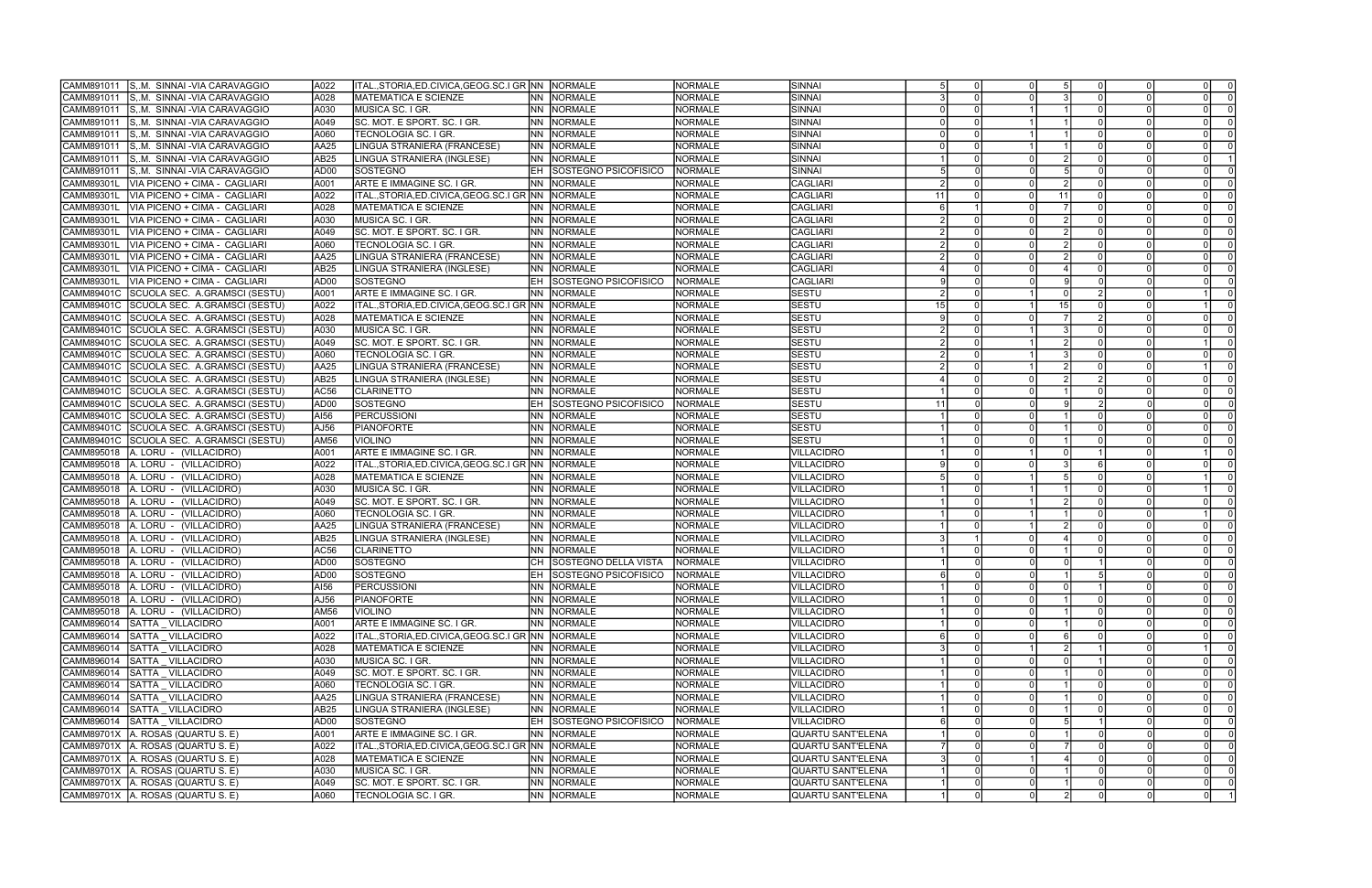| CAMM891011        | S. M. SINNAI - VIA CARAVAGGIO       | A022             | ITAL.,STORIA,ED.CIVICA,GEOG.SC.I GR NN NORMALE       |           |                             | NORMALE        | SINNAI            |     |          |     |                |                |
|-------------------|-------------------------------------|------------------|------------------------------------------------------|-----------|-----------------------------|----------------|-------------------|-----|----------|-----|----------------|----------------|
| CAMM891011        | S.M. SINNAI - VIA CARAVAGGIO        | A028             | <b>MATEMATICA E SCIENZE</b>                          | <b>NN</b> | NORMALE                     | <b>NORMALE</b> | SINNAI            |     |          |     | $\Omega$       |                |
| CAMM891011        | ISM.  SINNAI -VIA CARAVAGGIO        | A030             | <b>MUSICA SC. I GR</b>                               | INN I     | NORMALE                     | <b>NORMALE</b> | ISINNAI           |     |          |     |                |                |
| CAMM891011        | S. M. SINNAI - VIA CARAVAGGIO       | A049             | SC. MOT. E SPORT. SC. I GR.                          | <b>NN</b> | NORMALE                     | <b>NORMALE</b> | SINNAI            |     |          |     |                |                |
| CAMM891011        | S. M. SINNAI - VIA CARAVAGGIO       | A060             | TECNOLOGIA SC. I GR.                                 | <b>NN</b> | NORMALE                     | <b>NORMALE</b> | SINNAI            |     |          |     |                |                |
| CAMM891011        | S.M. SINNAI - VIA CARAVAGGIO        | <b>AA25</b>      | LINGUA STRANIERA (FRANCESE)                          | INN I     | <b>NORMALE</b>              | <b>NORMALE</b> | SINNAI            |     |          |     |                |                |
| CAMM891011        | S. M. SINNAI - VIA CARAVAGGIO       | AB25             | LINGUA STRANIERA (INGLESE)                           | INN -     | <b>NORMALE</b>              | <b>NORMALE</b> | SINNAI            |     |          |     | $\Omega$       |                |
| CAMM891011        | S. M. SINNAI - VIA CARAVAGGIO       | AD <sub>00</sub> | SOSTEGNO                                             | EH        | SOSTEGNO PSICOFISICO        | <b>NORMALE</b> | SINNAI            |     |          |     |                |                |
| CAMM89301L        | VIA PICENO + CIMA - CAGLIARI        | A001             | ARTE E IMMAGINE SC. I GR.                            | <b>NN</b> | NORMALE                     | <b>NORMALE</b> | <b>CAGLIARI</b>   |     |          |     |                |                |
| CAMM89301I        | VIA PICENO + CIMA - CAGLIARI        | A022             |                                                      |           |                             | <b>NORMALE</b> | <b>CAGLIARI</b>   | -11 |          | 11  |                |                |
| <b>CAMM89301L</b> | VIA PICENO + CIMA - CAGLIARI        | A028             | <b>MATEMATICA E SCIENZE</b>                          | <b>NN</b> | <b>NORMALE</b>              | <b>NORMALE</b> | <b>CAGLIARI</b>   |     |          |     |                |                |
| CAMM89301L        | VIA PICENO + CIMA - CAGLIARI        | A030             | MUSICA SC. I GR.                                     | <b>NN</b> | NORMALE                     | <b>NORMALE</b> | <b>CAGLIARI</b>   |     |          |     | $\Omega$       | - 0            |
| CAMM89301I        | VIA PICENO + CIMA - CAGLIARI        | A049             | SC. MOT. E SPORT. SC. I GR.                          | <b>NN</b> | NORMALE                     | <b>NORMALE</b> | <b>CAGLIARI</b>   |     |          |     | $\Omega$       |                |
| CAMM89301L        | VIA PICENO + CIMA - CAGLIARI        | A060             | TECNOLOGIA SC. I GR                                  | INN I     | NORMALE                     | <b>NORMALE</b> | <b>CAGLIARI</b>   |     |          |     | $\Omega$       |                |
| CAMM89301L        | VIA PICENO + CIMA - CAGLIARI        | AA25             | LINGUA STRANIERA (FRANCESE)                          |           | NN NORMALE                  | <b>NORMALE</b> | <b>CAGLIARI</b>   |     |          |     | $\Omega$       |                |
| CAMM89301L        | VIA PICENO + CIMA - CAGLIARI        | AB25             | LINGUA STRANIERA (INGLESE)                           |           | <b>NN NORMALE</b>           | <b>NORMALE</b> | <b>CAGLIARI</b>   |     |          |     |                |                |
| CAMM89301L        | VIA PICENO + CIMA - CAGLIARI        | AD <sub>00</sub> | SOSTEGNO                                             | lEH.      | SOSTEGNO PSICOFISICO        | <b>NORMALE</b> | <b>CAGLIARI</b>   |     |          |     |                |                |
| CAMM89401C        | SCUOLA SEC. A GRAMSCI (SESTU)       | A001             | ARTE E IMMAGINE SC. I GR.                            | <b>NN</b> | NORMALE                     | <b>NORMALE</b> | <b>SESTU</b>      |     |          |     |                |                |
| CAMM89401C        | SCUOLA SEC. A.GRAMSCI (SESTU)       | A022             | ITAL.,STORIA,ED.CIVICA,GEOG.SC.I GR NN               |           | NORMALE                     | <b>NORMALE</b> | <b>SESTU</b>      |     |          | 15  |                |                |
| CAMM89401C        | SCUOLA SEC. A.GRAMSCI (SESTU)       | A028             | <b>MATEMATICA E SCIENZE</b>                          | <b>NN</b> | NORMALE                     | <b>NORMALE</b> | <b>SESTU</b>      |     |          |     |                |                |
| <b>CAMM89401C</b> | SCUOLA SEC. A.GRAMSCI (SESTU)       | A030             | MUSICA SC. I GR.                                     | INN .     | NORMALE                     | <b>NORMALE</b> | SESTU             |     |          |     |                |                |
| <b>CAMM89401C</b> | SCUOLA SEC. A.GRAMSCI (SESTU)       | A049             | SC. MOT. E SPORT. SC. I GR.                          | <b>NN</b> | NORMALE                     | <b>NORMALE</b> | <b>SESTU</b>      |     |          |     |                |                |
| CAMM89401C        | SCUOLA SEC. A.GRAMSCI (SESTU)       | A060             | TECNOLOGIA SC. I GR.                                 | <b>NN</b> | NORMALE                     | <b>NORMALE</b> | <b>SESTU</b>      |     |          |     |                |                |
| CAMM89401C        | SCUOLA SEC. A.GRAMSCI (SESTU)       | AA25             | LINGUA STRANIERA (FRANCESE)                          | <b>NN</b> | NORMALE                     | <b>NORMALE</b> | <b>SESTU</b>      |     |          |     |                |                |
| CAMM89401C        | SCUOLA SEC. A.GRAMSCI (SESTU)       | AB25             | LINGUA STRANIERA (INGLESE)                           | INN -     | <b>NORMALE</b>              | <b>NORMALE</b> | <b>SESTU</b>      |     |          |     | $\Omega$       | $\Omega$       |
| <b>CAMM89401C</b> | SCUOLA SEC. A.GRAMSCI (SESTU)       | AC56             | <b>CLARINETTO</b>                                    |           | <b>NN NORMALE</b>           | <b>NORMALE</b> | <b>SESTU</b>      |     |          |     |                |                |
| CAMM89401C        | SCUOLA SEC. A.GRAMSCI (SESTU)       | AD <sub>00</sub> | SOSTEGNO                                             |           | SOSTEGNO PSICOFISICO        | <b>NORMALE</b> | <b>SESTU</b>      |     |          |     |                |                |
| CAMM89401C        | SCUOLA SEC. A.GRAMSCI (SESTU)       | AI56             | <b>PERCUSSIONI</b>                                   | INN I     | <b>NORMALE</b>              | NORMALE        | <b>SESTU</b>      |     |          |     |                |                |
| CAMM89401C        | SCUOLA SEC. A.GRAMSCI (SESTU)       | AJ56             | <b>PIANOFORTE</b>                                    | <b>NN</b> | NORMALE                     | <b>NORMALE</b> | <b>SESTU</b>      |     |          |     | <sup>0</sup>   |                |
| CAMM89401C        | SCUOLA SEC. A.GRAMSCI (SESTU)       | <b>AM56</b>      | <b>VIOLINO</b>                                       | <b>NN</b> | NORMALE                     | <b>NORMALE</b> | <b>SESTU</b>      |     |          |     |                |                |
| CAMM895018        | A. LORU - (VILLACIDRO)              | A001             | ARTE E IMMAGINE SC. I GR.                            | <b>NN</b> | NORMALE                     | <b>NORMALE</b> | VILLACIDRO        |     |          |     |                |                |
| CAMM895018        | A. LORU - (VILLACIDRO)              | A022             |                                                      |           |                             | <b>NORMALE</b> | <b>VILLACIDRO</b> |     |          |     |                |                |
| CAMM895018        | A. LORU - (VILLACIDRO)              | A028             | <b>MATEMATICA E SCIENZE</b>                          | <b>NN</b> | <b>NORMALE</b>              | <b>NORMALE</b> | VILLACIDRO        |     |          |     |                |                |
| CAMM895018        | A. LORU - (VILLACIDRO)              | A030             | MUSICA SC. I GR                                      | <b>NN</b> | NORMALE                     | <b>NORMALE</b> | VILLACIDRO        |     |          |     |                |                |
| CAMM895018        | A. LORU - (VILLACIDRO)              | A049             | SC. MOT. E SPORT. SC. I GR.                          |           | <b>NN NORMALE</b>           | <b>NORMALE</b> | <b>VILLACIDRO</b> |     |          |     |                |                |
| CAMM895018        | A. LORU - (VILLACIDRO)              | A060             | TECNOLOGIA SC. I GR.                                 | <b>NN</b> | NORMALE                     | <b>NORMALE</b> | VILLACIDRO        |     |          |     |                |                |
| CAMM895018        | A. LORU - (VILLACIDRO)              | AA25             | LINGUA STRANIERA (FRANCESE)                          | INN I     | NORMALE                     | <b>NORMALE</b> | <b>VILLACIDRO</b> |     |          |     |                | - 0            |
| CAMM895018        | A. LORU - (VILLACIDRO)              | AB25             | LINGUA STRANIERA (INGLESE)                           | <b>NN</b> | NORMALE                     | <b>NORMALE</b> | <b>VILLACIDRO</b> |     |          |     |                |                |
| CAMM895018        | A. LORU - (VILLACIDRO)              | AC56             | <b>CLARINETTO</b>                                    | INN I     | NORMALE                     | <b>NORMALE</b> | <b>VILLACIDRO</b> |     |          |     |                |                |
| CAMM895018        | A. LORU - (VILLACIDRO)              | AD00             | SOSTEGNO                                             |           | <b>SOSTEGNO DELLA VISTA</b> | <b>NORMALE</b> | <b>VILLACIDRO</b> |     |          |     | $\Omega$       |                |
| CAMM895018        | A. LORU - (VILLACIDRO)              | AD <sub>00</sub> | SOSTEGNO                                             | EH I      | SOSTEGNO PSICOFISICO        | NORMALE        | <b>VILLACIDRO</b> |     |          |     | $\Omega$       |                |
|                   | CAMM895018   A. LORU - (VILLACIDRO) | AI56             | <b>PERCUSSIONI</b>                                   |           | NN NORMALE                  | NORMALE        | VILLACIDRO        |     |          | 0 I | $\Omega$       | $\overline{0}$ |
| CAMM895018        | A. LORU - (VILLACIDRO)              | AJ56             | PIANOFORTE                                           |           | NN NORMALE                  | <b>NORMALE</b> | <b>VILLACIDRO</b> |     |          |     | $\Omega$       | $\overline{0}$ |
| CAMM895018        | A. LORU - (VILLACIDRO)              | <b>AM56</b>      | <b>VIOLINO</b>                                       |           | NN NORMALE                  | <b>NORMALE</b> | <b>VILLACIDRO</b> |     |          |     |                | $\overline{0}$ |
| CAMM896014        | SATTA VILLACIDRO                    | A001             | ARTE E IMMAGINE SC. I GR.                            |           | NN NORMALE                  | <b>NORMALE</b> | <b>VILLACIDRO</b> |     |          |     | $\Omega$       | $\Omega$       |
| CAMM896014        | SATTA VILLACIDRO                    | A022             | ITAL., STORIA, ED. CIVICA, GEOG. SC. I GR NN NORMALE |           |                             | <b>NORMALE</b> | <b>VILLACIDRO</b> |     |          |     | $\Omega$       |                |
| CAMM896014        | SATTA VILLACIDRO                    | A028             | <b>MATEMATICA E SCIENZE</b>                          |           | NN NORMALE                  | NORMALE        | VILLACIDRO        |     |          |     |                | - 0            |
| CAMM896014        | SATTA VILLACIDRO                    | A030             | MUSICA SC. I GR.                                     |           | NN NORMALE                  | NORMALE        | VILLACIDRO        |     |          |     | $\Omega$       | $\Omega$       |
| CAMM896014        | SATTA VILLACIDRO                    | A049             | SC. MOT. E SPORT. SC. I GR.                          |           | NN NORMALE                  | <b>NORMALE</b> | <b>VILLACIDRO</b> |     |          |     | $\Omega$       | - 0            |
| CAMM896014        | SATTA VILLACIDRO                    | A060             | TECNOLOGIA SC. I GR.                                 |           | NN NORMALE                  | NORMALE        | <b>VILLACIDRO</b> |     |          |     | $\Omega$       | $\overline{0}$ |
| CAMM896014        | SATTA VILLACIDRO                    | AA25             | LINGUA STRANIERA (FRANCESE)                          |           | NN NORMALE                  | <b>NORMALE</b> | VILLACIDRO        |     |          |     | $\Omega$       | $\Omega$       |
| CAMM896014        | SATTA VILLACIDRO                    | AB25             | LINGUA STRANIERA (INGLESE)                           |           | NN NORMALE                  | <b>NORMALE</b> | <b>VILLACIDRO</b> |     |          |     | $\overline{0}$ | - 0            |
| CAMM896014        | SATTA _ VILLACIDRO                  | AD00             | <b>SOSTEGNO</b>                                      | EH .      | SOSTEGNO PSICOFISICO        | NORMALE        | VILLACIDRO        |     |          |     | $\Omega$       |                |
| CAMM89701X        | A. ROSAS (QUARTU S. E)              | A001             | ARTE E IMMAGINE SC. I GR.                            |           | NN NORMALE                  | NORMALE        | QUARTU SANT'ELENA |     |          |     | $\Omega$       |                |
| CAMM89701X        | A. ROSAS (QUARTU S. E)              | A022             | ITAL., STORIA, ED. CIVICA, GEOG. SC. I GR NN NORMALE |           |                             | NORMALE        | QUARTU SANT'ELENA |     |          |     |                |                |
| CAMM89701X        | A. ROSAS (QUARTU S. E)              | A028             | <b>MATEMATICA E SCIENZE</b>                          |           | NN NORMALE                  | <b>NORMALE</b> | QUARTU SANT'ELENA |     |          |     | $\Omega$       |                |
| CAMM89701X        | A. ROSAS (QUARTU S. E)              | A030             | MUSICA SC. I GR.                                     |           | NN NORMALE                  | NORMALE        | QUARTU SANT'ELENA |     |          |     |                | 0I             |
| CAMM89701X        | A. ROSAS (QUARTU S. E)              | A049             | SC. MOT. E SPORT. SC. I GR.                          |           | NN NORMALE                  | NORMALE        | QUARTU SANT'ELENA |     |          |     | $\Omega$       |                |
|                   | CAMM89701X A ROSAS (QUARTU S. E)    | A060             | TECNOLOGIA SC. I GR.                                 |           | NN NORMALE                  | NORMALE        | QUARTU SANT'ELENA |     | $\Omega$ | -01 | $\Omega$       |                |
|                   |                                     |                  |                                                      |           |                             |                |                   |     |          |     |                |                |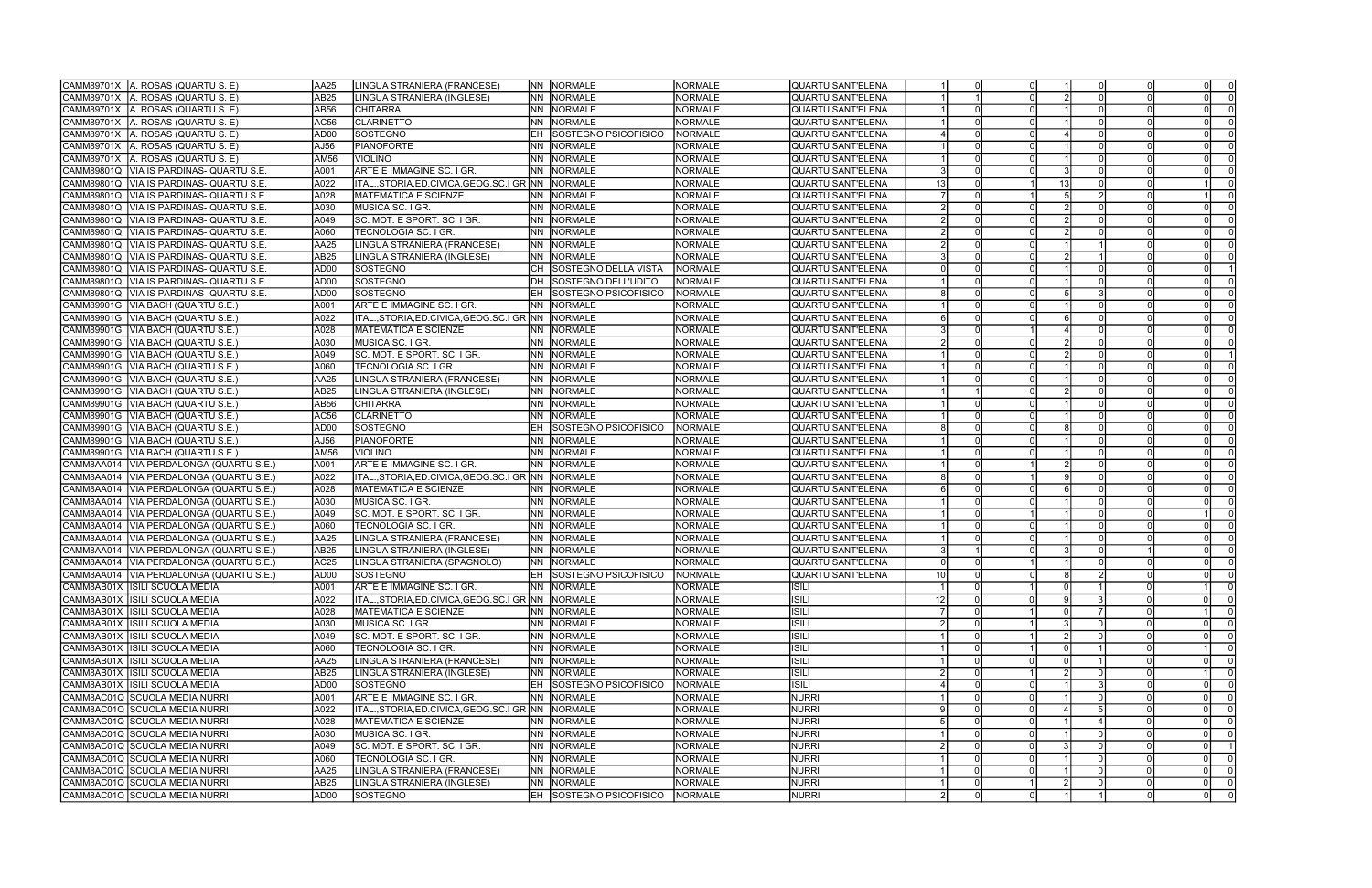|            | CAMM89701X A. ROSAS (QUARTU S. E)         | AA25             | LINGUA STRANIERA (FRANCESE)                          | NN NORMALE                        | <b>NORMALE</b> | QUARTU SANT'ELENA        |    |   |          |    |                |                         |
|------------|-------------------------------------------|------------------|------------------------------------------------------|-----------------------------------|----------------|--------------------------|----|---|----------|----|----------------|-------------------------|
| CAMM89701X | A. ROSAS (QUARTU S. E)                    | AB25             | LINGUA STRANIERA (INGLESE)                           | <b>NN NORMALE</b>                 | <b>NORMALE</b> | <b>QUARTU SANT'ELENA</b> |    |   |          |    |                |                         |
| CAMM89701X | A. ROSAS (QUARTU S. E)                    | AB <sub>56</sub> | <b>CHITARRA</b>                                      | NN NORMALE                        | <b>NORMALE</b> | QUARTU SANT'ELENA        |    |   |          |    |                |                         |
| CAMM89701X | A. ROSAS (QUARTU S. E)                    | AC56             | <b>CLARINETTO</b>                                    | NN INORMALE                       | <b>NORMALE</b> | QUARTU SANT'ELENA        |    |   |          |    |                |                         |
| CAMM89701X | A. ROSAS (QUARTU S. E)                    | AD00             | SOSTEGNO                                             | <b>SOSTEGNO PSICOFISICO</b><br>EH | <b>NORMALE</b> | QUARTU SANT'ELENA        |    |   |          |    |                |                         |
| CAMM89701X | A. ROSAS (QUARTU S. E)                    | AJ56             | PIANOFORTE                                           | <b>NN</b><br>NORMALE              | <b>NORMALE</b> | <b>QUARTU SANT'ELENA</b> |    |   |          |    |                |                         |
| CAMM89701X | A. ROSAS (QUARTU S. E)                    | AM56             | <b>VIOLINO</b>                                       | NN NORMALE                        | <b>NORMALE</b> | lQUARTU SANT'ELENA       |    |   |          |    |                |                         |
| CAMM89801Q | VIA IS PARDINAS- QUARTU S.E.              | A001             | ARTE E IMMAGINE SC. I GR.                            | NN NORMALE                        | <b>NORMALE</b> | QUARTU SANT'ELENA        |    |   |          |    |                |                         |
| CAMM89801Q | VIA IS PARDINAS- QUARTU S.E.              | A022             | ITAL.,STORIA,ED.CIVICA,GEOG.SC.I GR NN    NORMALE    |                                   | <b>NORMALE</b> | QUARTU SANT'ELENA        |    |   |          | 13 |                |                         |
| CAMM89801Q | VIA IS PARDINAS- QUARTU S.E               | A028             | <b>MATEMATICA E SCIENZE</b>                          | NN NORMALE                        | <b>NORMALE</b> | <b>QUARTU SANT'ELENA</b> |    |   |          |    |                |                         |
| CAMM89801Q | VIA IS PARDINAS- QUARTU S.E.              | A030             | MUSICA SC. I GR.                                     | NN NORMALE                        | <b>NORMALE</b> | QUARTU SANT'ELENA        |    |   |          |    | -0             |                         |
|            | CAMM89801Q IVIA IS PARDINAS- QUARTU S.E   | A049             | SC. MOT. E SPORT. SC. I GR.                          | INN INORMALE                      | <b>NORMALE</b> | QUARTU SANT'ELENA        |    |   |          |    |                |                         |
| CAMM89801Q | VIA IS PARDINAS- QUARTU S.E               | A060             | TECNOLOGIA SC. I GR.                                 | NN NORMALE                        | <b>NORMALE</b> | QUARTU SANT'ELENA        |    |   |          |    |                |                         |
| CAMM89801Q | VIA IS PARDINAS- QUARTU S.E               | AA25             | LINGUA STRANIERA (FRANCESE)                          | <b>NORMALE</b><br><b>NN</b>       | <b>NORMALE</b> | QUARTU SANT'ELENA        |    |   |          |    |                |                         |
| CAMM89801Q | VIA IS PARDINAS- QUARTU S.E               | AB <sub>25</sub> | LINGUA STRANIERA (INGLESE)                           | NN NORMALE                        | <b>NORMALE</b> | QUARTU SANT'ELENA        |    |   |          |    |                |                         |
| CAMM89801Q | VIA IS PARDINAS- QUARTU S.E.              | AD00             | SOSTEGNO                                             | CH SOSTEGNO DELLA VISTA           | <b>NORMALE</b> | QUARTU SANT'ELENA        |    |   |          |    |                |                         |
|            | CAMM89801Q  VIA IS PARDINAS- QUARTU S.E.  | AD <sub>00</sub> | SOSTEGNO                                             | DH SOSTEGNO DELL'UDITO            | <b>NORMALE</b> | QUARTU SANT'ELENA        |    |   |          |    |                |                         |
|            | CAMM89801Q VIA IS PARDINAS- QUARTU S.E.   | AD <sub>00</sub> | SOSTEGNO                                             | <b>EH SOSTEGNO PSICOFISICO</b>    | NORMALE        | QUARTU SANT'ELENA        |    |   |          |    |                |                         |
|            | CAMM89901G   VIA BACH (QUARTU S.E.)       | A001             | ARTE E IMMAGINE SC. I GR.                            | NN NORMALE                        | <b>NORMALE</b> | QUARTU SANT'ELENA        |    |   |          |    |                |                         |
|            | CAMM89901G   VIA BACH (QUARTU S.E.)       | A022             | ITAL.,STORIA,ED.CIVICA,GEOG.SC.I GR NN NORMALE       |                                   | <b>NORMALE</b> | <b>QUARTU SANT'ELENA</b> |    |   |          |    |                |                         |
| CAMM89901G | VIA BACH (QUARTU S.E.)                    | A028             | <b>MATEMATICA E SCIENZE</b>                          | NN NORMALE                        | <b>NORMALE</b> | lQUARTU SANT'ELENA       |    |   |          |    |                |                         |
|            | CAMM89901G   VIA BACH (QUARTU S.E.        | A030             | MUSICA SC. I GR.                                     | <b>NN NORMALE</b>                 | <b>NORMALE</b> | QUARTU SANT'ELENA        |    |   |          |    | $\Omega$       |                         |
|            | CAMM89901G   VIA BACH (QUARTU S.E.)       | A049             | SC. MOT. E SPORT. SC. I GR.                          | NN NORMALE                        | <b>NORMALE</b> | QUARTU SANT'ELENA        |    |   |          |    |                |                         |
|            | CAMM89901G   VIA BACH (QUARTU S.E.)       | A060             | TECNOLOGIA SC. I GR.                                 | NN NORMALE                        | <b>NORMALE</b> | QUARTU SANT'ELENA        |    |   |          |    |                |                         |
|            | CAMM89901G   VIA BACH (QUARTU S.E.        | AA25             | LINGUA STRANIERA (FRANCESE)                          | NN NORMALE                        | <b>NORMALE</b> | QUARTU SANT'ELENA        |    |   |          |    |                |                         |
|            | CAMM89901G   VIA BACH (QUARTU S.E.)       | AB <sub>25</sub> | LINGUA STRANIERA (INGLESE)                           | NN NORMALE                        | <b>NORMALE</b> | QUARTU SANT'ELENA        |    |   |          |    |                |                         |
|            | CAMM89901G   VIA BACH (QUARTU S.E.)       | AB56             | <b>CHITARRA</b>                                      | <b>NN NORMALE</b>                 | <b>NORMALE</b> | <b>QUARTU SANT'ELENA</b> |    |   |          |    |                |                         |
|            | CAMM89901G  VIA BACH (QUARTU S.E.)        | AC56             | <b>CLARINETTO</b>                                    | NN  NORMALE                       | <b>NORMALE</b> | QUARTU SANT'ELENA        |    |   |          |    |                |                         |
|            | CAMM89901G   VIA BACH (QUARTU S.E.        | AD00             | SOSTEGNO                                             | <b>EH SOSTEGNO PSICOFISICO</b>    | <b>NORMALE</b> | QUARTU SANT'ELENA        |    |   |          |    |                |                         |
|            | CAMM89901G   VIA BACH (QUARTU S.E.        | AJ56             | PIANOFORTE                                           | NN NORMALE                        | <b>NORMALE</b> | QUARTU SANT'ELENA        |    |   |          |    |                |                         |
| CAMM89901G | VIA BACH (QUARTU S.E.)                    | AM56             | <b>VIOLINO</b>                                       | NN NORMALE                        | <b>NORMALE</b> | <b>QUARTU SANT'ELENA</b> |    |   |          |    |                |                         |
|            | CAMM8AA014   VIA PERDALONGA (QUARTU S.E.) | A001             | ARTE E IMMAGINE SC. I GR.                            | NN NORMALE                        | <b>NORMALE</b> | QUARTU SANT'ELENA        |    |   |          |    |                |                         |
|            | CAMM8AA014   VIA PERDALONGA (QUARTU S.E.) | A022             | ITAL.,STORIA,ED.CIVICA,GEOG.SC.I GR INN  INORMALE    |                                   | NORMALE        | QUARTU SANT'ELENA        |    |   |          |    | $\Omega$       |                         |
|            | CAMM8AA014   VIA PERDALONGA (QUARTU S.E.) | A028             | <b>MATEMATICA E SCIENZE</b>                          | NN NORMALE                        | <b>NORMALE</b> | QUARTU SANT'ELENA        |    |   |          |    |                |                         |
| CAMM8AA014 | VIA PERDALONGA (QUARTU S.E.)              | A030             | MUSICA SC. I GR.                                     | NN NORMALE                        | <b>NORMALE</b> | QUARTU SANT'ELENA        |    |   |          |    |                |                         |
| CAMM8AA014 | VIA PERDALONGA (QUARTU S.E.)              | A049             | SC. MOT. E SPORT. SC. I GR.                          | NN NORMALE                        | <b>NORMALE</b> | QUARTU SANT'ELENA        |    |   |          |    |                |                         |
| CAMM8AA014 | VIA PERDALONGA (QUARTU S.E.)              | A060             | TECNOLOGIA SC. I GR.                                 | NN NORMALE                        | <b>NORMALE</b> | QUARTU SANT'ELENA        |    |   |          |    |                |                         |
| CAMM8AA014 | VIA PERDALONGA (QUARTU S.E.)              | AA25             | LINGUA STRANIERA (FRANCESE)                          | NN NORMALE                        | <b>NORMALE</b> | QUARTU SANT'ELENA        |    |   |          |    |                |                         |
|            | CAMM8AA014   VIA PERDALONGA (QUARTU S.E.) | AB <sub>25</sub> | LINGUA STRANIERA (INGLESE)                           | NN NORMALE                        | <b>NORMALE</b> | QUARTU SANT'ELENA        |    |   |          |    |                |                         |
|            | CAMM8AA014   VIA PERDALONGA (QUARTU S.E.) | AC <sub>25</sub> | LINGUA STRANIERA (SPAGNOLO)                          | NN NORMALE                        | <b>NORMALE</b> | QUARTU SANT'ELENA        |    |   |          |    |                |                         |
|            | CAMM8AA014   VIA PERDALONGA (QUARTU S.E.) | AD00             | <b>SOSTEGNO</b>                                      | <b>EH SOSTEGNO PSICOFISICO</b>    | <b>NORMALE</b> | QUARTU SANT'ELENA        | 10 |   |          |    |                |                         |
|            | CAMM8AB01X ISILI SCUOLA MEDIA             | A001             | JARTE E IMMAGINE SC. I GR.                           | <b>NN NORMALE</b>                 | <b>NORMALE</b> | <b>ISILI</b>             |    | 0 |          |    |                | 0                       |
|            | CAMM8AB01X ISILI SCUOLA MEDIA             | A022             | ITAL., STORIA, ED. CIVICA, GEOG. SC. I GR NN NORMALE |                                   | <b>NORMALE</b> | <b>ISILI</b>             | 12 |   |          |    | $\Omega$       | $\overline{\mathbf{0}}$ |
|            | CAMM8AB01X ISILI SCUOLA MEDIA             | A028             | <b>MATEMATICA E SCIENZE</b>                          | NN NORMALE                        | <b>NORMALE</b> | <b>ISILI</b>             |    |   |          |    |                | $\overline{0}$          |
|            | CAMM8AB01X ISILI SCUOLA MEDIA             | A030             | MUSICA SC. I GR.                                     | NN NORMALE                        | <b>NORMALE</b> | <b>ISILI</b>             |    |   |          |    | $\Omega$       |                         |
|            | CAMM8AB01X ISILI SCUOLA MEDIA             | A049             | SC. MOT. E SPORT. SC. I GR.                          | NN NORMALE                        | <b>NORMALE</b> | <b>ISILI</b>             |    |   |          |    | $\Omega$       | $\Omega$                |
|            | CAMM8AB01X ISILI SCUOLA MEDIA             | A060             | TECNOLOGIA SC. I GR.                                 | NN NORMALE                        | NORMALE        | <b>ISILI</b>             |    |   |          |    |                | $\Omega$                |
|            | CAMM8AB01X ISILI SCUOLA MEDIA             | AA25             | LINGUA STRANIERA (FRANCESE)                          | NN NORMALE                        | <b>NORMALE</b> | <b>ISILI</b>             |    |   |          |    | $\Omega$       | - 0                     |
|            | CAMM8AB01X ISILI SCUOLA MEDIA             | AB <sub>25</sub> | LINGUA STRANIERA (INGLESE)                           | NN NORMALE                        | <b>NORMALE</b> | <b>ISILI</b>             |    |   |          |    |                |                         |
|            | CAMM8AB01X ISILI SCUOLA MEDIA             | AD00             | <b>SOSTEGNO</b>                                      | <b>EH SOSTEGNO PSICOFISICO</b>    | <b>NORMALE</b> | <b>ISILI</b>             |    |   |          |    | $\Omega$       |                         |
|            | CAMM8AC01Q SCUOLA MEDIA NURRI             | A001             | ARTE E IMMAGINE SC. I GR.                            | NN NORMALE                        | NORMALE        | <b>NURRI</b>             |    |   |          |    | $\Omega$       |                         |
|            | CAMM8AC01Q SCUOLA MEDIA NURRI             | A022             | ITAL., STORIA, ED. CIVICA, GEOG. SC. I GR NN NORMALE |                                   | <b>NORMALE</b> | <b>NURRI</b>             |    |   | $\Omega$ |    | $\Omega$       | $\Omega$                |
|            | CAMM8AC01Q SCUOLA MEDIA NURRI             | A028             | IMATEMATICA E SCIENZE                                | NN NORMALE                        | <b>NORMALE</b> | <b>NURRI</b>             |    |   |          |    | $\Omega$       | $\Omega$                |
|            | CAMM8AC01Q SCUOLA MEDIA NURRI             | A030             | MUSICA SC. I GR.                                     | NN NORMALE                        | <b>NORMALE</b> | <b>NURRI</b>             |    |   | $\Omega$ |    | $\Omega$       | $\Omega$                |
|            | CAMM8AC01Q SCUOLA MEDIA NURRI             | A049             | SC. MOT. E SPORT. SC. I GR.                          | NN NORMALE                        | <b>NORMALE</b> | <b>NURRI</b>             |    |   |          |    | $\Omega$       |                         |
|            | CAMM8AC01Q SCUOLA MEDIA NURRI             | A060             | TECNOLOGIA SC. I GR.                                 | NN NORMALE                        | <b>NORMALE</b> | NURRI                    |    |   |          |    | $\Omega$       |                         |
|            | CAMM8AC01Q SCUOLA MEDIA NURRI             | AA25             | LINGUA STRANIERA (FRANCESE)                          | NN NORMALE                        | <b>NORMALE</b> | <b>NURRI</b>             |    |   |          |    | $\Omega$       | $\overline{0}$          |
|            | CAMM8AC01Q SCUOLA MEDIA NURRI             | AB <sub>25</sub> | LINGUA STRANIERA (INGLESE)                           | INN NORMALE                       | NORMALE        | <b>NURRI</b>             |    |   |          |    | $\overline{0}$ | $\overline{0}$          |
|            | CAMM8AC01Q SCUOLA MEDIA NURRI             | AD00             | SOSTEGNO                                             | EH SOSTEGNO PSICOFISICO           | NORMALE        | <b>NURRI</b>             |    |   |          |    | $\Omega$       |                         |

| $\overline{0}$          | $\overline{1}$            | $\overline{0}$                   | $\overline{0}$ | $\overline{0}$ | $\overline{0}$                   |
|-------------------------|---------------------------|----------------------------------|----------------|----------------|----------------------------------|
| 0                       | $\overline{2}$            | $\overline{0}$                   | 0              | 0              | $\overline{0}$                   |
| $\overline{0}$          | $\overline{1}$            | $\overline{0}$                   | $\overline{0}$ | $\overline{0}$ | $\overline{0}$                   |
| $\overline{0}$          | $\overline{1}$            | $\overline{0}$                   | $\overline{0}$ | $\overline{0}$ | $\overline{0}$                   |
| $\overline{0}$          | $\overline{4}$            | $\overline{0}$                   | $\overline{0}$ | 0              | $\overline{0}$                   |
| 0                       | $\overline{1}$            | $\overline{0}$                   | $\overline{0}$ | 0              |                                  |
| 0                       | $\overline{1}$            | $\overline{0}$                   | $\overline{0}$ | 0              | $\frac{1}{\sqrt{2}}$             |
| $\overline{0}$          | $\overline{\overline{3}}$ | $\overline{0}$                   | $\overline{0}$ | $\overline{0}$ | $\overline{0}$                   |
| $\overline{1}$          |                           |                                  | $\overline{0}$ | $\overline{1}$ |                                  |
| $\overline{1}$          | $\overline{13}$<br>5      | $\overline{0}$<br>$\overline{2}$ |                | $\overline{1}$ | $\overline{0}$<br>$\overline{0}$ |
|                         |                           |                                  | $\overline{0}$ |                |                                  |
| $\overline{0}$          | $\overline{2}$            | $\overline{0}$                   | $\overline{0}$ | $\overline{0}$ | $\overline{0}$                   |
| $\overline{0}$          | $\overline{2}$            | $\overline{0}$                   | $\overline{0}$ | $\overline{0}$ | $\frac{0}{0}$                    |
| $\overline{0}$          | $\overline{2}$            | $\overline{0}$                   | $\overline{0}$ | $\overline{0}$ |                                  |
| 0                       | $\overline{\mathbf{1}}$   | $\overline{\mathbf{1}}$          | $\overline{0}$ | $\overline{0}$ | $\overline{0}$                   |
| $\overline{0}$          | $\overline{2}$            | $\overline{1}$                   | $\overline{0}$ | $\overline{0}$ | $\frac{0}{1}$                    |
| 0                       | $\overline{1}$            | $\overline{0}$                   | $\overline{0}$ | 0              |                                  |
| $\overline{0}$          | $\overline{1}$            | $\overline{0}$                   | $\overline{0}$ | $\overline{0}$ | $\overline{0}$                   |
| $\overline{0}$          | $\overline{5}$            | $\overline{3}$                   | $\overline{0}$ | $\overline{0}$ | $\overline{0}$                   |
| $\overline{0}$          | $\overline{1}$            | $\overline{0}$                   | $\overline{0}$ | $\overline{0}$ | $\overline{0}$                   |
| $\overline{0}$          | $\overline{6}$            | $\overline{0}$                   | $\overline{0}$ | $\overline{0}$ | $\overline{0}$                   |
| $\overline{1}$          | $\overline{4}$            | $\overline{0}$                   | $\overline{0}$ | $\overline{0}$ | $\overline{0}$                   |
| $\overline{0}$          | $\overline{2}$            | 0                                | $\mathbf{0}$   | 0              |                                  |
| $\overline{0}$          | $\overline{2}$            | $\overline{0}$                   | $\overline{0}$ | 0              | $\frac{0}{1}$                    |
| $\overline{0}$          | $\overline{1}$            | $\overline{0}$                   | $\overline{0}$ | $\overline{0}$ |                                  |
| $\overline{0}$          | $\overline{1}$            | $\overline{0}$                   | $\overline{0}$ | $\overline{0}$ | $\frac{0}{0}$                    |
| $\overline{0}$          | $\overline{2}$            | $\overline{0}$                   | $\overline{0}$ | $\overline{0}$ | $\overline{0}$                   |
| 0                       | $\overline{1}$            | $\overline{0}$                   | $\overline{0}$ | 0              | $\overline{0}$                   |
| $\overline{0}$          | $\overline{1}$            | $\overline{0}$                   | $\overline{0}$ | $\overline{0}$ | $\overline{0}$                   |
| $\overline{0}$          | $\overline{8}$            | $\overline{0}$                   | $\overline{0}$ | $\overline{0}$ |                                  |
| $\overline{0}$          | $\overline{\mathbf{1}}$   | $\overline{0}$                   | $\overline{0}$ | $\overline{0}$ | $\frac{0}{0}$                    |
| $\overline{0}$          | $\overline{1}$            | $\overline{0}$                   | $\overline{0}$ | $\overline{0}$ | $\overline{0}$                   |
| $\overline{\mathbf{1}}$ | $\overline{2}$            | $\overline{0}$                   | $\overline{0}$ | $\overline{0}$ | $\overline{0}$                   |
| $\overline{\mathbf{1}}$ | $\overline{9}$            | $\overline{0}$                   | $\overline{0}$ | 0              | $\overline{0}$                   |
| $\overline{0}$          | $\overline{6}$            | $\overline{0}$                   | $\overline{0}$ | $\overline{0}$ | $\overline{0}$                   |
| $\overline{0}$          | $\overline{1}$            | $\overline{0}$                   | $\overline{0}$ | $\overline{0}$ | $\overline{0}$                   |
| $\overline{\mathbf{1}}$ | $\overline{1}$            | $\overline{0}$                   | $\overline{0}$ | $\overline{1}$ | $\overline{0}$                   |
| $\overline{0}$          | $\overline{1}$            | $\overline{0}$                   | $\overline{0}$ | $\overline{0}$ | $\overline{0}$                   |
|                         | $\overline{1}$            |                                  |                |                |                                  |
| 0                       |                           | $\overline{0}$                   | $\overline{0}$ | $\overline{0}$ | $\overline{0}$                   |
| 0                       | 3                         | $\overline{0}$                   | $\overline{1}$ | 0              | $\overline{0}$                   |
| $\overline{1}$          | $\overline{1}$            | $\frac{0}{2}$                    | $\overline{0}$ | $\overline{0}$ | $\frac{0}{0}$                    |
| $\overline{0}$          | $\overline{8}$            |                                  | $\overline{0}$ | $\overline{0}$ |                                  |
| 1                       | 0                         | 1                                | 0              | 1              | 0                                |
| 0                       | $\overline{9}$            | $\overline{3}$                   | $\overline{0}$ | $\overline{0}$ | $\overline{0}$                   |
| 1                       | 0                         | 7                                | 0              | 1              | $\overline{0}$                   |
| $\overline{1}$          | $\overline{\overline{3}}$ | 0                                | 0              | 0              | $\overline{0}$                   |
| $\overline{1}$          | $\overline{2}$            | 0                                | 0              | 0              | $\overline{0}$                   |
| 1                       | 0                         | 1                                | 0              | 1              | $\overline{0}$                   |
| 0                       | $\overline{0}$            | $\overline{\mathbf{1}}$          | 0              | 0              | $\overline{0}$                   |
| 1                       | $\overline{2}$            | 0                                | $\overline{0}$ | 1              | $\overline{0}$                   |
| 0                       | 1                         | $\overline{3}$                   | 0              | $\overline{0}$ | $\overline{0}$                   |
| $\overline{0}$          | $\overline{1}$            | $\overline{0}$                   | $\overline{0}$ | $\overline{0}$ | $\overline{0}$                   |
| 0                       | $\overline{4}$            | $\overline{5}$                   | $\overline{0}$ | 0              | $\overline{0}$                   |
| $\overline{0}$          | $\overline{1}$            | $\overline{4}$                   | $\overline{0}$ | $\overline{0}$ | $\overline{0}$                   |
| $\overline{0}$          | $\overline{1}$            | $\overline{0}$                   | $\overline{0}$ | $\overline{0}$ | $\overline{0}$                   |
| 0                       | $\overline{3}$            | 0                                | $\overline{0}$ | 0              | $\overline{1}$                   |
| 0                       | $\overline{1}$            | 0                                | 0              | 0              | $\overline{0}$                   |
| 0                       | $\overline{1}$            | 0                                | 0              | 0              | $\overline{0}$                   |
| 1                       | $\overline{2}$            | $\overline{0}$                   | $\overline{0}$ | 0              | $\overline{0}$                   |
| $\overline{0}$          | $\overline{1}$            | $\overline{1}$                   | $\overline{0}$ | $\overline{0}$ | $\overline{0}$                   |